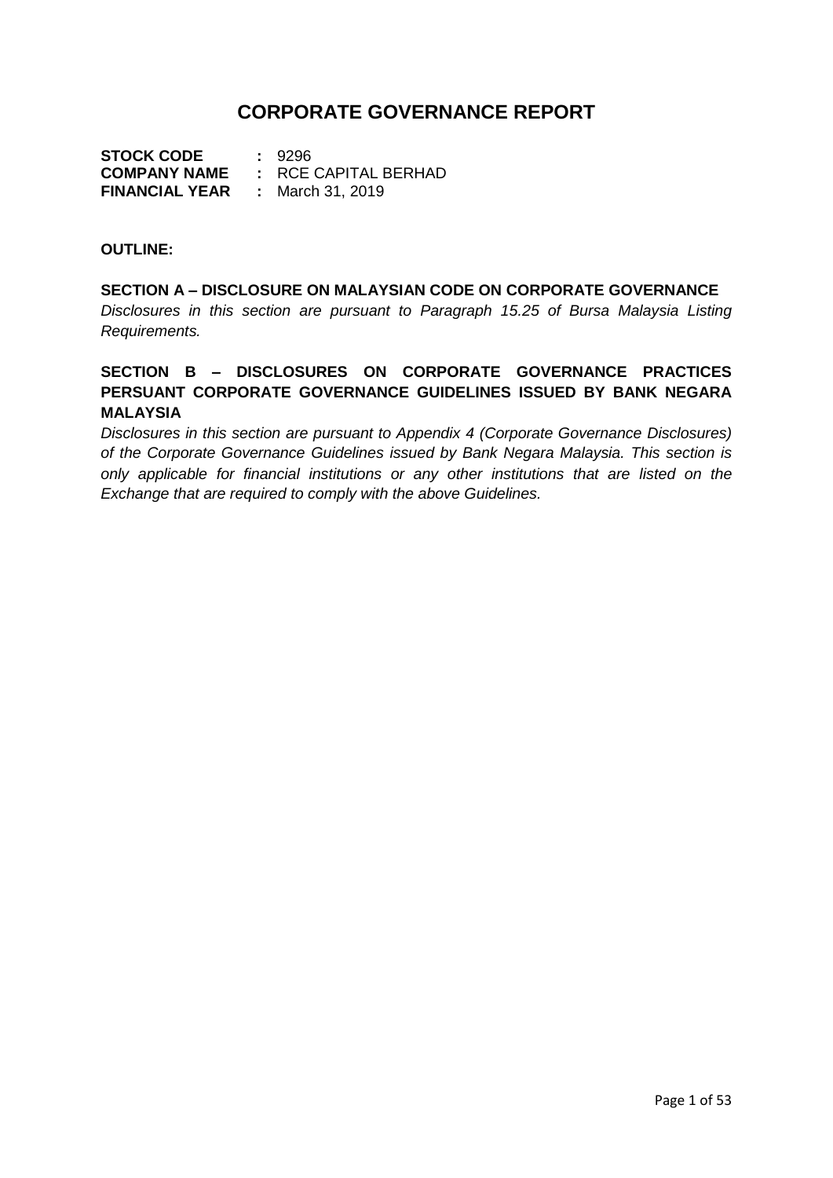# **CORPORATE GOVERNANCE REPORT**

**STOCK CODE :** 9296 **COMPANY NAME :** RCE CAPITAL BERHAD **FINANCIAL YEAR :** March 31, 2019

#### **OUTLINE:**

## **SECTION A – DISCLOSURE ON MALAYSIAN CODE ON CORPORATE GOVERNANCE**

*Disclosures in this section are pursuant to Paragraph 15.25 of Bursa Malaysia Listing Requirements.*

## **SECTION B – DISCLOSURES ON CORPORATE GOVERNANCE PRACTICES PERSUANT CORPORATE GOVERNANCE GUIDELINES ISSUED BY BANK NEGARA MALAYSIA**

*Disclosures in this section are pursuant to Appendix 4 (Corporate Governance Disclosures) of the Corporate Governance Guidelines issued by Bank Negara Malaysia. This section is only applicable for financial institutions or any other institutions that are listed on the Exchange that are required to comply with the above Guidelines.*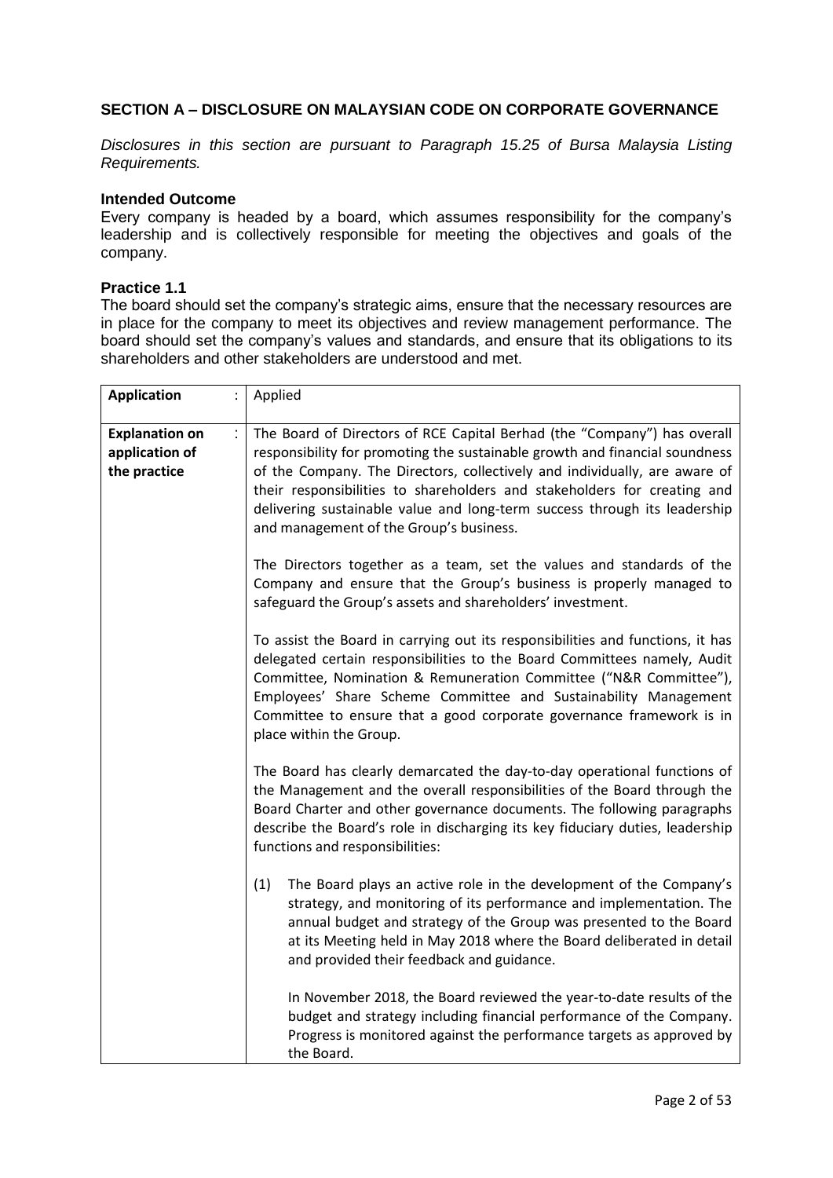## **SECTION A – DISCLOSURE ON MALAYSIAN CODE ON CORPORATE GOVERNANCE**

*Disclosures in this section are pursuant to Paragraph 15.25 of Bursa Malaysia Listing Requirements.*

### **Intended Outcome**

Every company is headed by a board, which assumes responsibility for the company's leadership and is collectively responsible for meeting the objectives and goals of the company.

#### **Practice 1.1**

The board should set the company's strategic aims, ensure that the necessary resources are in place for the company to meet its objectives and review management performance. The board should set the company's values and standards, and ensure that its obligations to its shareholders and other stakeholders are understood and met.

| <b>Application</b>                                      | Applied                                                                                                                                                                                                                                                                                                                                                                                                                                   |
|---------------------------------------------------------|-------------------------------------------------------------------------------------------------------------------------------------------------------------------------------------------------------------------------------------------------------------------------------------------------------------------------------------------------------------------------------------------------------------------------------------------|
| <b>Explanation on</b><br>application of<br>the practice | The Board of Directors of RCE Capital Berhad (the "Company") has overall<br>responsibility for promoting the sustainable growth and financial soundness<br>of the Company. The Directors, collectively and individually, are aware of<br>their responsibilities to shareholders and stakeholders for creating and<br>delivering sustainable value and long-term success through its leadership<br>and management of the Group's business. |
|                                                         | The Directors together as a team, set the values and standards of the<br>Company and ensure that the Group's business is properly managed to<br>safeguard the Group's assets and shareholders' investment.                                                                                                                                                                                                                                |
|                                                         | To assist the Board in carrying out its responsibilities and functions, it has<br>delegated certain responsibilities to the Board Committees namely, Audit<br>Committee, Nomination & Remuneration Committee ("N&R Committee"),<br>Employees' Share Scheme Committee and Sustainability Management<br>Committee to ensure that a good corporate governance framework is in<br>place within the Group.                                     |
|                                                         | The Board has clearly demarcated the day-to-day operational functions of<br>the Management and the overall responsibilities of the Board through the<br>Board Charter and other governance documents. The following paragraphs<br>describe the Board's role in discharging its key fiduciary duties, leadership<br>functions and responsibilities:                                                                                        |
|                                                         | (1)<br>The Board plays an active role in the development of the Company's<br>strategy, and monitoring of its performance and implementation. The<br>annual budget and strategy of the Group was presented to the Board<br>at its Meeting held in May 2018 where the Board deliberated in detail<br>and provided their feedback and guidance.                                                                                              |
|                                                         | In November 2018, the Board reviewed the year-to-date results of the<br>budget and strategy including financial performance of the Company.<br>Progress is monitored against the performance targets as approved by<br>the Board.                                                                                                                                                                                                         |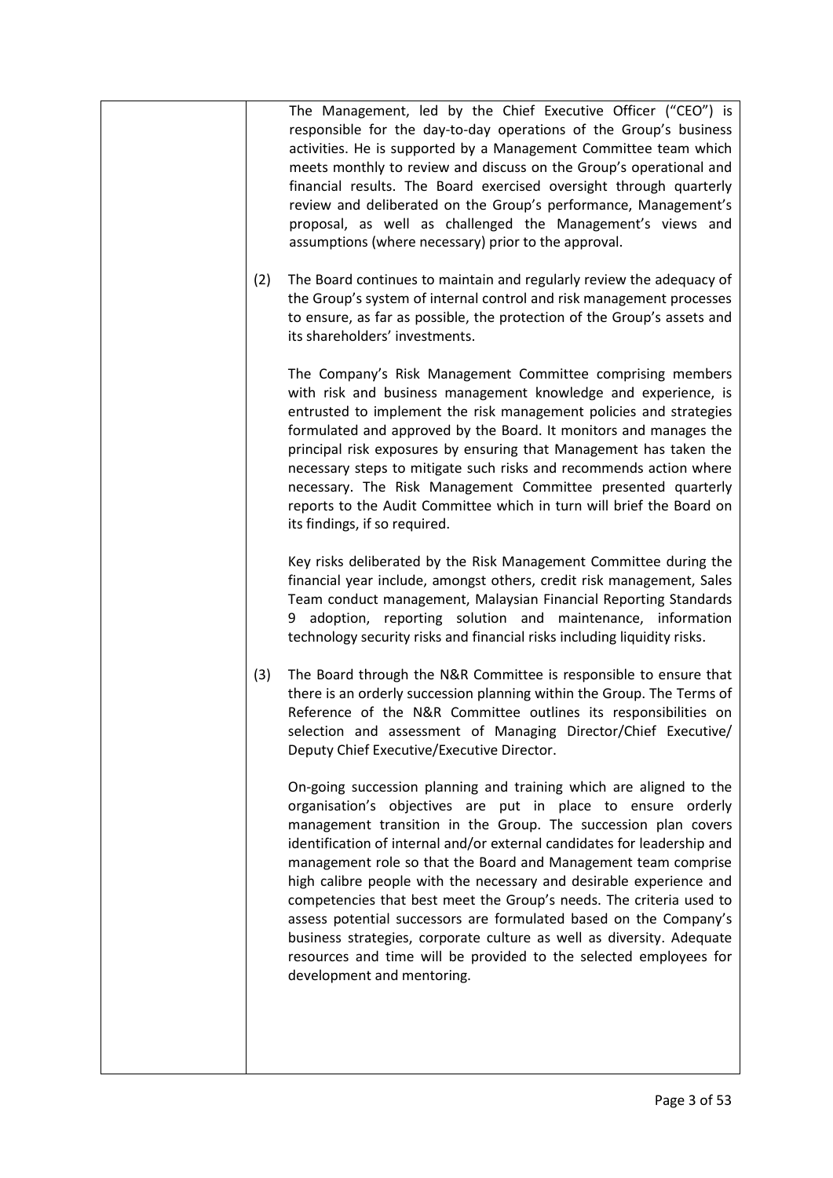|     | The Management, led by the Chief Executive Officer ("CEO") is<br>responsible for the day-to-day operations of the Group's business<br>activities. He is supported by a Management Committee team which<br>meets monthly to review and discuss on the Group's operational and<br>financial results. The Board exercised oversight through quarterly<br>review and deliberated on the Group's performance, Management's<br>proposal, as well as challenged the Management's views and<br>assumptions (where necessary) prior to the approval.                                                                                                                                                                                                       |
|-----|---------------------------------------------------------------------------------------------------------------------------------------------------------------------------------------------------------------------------------------------------------------------------------------------------------------------------------------------------------------------------------------------------------------------------------------------------------------------------------------------------------------------------------------------------------------------------------------------------------------------------------------------------------------------------------------------------------------------------------------------------|
| (2) | The Board continues to maintain and regularly review the adequacy of<br>the Group's system of internal control and risk management processes<br>to ensure, as far as possible, the protection of the Group's assets and<br>its shareholders' investments.                                                                                                                                                                                                                                                                                                                                                                                                                                                                                         |
|     | The Company's Risk Management Committee comprising members<br>with risk and business management knowledge and experience, is<br>entrusted to implement the risk management policies and strategies<br>formulated and approved by the Board. It monitors and manages the<br>principal risk exposures by ensuring that Management has taken the<br>necessary steps to mitigate such risks and recommends action where<br>necessary. The Risk Management Committee presented quarterly<br>reports to the Audit Committee which in turn will brief the Board on<br>its findings, if so required.                                                                                                                                                      |
|     | Key risks deliberated by the Risk Management Committee during the<br>financial year include, amongst others, credit risk management, Sales<br>Team conduct management, Malaysian Financial Reporting Standards<br>9 adoption, reporting solution and maintenance, information<br>technology security risks and financial risks including liquidity risks.                                                                                                                                                                                                                                                                                                                                                                                         |
| (3) | The Board through the N&R Committee is responsible to ensure that<br>there is an orderly succession planning within the Group. The Terms of<br>Reference of the N&R Committee outlines its responsibilities on<br>selection and assessment of Managing Director/Chief Executive/<br>Deputy Chief Executive/Executive Director.                                                                                                                                                                                                                                                                                                                                                                                                                    |
|     | On-going succession planning and training which are aligned to the<br>organisation's objectives are put in place to ensure orderly<br>management transition in the Group. The succession plan covers<br>identification of internal and/or external candidates for leadership and<br>management role so that the Board and Management team comprise<br>high calibre people with the necessary and desirable experience and<br>competencies that best meet the Group's needs. The criteria used to<br>assess potential successors are formulated based on the Company's<br>business strategies, corporate culture as well as diversity. Adequate<br>resources and time will be provided to the selected employees for<br>development and mentoring. |
|     |                                                                                                                                                                                                                                                                                                                                                                                                                                                                                                                                                                                                                                                                                                                                                   |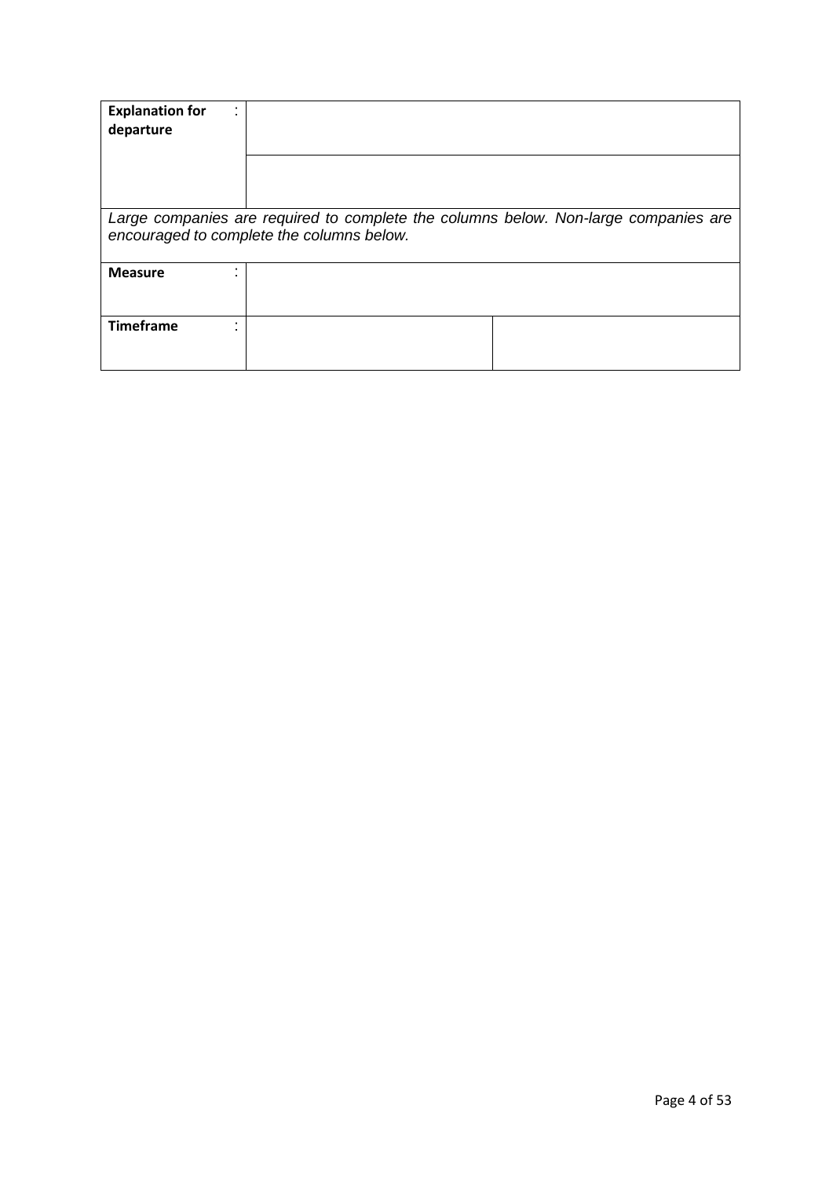| <b>Explanation for</b><br>departure |                                                                                                                                  |  |
|-------------------------------------|----------------------------------------------------------------------------------------------------------------------------------|--|
|                                     |                                                                                                                                  |  |
|                                     | Large companies are required to complete the columns below. Non-large companies are<br>encouraged to complete the columns below. |  |
| <b>Measure</b>                      |                                                                                                                                  |  |
| <b>Timeframe</b>                    |                                                                                                                                  |  |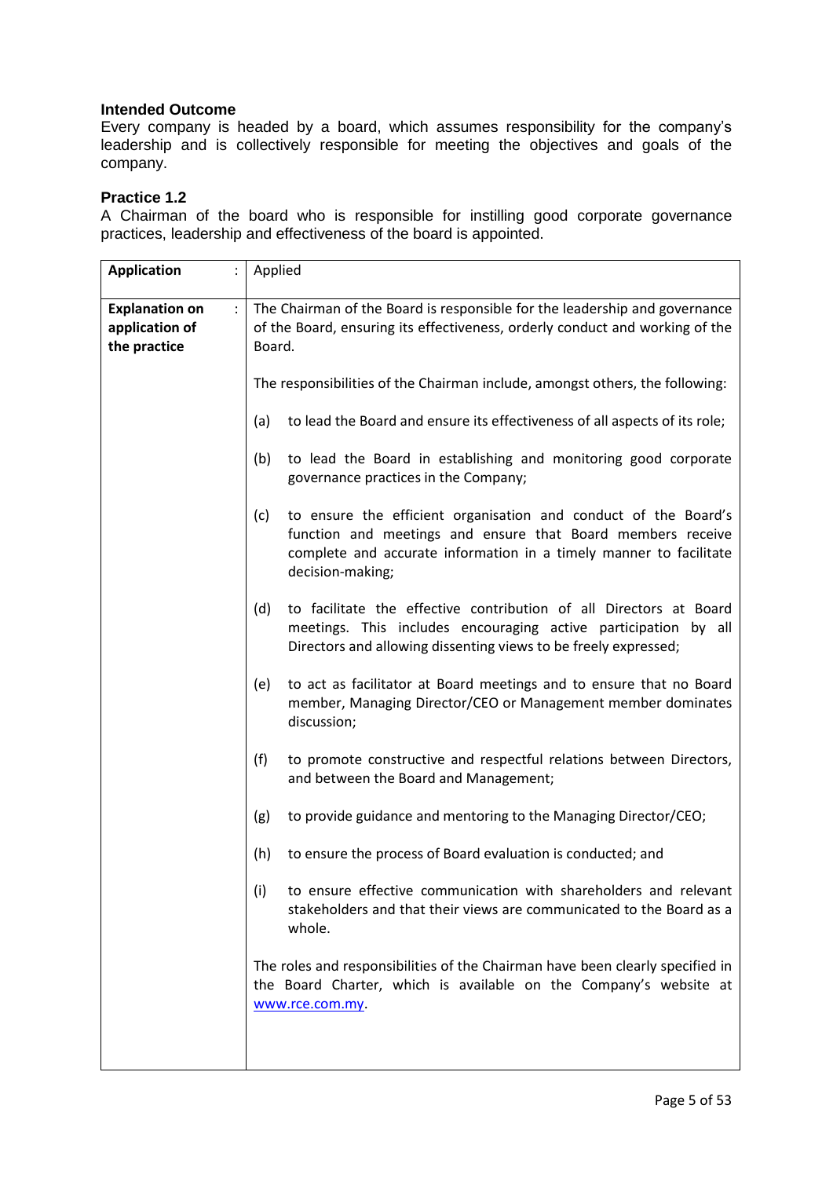Every company is headed by a board, which assumes responsibility for the company's leadership and is collectively responsible for meeting the objectives and goals of the company.

## **Practice 1.2**

A Chairman of the board who is responsible for instilling good corporate governance practices, leadership and effectiveness of the board is appointed.

| <b>Application</b>                                      | Applied                                                                                                                                                                                                                         |  |  |  |  |  |  |
|---------------------------------------------------------|---------------------------------------------------------------------------------------------------------------------------------------------------------------------------------------------------------------------------------|--|--|--|--|--|--|
| <b>Explanation on</b><br>application of<br>the practice | The Chairman of the Board is responsible for the leadership and governance<br>of the Board, ensuring its effectiveness, orderly conduct and working of the<br>Board.                                                            |  |  |  |  |  |  |
|                                                         | The responsibilities of the Chairman include, amongst others, the following:                                                                                                                                                    |  |  |  |  |  |  |
|                                                         | to lead the Board and ensure its effectiveness of all aspects of its role;<br>(a)                                                                                                                                               |  |  |  |  |  |  |
|                                                         | to lead the Board in establishing and monitoring good corporate<br>(b)<br>governance practices in the Company;                                                                                                                  |  |  |  |  |  |  |
|                                                         | to ensure the efficient organisation and conduct of the Board's<br>(c)<br>function and meetings and ensure that Board members receive<br>complete and accurate information in a timely manner to facilitate<br>decision-making; |  |  |  |  |  |  |
|                                                         | to facilitate the effective contribution of all Directors at Board<br>(d)<br>meetings. This includes encouraging active participation by all<br>Directors and allowing dissenting views to be freely expressed;                 |  |  |  |  |  |  |
|                                                         | to act as facilitator at Board meetings and to ensure that no Board<br>(e)<br>member, Managing Director/CEO or Management member dominates<br>discussion;                                                                       |  |  |  |  |  |  |
|                                                         | (f)<br>to promote constructive and respectful relations between Directors,<br>and between the Board and Management;                                                                                                             |  |  |  |  |  |  |
|                                                         | to provide guidance and mentoring to the Managing Director/CEO;<br>(g)                                                                                                                                                          |  |  |  |  |  |  |
|                                                         | to ensure the process of Board evaluation is conducted; and<br>(h)                                                                                                                                                              |  |  |  |  |  |  |
|                                                         | to ensure effective communication with shareholders and relevant<br>(i)<br>stakeholders and that their views are communicated to the Board as a<br>whole.                                                                       |  |  |  |  |  |  |
|                                                         | The roles and responsibilities of the Chairman have been clearly specified in<br>the Board Charter, which is available on the Company's website at<br>www.rce.com.my.                                                           |  |  |  |  |  |  |
|                                                         |                                                                                                                                                                                                                                 |  |  |  |  |  |  |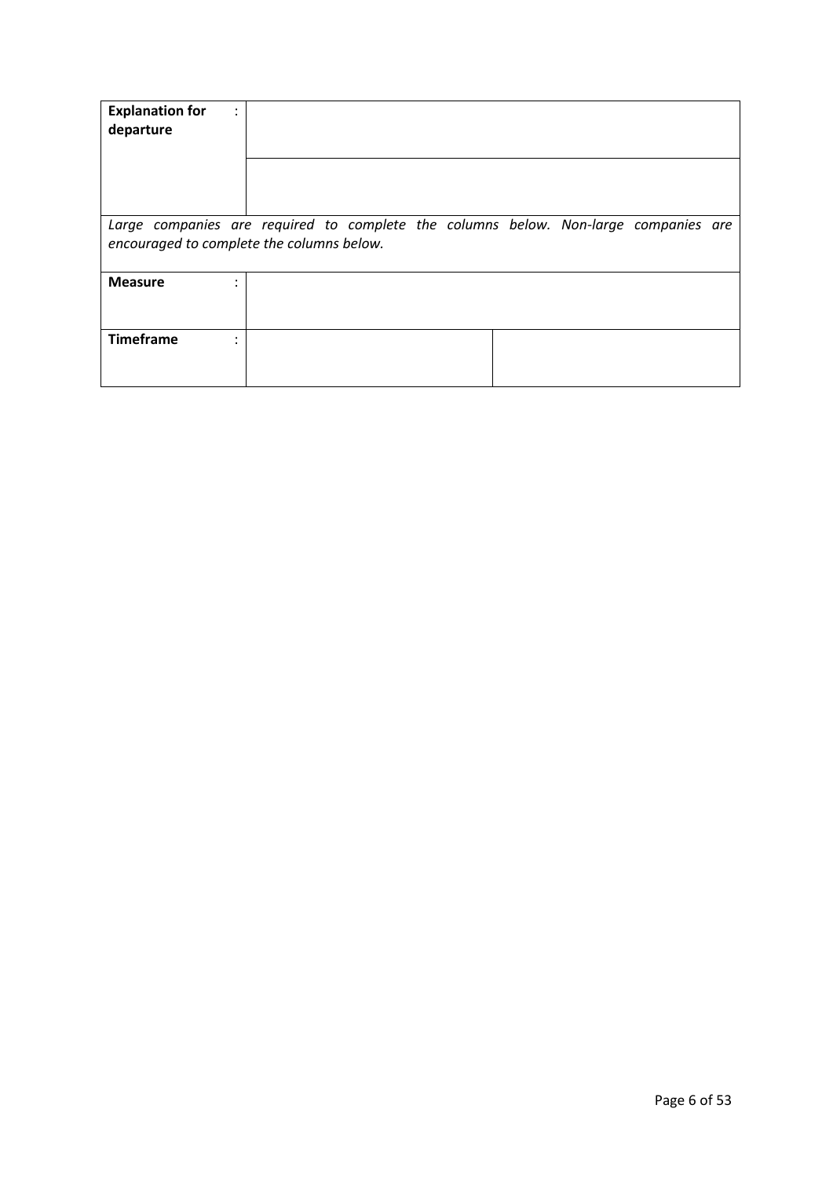| <b>Explanation for</b><br>departure                                                                                              | $\bullet$ |  |  |  |  |  |
|----------------------------------------------------------------------------------------------------------------------------------|-----------|--|--|--|--|--|
|                                                                                                                                  |           |  |  |  |  |  |
| Large companies are required to complete the columns below. Non-large companies are<br>encouraged to complete the columns below. |           |  |  |  |  |  |
| <b>Measure</b>                                                                                                                   |           |  |  |  |  |  |
| <b>Timeframe</b>                                                                                                                 |           |  |  |  |  |  |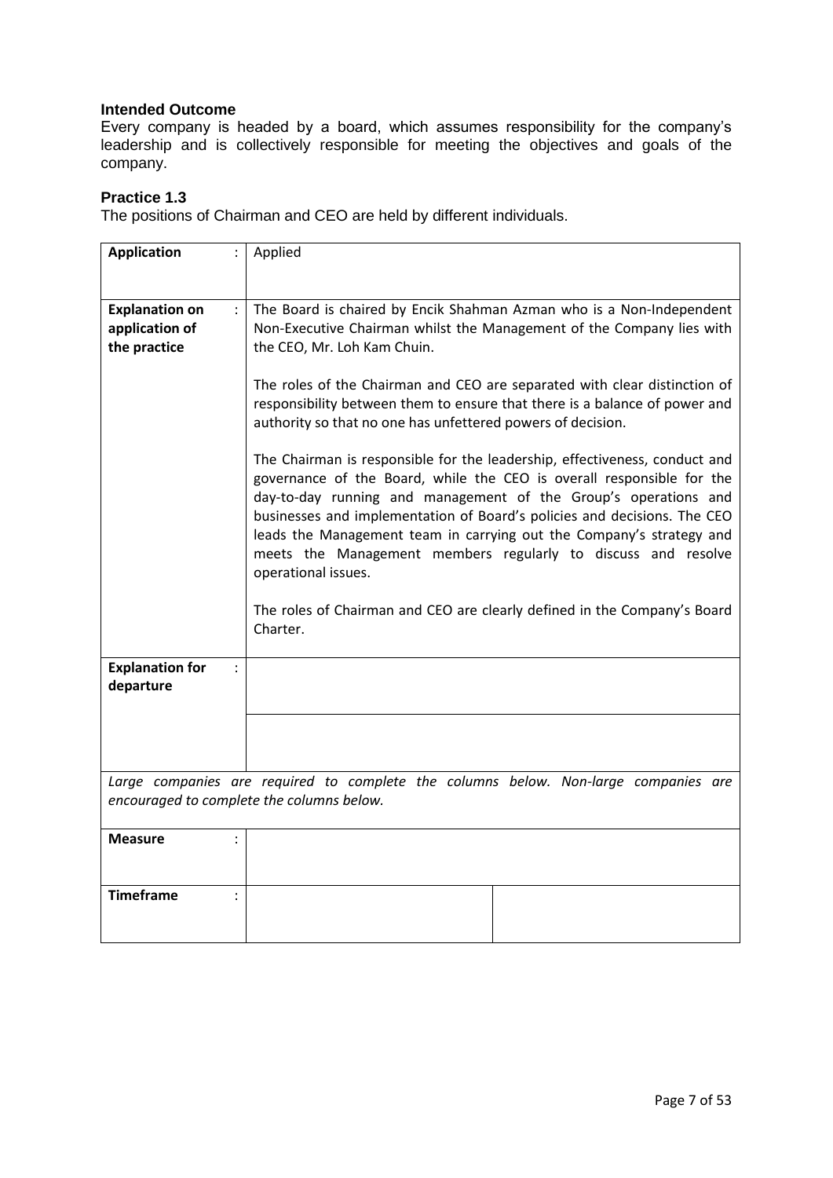Every company is headed by a board, which assumes responsibility for the company's leadership and is collectively responsible for meeting the objectives and goals of the company.

### **Practice 1.3**

The positions of Chairman and CEO are held by different individuals.

| <b>Application</b>                                                              | Applied                                                                                                                                                                                                                                                                                                                                                                                                                                                                                                                                                                                                                                                                                                                                                                                                                                                                      |
|---------------------------------------------------------------------------------|------------------------------------------------------------------------------------------------------------------------------------------------------------------------------------------------------------------------------------------------------------------------------------------------------------------------------------------------------------------------------------------------------------------------------------------------------------------------------------------------------------------------------------------------------------------------------------------------------------------------------------------------------------------------------------------------------------------------------------------------------------------------------------------------------------------------------------------------------------------------------|
|                                                                                 |                                                                                                                                                                                                                                                                                                                                                                                                                                                                                                                                                                                                                                                                                                                                                                                                                                                                              |
| <b>Explanation on</b><br>$\ddot{\phantom{0}}$<br>application of<br>the practice | The Board is chaired by Encik Shahman Azman who is a Non-Independent<br>Non-Executive Chairman whilst the Management of the Company lies with<br>the CEO, Mr. Loh Kam Chuin.<br>The roles of the Chairman and CEO are separated with clear distinction of<br>responsibility between them to ensure that there is a balance of power and<br>authority so that no one has unfettered powers of decision.<br>The Chairman is responsible for the leadership, effectiveness, conduct and<br>governance of the Board, while the CEO is overall responsible for the<br>day-to-day running and management of the Group's operations and<br>businesses and implementation of Board's policies and decisions. The CEO<br>leads the Management team in carrying out the Company's strategy and<br>meets the Management members regularly to discuss and resolve<br>operational issues. |
|                                                                                 | The roles of Chairman and CEO are clearly defined in the Company's Board<br>Charter.                                                                                                                                                                                                                                                                                                                                                                                                                                                                                                                                                                                                                                                                                                                                                                                         |
| <b>Explanation for</b><br>$\vdots$<br>departure                                 |                                                                                                                                                                                                                                                                                                                                                                                                                                                                                                                                                                                                                                                                                                                                                                                                                                                                              |
|                                                                                 |                                                                                                                                                                                                                                                                                                                                                                                                                                                                                                                                                                                                                                                                                                                                                                                                                                                                              |
|                                                                                 | Large companies are required to complete the columns below. Non-large companies are<br>encouraged to complete the columns below.                                                                                                                                                                                                                                                                                                                                                                                                                                                                                                                                                                                                                                                                                                                                             |
| <b>Measure</b>                                                                  |                                                                                                                                                                                                                                                                                                                                                                                                                                                                                                                                                                                                                                                                                                                                                                                                                                                                              |
| <b>Timeframe</b><br>$\ddot{\phantom{a}}$                                        |                                                                                                                                                                                                                                                                                                                                                                                                                                                                                                                                                                                                                                                                                                                                                                                                                                                                              |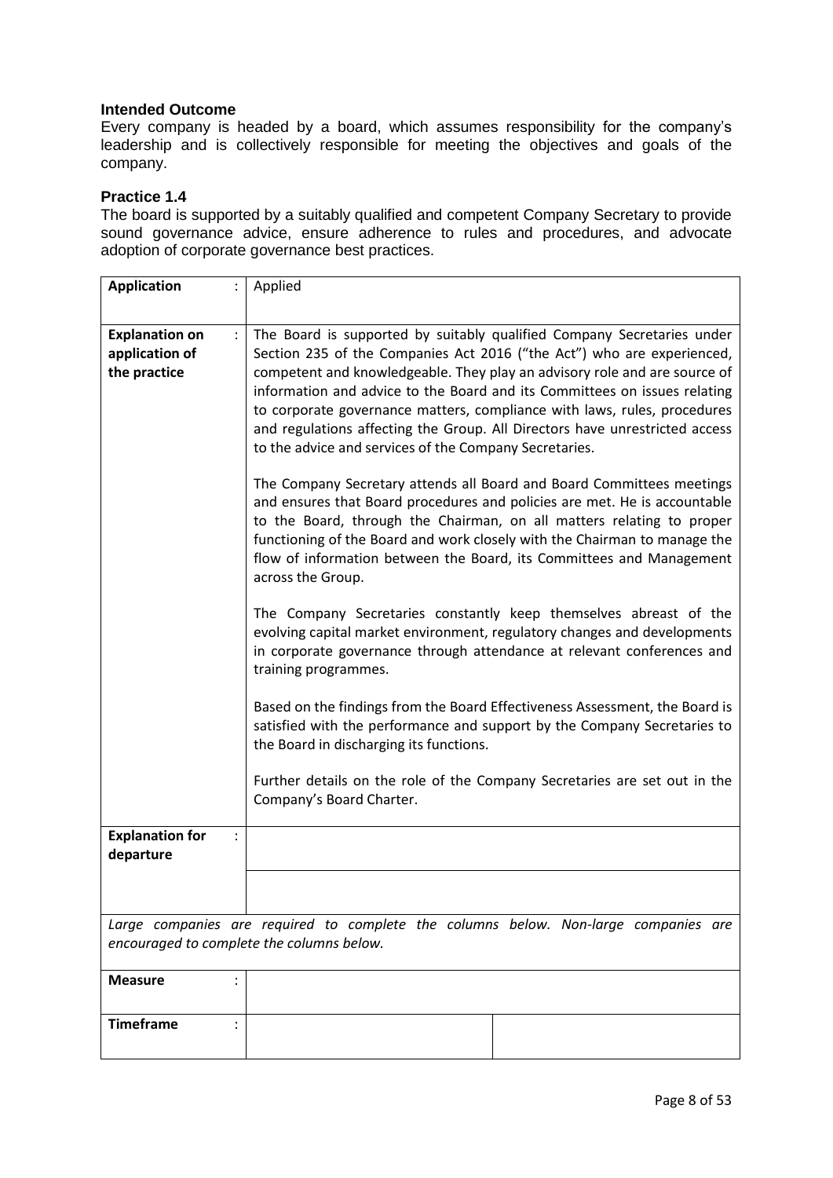Every company is headed by a board, which assumes responsibility for the company's leadership and is collectively responsible for meeting the objectives and goals of the company.

### **Practice 1.4**

The board is supported by a suitably qualified and competent Company Secretary to provide sound governance advice, ensure adherence to rules and procedures, and advocate adoption of corporate governance best practices.

| <b>Application</b>                                                              | Applied                                                                                                                                                                                                                                                                                                                                                                                                                                                                                                                         |  |  |  |  |  |  |
|---------------------------------------------------------------------------------|---------------------------------------------------------------------------------------------------------------------------------------------------------------------------------------------------------------------------------------------------------------------------------------------------------------------------------------------------------------------------------------------------------------------------------------------------------------------------------------------------------------------------------|--|--|--|--|--|--|
|                                                                                 |                                                                                                                                                                                                                                                                                                                                                                                                                                                                                                                                 |  |  |  |  |  |  |
| <b>Explanation on</b><br>$\ddot{\phantom{0}}$<br>application of<br>the practice | The Board is supported by suitably qualified Company Secretaries under<br>Section 235 of the Companies Act 2016 ("the Act") who are experienced,<br>competent and knowledgeable. They play an advisory role and are source of<br>information and advice to the Board and its Committees on issues relating<br>to corporate governance matters, compliance with laws, rules, procedures<br>and regulations affecting the Group. All Directors have unrestricted access<br>to the advice and services of the Company Secretaries. |  |  |  |  |  |  |
|                                                                                 | The Company Secretary attends all Board and Board Committees meetings<br>and ensures that Board procedures and policies are met. He is accountable<br>to the Board, through the Chairman, on all matters relating to proper<br>functioning of the Board and work closely with the Chairman to manage the<br>flow of information between the Board, its Committees and Management<br>across the Group.                                                                                                                           |  |  |  |  |  |  |
|                                                                                 | The Company Secretaries constantly keep themselves abreast of the<br>evolving capital market environment, regulatory changes and developments<br>in corporate governance through attendance at relevant conferences and<br>training programmes.                                                                                                                                                                                                                                                                                 |  |  |  |  |  |  |
|                                                                                 | Based on the findings from the Board Effectiveness Assessment, the Board is<br>satisfied with the performance and support by the Company Secretaries to<br>the Board in discharging its functions.                                                                                                                                                                                                                                                                                                                              |  |  |  |  |  |  |
|                                                                                 | Further details on the role of the Company Secretaries are set out in the<br>Company's Board Charter.                                                                                                                                                                                                                                                                                                                                                                                                                           |  |  |  |  |  |  |
| <b>Explanation for</b><br>$\ddot{\cdot}$<br>departure                           |                                                                                                                                                                                                                                                                                                                                                                                                                                                                                                                                 |  |  |  |  |  |  |
|                                                                                 |                                                                                                                                                                                                                                                                                                                                                                                                                                                                                                                                 |  |  |  |  |  |  |
|                                                                                 | Large companies are required to complete the columns below. Non-large companies are<br>encouraged to complete the columns below.                                                                                                                                                                                                                                                                                                                                                                                                |  |  |  |  |  |  |
| <b>Measure</b>                                                                  |                                                                                                                                                                                                                                                                                                                                                                                                                                                                                                                                 |  |  |  |  |  |  |
| <b>Timeframe</b>                                                                |                                                                                                                                                                                                                                                                                                                                                                                                                                                                                                                                 |  |  |  |  |  |  |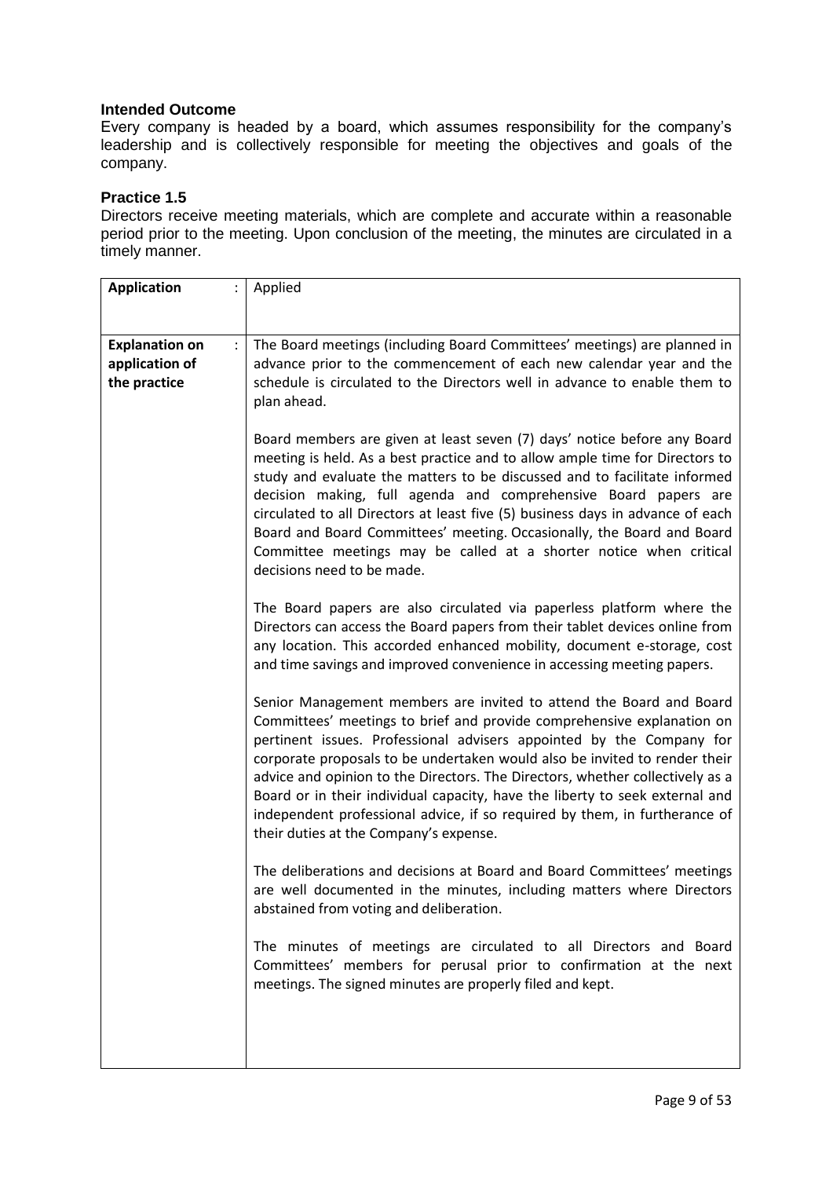Every company is headed by a board, which assumes responsibility for the company's leadership and is collectively responsible for meeting the objectives and goals of the company.

#### **Practice 1.5**

Directors receive meeting materials, which are complete and accurate within a reasonable period prior to the meeting. Upon conclusion of the meeting, the minutes are circulated in a timely manner.

| <b>Application</b>                                      | Applied                                                                                                                                                                                                                                                                                                                                                                                                                                                                                                                                                                                      |
|---------------------------------------------------------|----------------------------------------------------------------------------------------------------------------------------------------------------------------------------------------------------------------------------------------------------------------------------------------------------------------------------------------------------------------------------------------------------------------------------------------------------------------------------------------------------------------------------------------------------------------------------------------------|
|                                                         |                                                                                                                                                                                                                                                                                                                                                                                                                                                                                                                                                                                              |
| <b>Explanation on</b><br>application of<br>the practice | The Board meetings (including Board Committees' meetings) are planned in<br>advance prior to the commencement of each new calendar year and the<br>schedule is circulated to the Directors well in advance to enable them to<br>plan ahead.                                                                                                                                                                                                                                                                                                                                                  |
|                                                         | Board members are given at least seven (7) days' notice before any Board<br>meeting is held. As a best practice and to allow ample time for Directors to<br>study and evaluate the matters to be discussed and to facilitate informed<br>decision making, full agenda and comprehensive Board papers are<br>circulated to all Directors at least five (5) business days in advance of each<br>Board and Board Committees' meeting. Occasionally, the Board and Board<br>Committee meetings may be called at a shorter notice when critical<br>decisions need to be made.                     |
|                                                         | The Board papers are also circulated via paperless platform where the<br>Directors can access the Board papers from their tablet devices online from<br>any location. This accorded enhanced mobility, document e-storage, cost<br>and time savings and improved convenience in accessing meeting papers.                                                                                                                                                                                                                                                                                    |
|                                                         | Senior Management members are invited to attend the Board and Board<br>Committees' meetings to brief and provide comprehensive explanation on<br>pertinent issues. Professional advisers appointed by the Company for<br>corporate proposals to be undertaken would also be invited to render their<br>advice and opinion to the Directors. The Directors, whether collectively as a<br>Board or in their individual capacity, have the liberty to seek external and<br>independent professional advice, if so required by them, in furtherance of<br>their duties at the Company's expense. |
|                                                         | The deliberations and decisions at Board and Board Committees' meetings<br>are well documented in the minutes, including matters where Directors<br>abstained from voting and deliberation.                                                                                                                                                                                                                                                                                                                                                                                                  |
|                                                         | The minutes of meetings are circulated to all Directors and Board<br>Committees' members for perusal prior to confirmation at the next<br>meetings. The signed minutes are properly filed and kept.                                                                                                                                                                                                                                                                                                                                                                                          |
|                                                         |                                                                                                                                                                                                                                                                                                                                                                                                                                                                                                                                                                                              |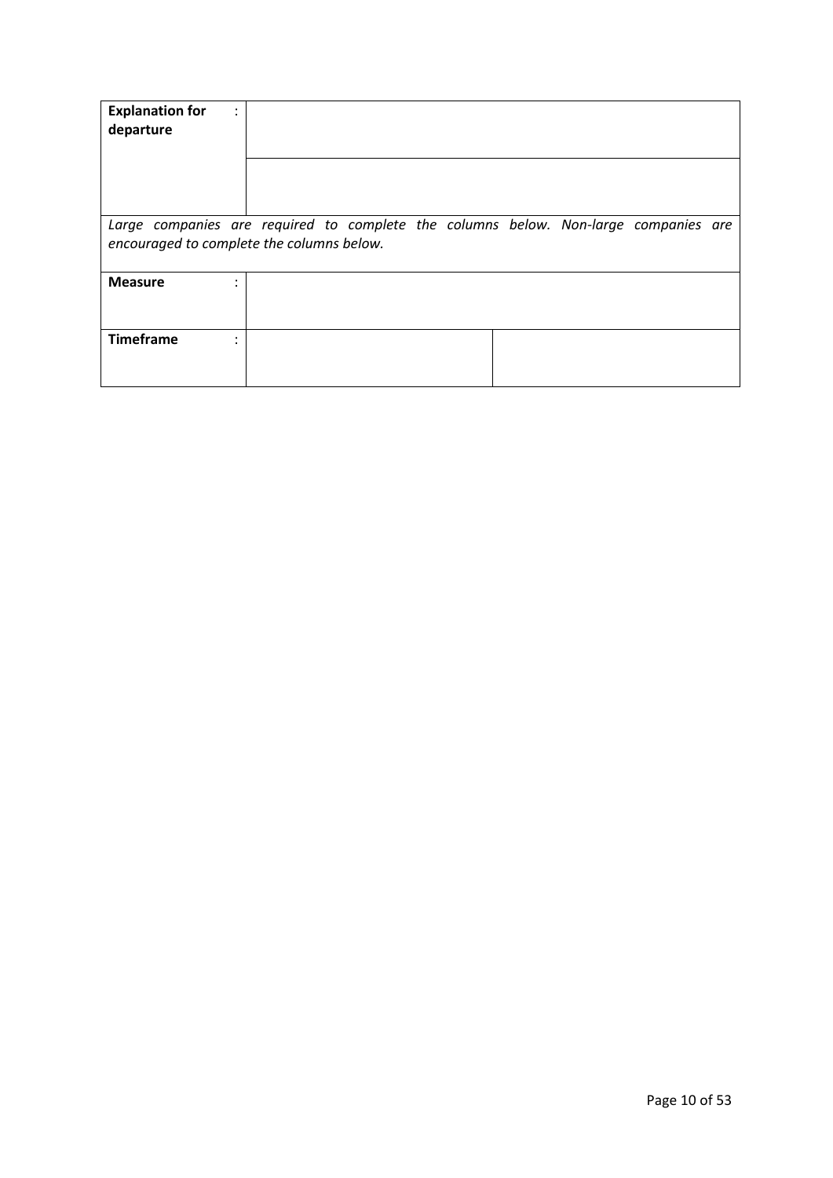| <b>Explanation for</b><br>departure                                                                                              | $\bullet$ |  |  |  |  |  |
|----------------------------------------------------------------------------------------------------------------------------------|-----------|--|--|--|--|--|
|                                                                                                                                  |           |  |  |  |  |  |
| Large companies are required to complete the columns below. Non-large companies are<br>encouraged to complete the columns below. |           |  |  |  |  |  |
| <b>Measure</b>                                                                                                                   |           |  |  |  |  |  |
| <b>Timeframe</b>                                                                                                                 |           |  |  |  |  |  |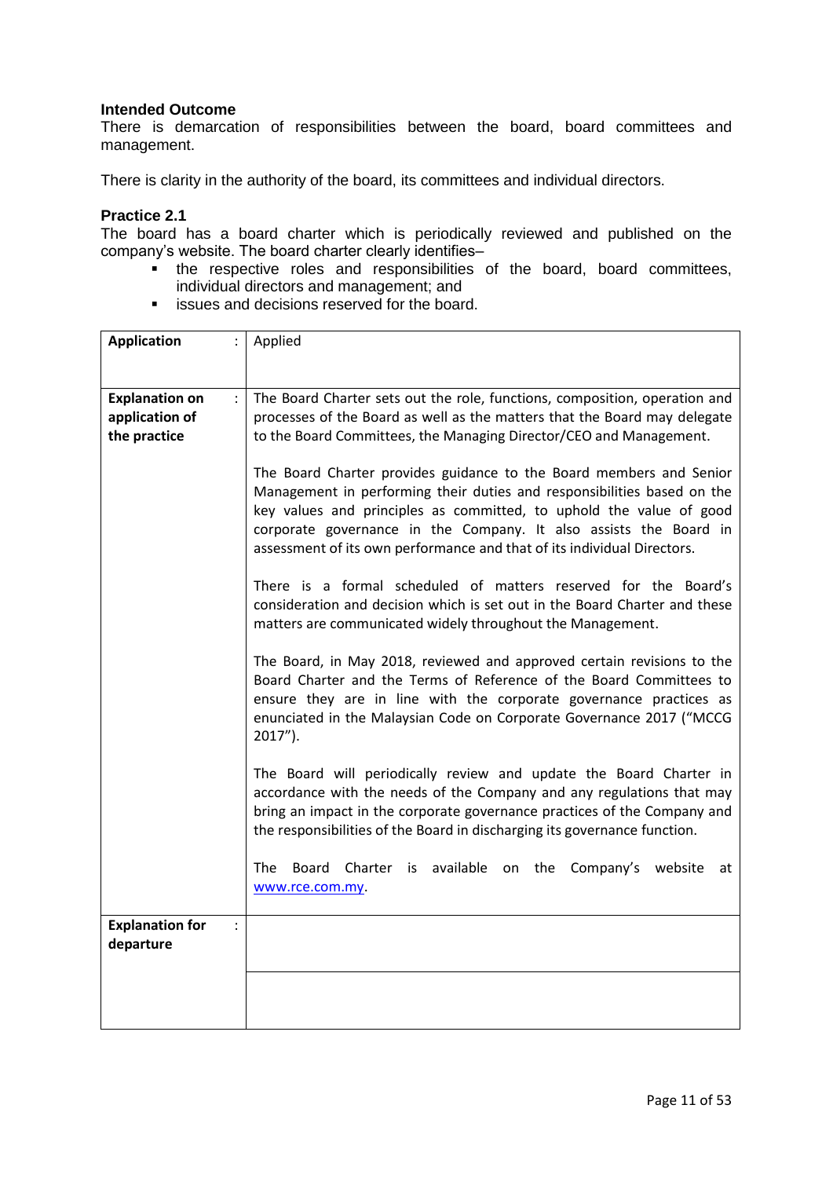There is demarcation of responsibilities between the board, board committees and management.

There is clarity in the authority of the board, its committees and individual directors.

#### **Practice 2.1**

The board has a board charter which is periodically reviewed and published on the company's website. The board charter clearly identifies–

- the respective roles and responsibilities of the board, board committees, individual directors and management; and
- **EXECUTE:** issues and decisions reserved for the board.

| <b>Application</b>                            | Applied                                                                                                                                                                                                                                                                                                                                                               |
|-----------------------------------------------|-----------------------------------------------------------------------------------------------------------------------------------------------------------------------------------------------------------------------------------------------------------------------------------------------------------------------------------------------------------------------|
|                                               |                                                                                                                                                                                                                                                                                                                                                                       |
| <b>Explanation on</b><br>$\ddot{\phantom{a}}$ | The Board Charter sets out the role, functions, composition, operation and                                                                                                                                                                                                                                                                                            |
| application of                                | processes of the Board as well as the matters that the Board may delegate                                                                                                                                                                                                                                                                                             |
| the practice                                  | to the Board Committees, the Managing Director/CEO and Management.                                                                                                                                                                                                                                                                                                    |
|                                               |                                                                                                                                                                                                                                                                                                                                                                       |
|                                               | The Board Charter provides guidance to the Board members and Senior<br>Management in performing their duties and responsibilities based on the<br>key values and principles as committed, to uphold the value of good<br>corporate governance in the Company. It also assists the Board in<br>assessment of its own performance and that of its individual Directors. |
|                                               | There is a formal scheduled of matters reserved for the Board's<br>consideration and decision which is set out in the Board Charter and these<br>matters are communicated widely throughout the Management.                                                                                                                                                           |
|                                               | The Board, in May 2018, reviewed and approved certain revisions to the<br>Board Charter and the Terms of Reference of the Board Committees to<br>ensure they are in line with the corporate governance practices as<br>enunciated in the Malaysian Code on Corporate Governance 2017 ("MCCG<br>$2017$ ").                                                             |
|                                               | The Board will periodically review and update the Board Charter in<br>accordance with the needs of the Company and any regulations that may<br>bring an impact in the corporate governance practices of the Company and<br>the responsibilities of the Board in discharging its governance function.                                                                  |
|                                               | Charter is available on the Company's website<br><b>The</b><br>Board<br>at<br>www.rce.com.my.                                                                                                                                                                                                                                                                         |
| <b>Explanation for</b><br>$\ddot{\cdot}$      |                                                                                                                                                                                                                                                                                                                                                                       |
| departure                                     |                                                                                                                                                                                                                                                                                                                                                                       |
|                                               |                                                                                                                                                                                                                                                                                                                                                                       |
|                                               |                                                                                                                                                                                                                                                                                                                                                                       |
|                                               |                                                                                                                                                                                                                                                                                                                                                                       |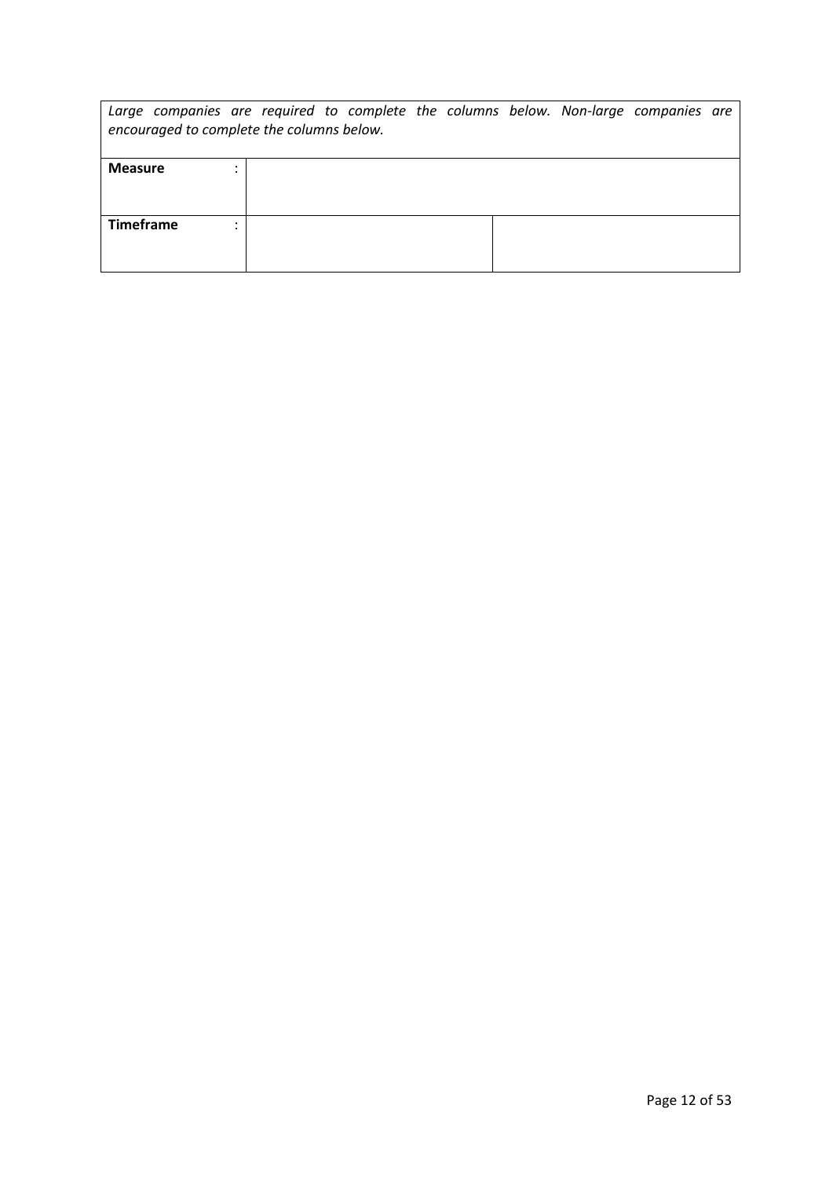| Large companies are required to complete the columns below. Non-large companies are<br>encouraged to complete the columns below. |  |  |  |
|----------------------------------------------------------------------------------------------------------------------------------|--|--|--|
| <b>Measure</b>                                                                                                                   |  |  |  |
| <b>Timeframe</b><br>٠                                                                                                            |  |  |  |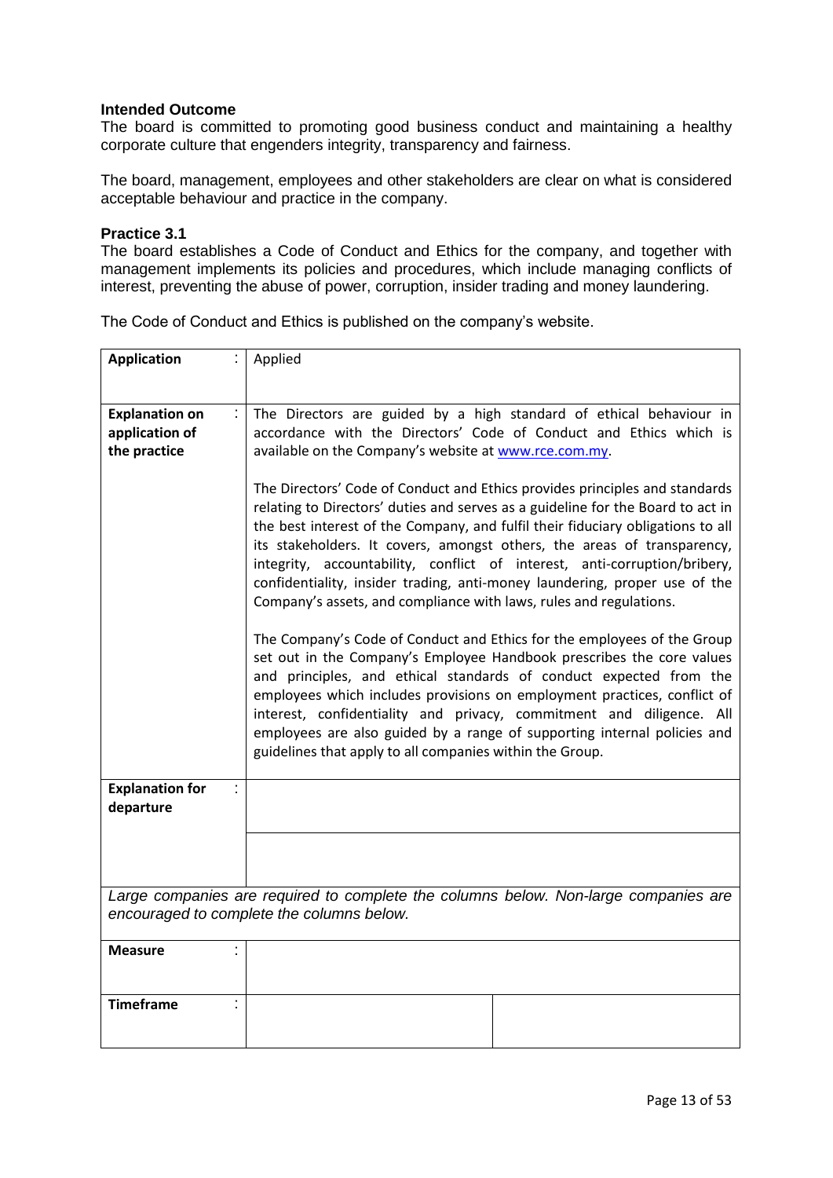The board is committed to promoting good business conduct and maintaining a healthy corporate culture that engenders integrity, transparency and fairness.

The board, management, employees and other stakeholders are clear on what is considered acceptable behaviour and practice in the company.

#### **Practice 3.1**

The board establishes a Code of Conduct and Ethics for the company, and together with management implements its policies and procedures, which include managing conflicts of interest, preventing the abuse of power, corruption, insider trading and money laundering.

| <b>Application</b>                                                               | Applied                                                                                                                                                                                                                                                                                                                                                                                                                                                                                                                                                       |
|----------------------------------------------------------------------------------|---------------------------------------------------------------------------------------------------------------------------------------------------------------------------------------------------------------------------------------------------------------------------------------------------------------------------------------------------------------------------------------------------------------------------------------------------------------------------------------------------------------------------------------------------------------|
|                                                                                  |                                                                                                                                                                                                                                                                                                                                                                                                                                                                                                                                                               |
| <b>Explanation on</b><br>$\mathbb{C}^{\times}$<br>application of<br>the practice | The Directors are guided by a high standard of ethical behaviour in<br>accordance with the Directors' Code of Conduct and Ethics which is<br>available on the Company's website at www.rce.com.my.                                                                                                                                                                                                                                                                                                                                                            |
|                                                                                  | The Directors' Code of Conduct and Ethics provides principles and standards<br>relating to Directors' duties and serves as a guideline for the Board to act in<br>the best interest of the Company, and fulfil their fiduciary obligations to all<br>its stakeholders. It covers, amongst others, the areas of transparency,<br>integrity, accountability, conflict of interest, anti-corruption/bribery,<br>confidentiality, insider trading, anti-money laundering, proper use of the<br>Company's assets, and compliance with laws, rules and regulations. |
|                                                                                  | The Company's Code of Conduct and Ethics for the employees of the Group<br>set out in the Company's Employee Handbook prescribes the core values<br>and principles, and ethical standards of conduct expected from the<br>employees which includes provisions on employment practices, conflict of<br>interest, confidentiality and privacy, commitment and diligence. All<br>employees are also guided by a range of supporting internal policies and<br>guidelines that apply to all companies within the Group.                                            |
| <b>Explanation for</b><br>departure                                              |                                                                                                                                                                                                                                                                                                                                                                                                                                                                                                                                                               |
|                                                                                  |                                                                                                                                                                                                                                                                                                                                                                                                                                                                                                                                                               |
|                                                                                  | Large companies are required to complete the columns below. Non-large companies are<br>encouraged to complete the columns below.                                                                                                                                                                                                                                                                                                                                                                                                                              |
| <b>Measure</b>                                                                   |                                                                                                                                                                                                                                                                                                                                                                                                                                                                                                                                                               |
| <b>Timeframe</b>                                                                 |                                                                                                                                                                                                                                                                                                                                                                                                                                                                                                                                                               |

The Code of Conduct and Ethics is published on the company's website.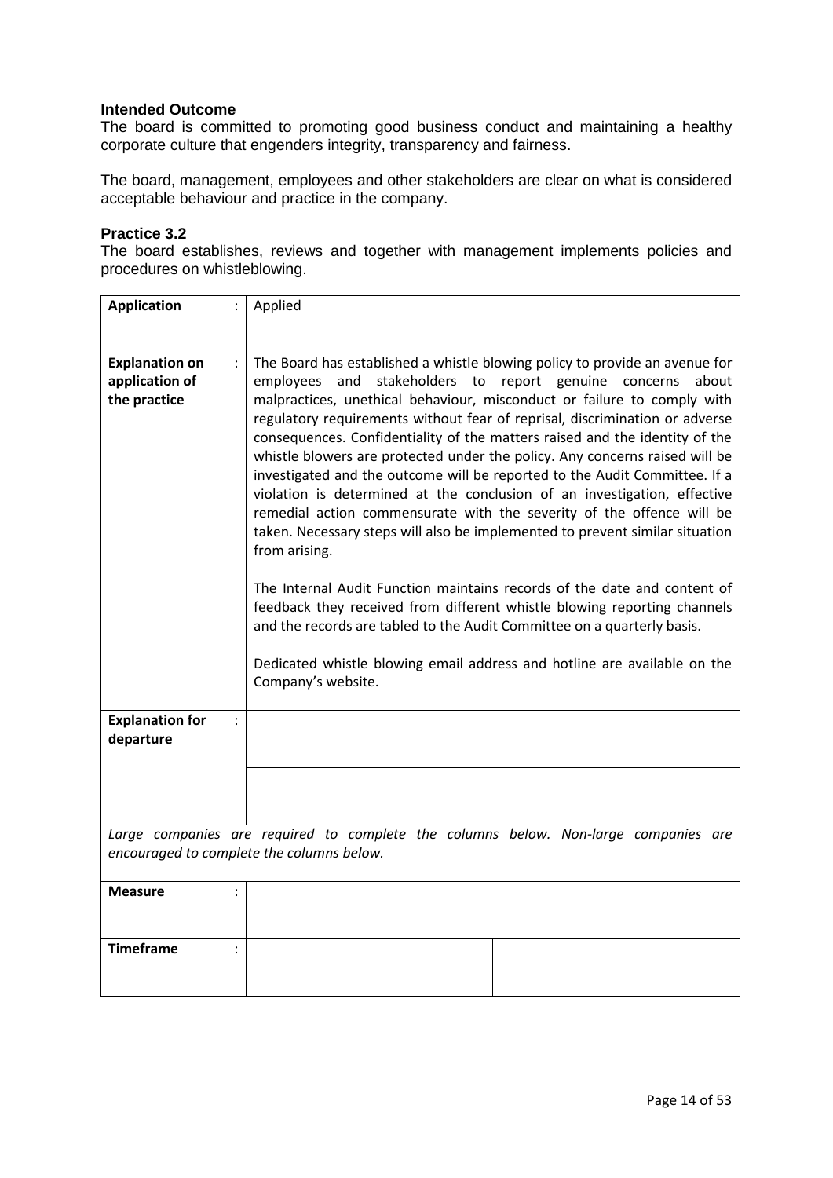The board is committed to promoting good business conduct and maintaining a healthy corporate culture that engenders integrity, transparency and fairness.

The board, management, employees and other stakeholders are clear on what is considered acceptable behaviour and practice in the company.

#### **Practice 3.2**

The board establishes, reviews and together with management implements policies and procedures on whistleblowing.

| <b>Application</b>                                                                                                               | Applied                                                                                                                                                                                                                                                                                                                                                                                                                                                                                                                                                                                                                                                                                                                                                                                                                                                                                                                                                                                                                                                                                                                        |  |
|----------------------------------------------------------------------------------------------------------------------------------|--------------------------------------------------------------------------------------------------------------------------------------------------------------------------------------------------------------------------------------------------------------------------------------------------------------------------------------------------------------------------------------------------------------------------------------------------------------------------------------------------------------------------------------------------------------------------------------------------------------------------------------------------------------------------------------------------------------------------------------------------------------------------------------------------------------------------------------------------------------------------------------------------------------------------------------------------------------------------------------------------------------------------------------------------------------------------------------------------------------------------------|--|
| <b>Explanation on</b><br>$\mathbf{L}$<br>application of<br>the practice                                                          | The Board has established a whistle blowing policy to provide an avenue for<br>stakeholders to report genuine concerns<br>employees<br>and<br>about<br>malpractices, unethical behaviour, misconduct or failure to comply with<br>regulatory requirements without fear of reprisal, discrimination or adverse<br>consequences. Confidentiality of the matters raised and the identity of the<br>whistle blowers are protected under the policy. Any concerns raised will be<br>investigated and the outcome will be reported to the Audit Committee. If a<br>violation is determined at the conclusion of an investigation, effective<br>remedial action commensurate with the severity of the offence will be<br>taken. Necessary steps will also be implemented to prevent similar situation<br>from arising.<br>The Internal Audit Function maintains records of the date and content of<br>feedback they received from different whistle blowing reporting channels<br>and the records are tabled to the Audit Committee on a quarterly basis.<br>Dedicated whistle blowing email address and hotline are available on the |  |
| <b>Explanation for</b>                                                                                                           | Company's website.                                                                                                                                                                                                                                                                                                                                                                                                                                                                                                                                                                                                                                                                                                                                                                                                                                                                                                                                                                                                                                                                                                             |  |
| departure                                                                                                                        |                                                                                                                                                                                                                                                                                                                                                                                                                                                                                                                                                                                                                                                                                                                                                                                                                                                                                                                                                                                                                                                                                                                                |  |
|                                                                                                                                  |                                                                                                                                                                                                                                                                                                                                                                                                                                                                                                                                                                                                                                                                                                                                                                                                                                                                                                                                                                                                                                                                                                                                |  |
| Large companies are required to complete the columns below. Non-large companies are<br>encouraged to complete the columns below. |                                                                                                                                                                                                                                                                                                                                                                                                                                                                                                                                                                                                                                                                                                                                                                                                                                                                                                                                                                                                                                                                                                                                |  |
| <b>Measure</b>                                                                                                                   |                                                                                                                                                                                                                                                                                                                                                                                                                                                                                                                                                                                                                                                                                                                                                                                                                                                                                                                                                                                                                                                                                                                                |  |
| <b>Timeframe</b>                                                                                                                 |                                                                                                                                                                                                                                                                                                                                                                                                                                                                                                                                                                                                                                                                                                                                                                                                                                                                                                                                                                                                                                                                                                                                |  |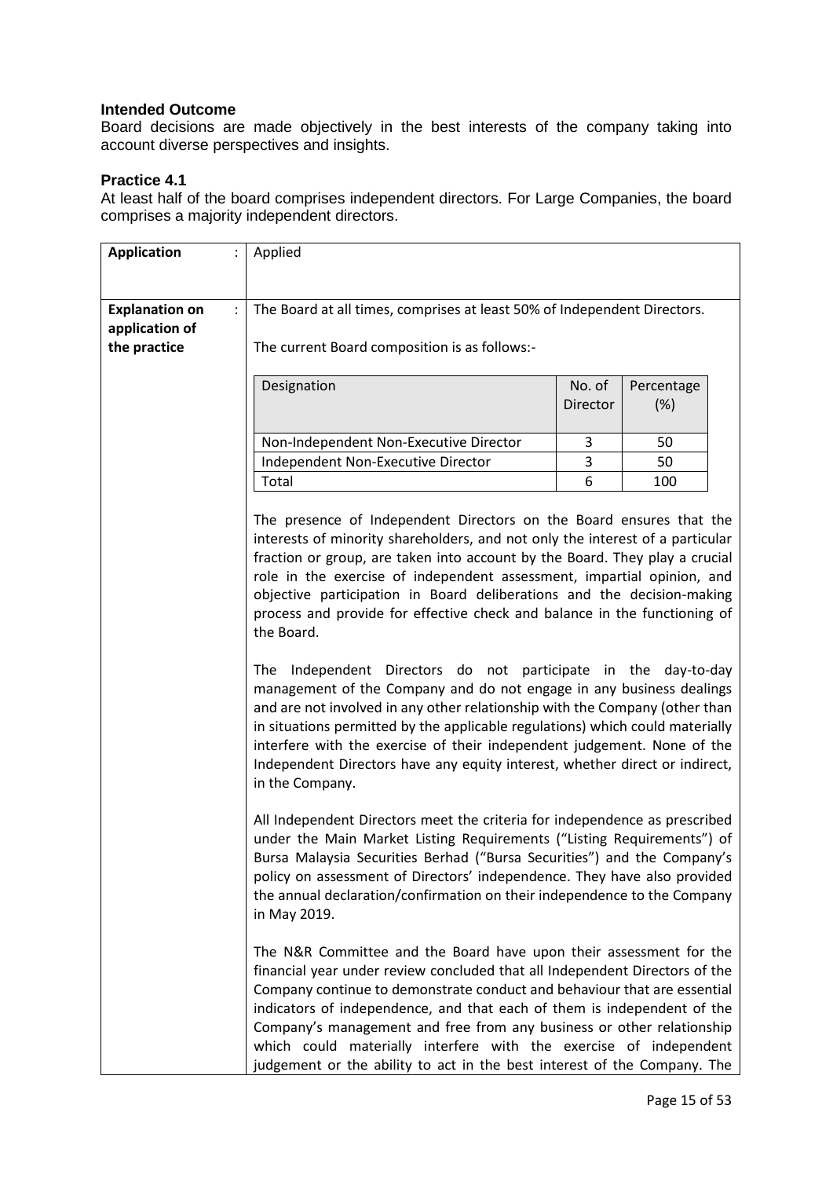Board decisions are made objectively in the best interests of the company taking into account diverse perspectives and insights.

## **Practice 4.1**

At least half of the board comprises independent directors. For Large Companies, the board comprises a majority independent directors.

| <b>Application</b>    | $\ddot{\phantom{a}}$ | Applied                                                                                                                                                                                                                                                                                                                                                                                                                                                                                                                                                                                                                                                                                                                                                                                                              |                           |                   |
|-----------------------|----------------------|----------------------------------------------------------------------------------------------------------------------------------------------------------------------------------------------------------------------------------------------------------------------------------------------------------------------------------------------------------------------------------------------------------------------------------------------------------------------------------------------------------------------------------------------------------------------------------------------------------------------------------------------------------------------------------------------------------------------------------------------------------------------------------------------------------------------|---------------------------|-------------------|
|                       |                      |                                                                                                                                                                                                                                                                                                                                                                                                                                                                                                                                                                                                                                                                                                                                                                                                                      |                           |                   |
| <b>Explanation on</b> | $\ddot{\phantom{a}}$ | The Board at all times, comprises at least 50% of Independent Directors.                                                                                                                                                                                                                                                                                                                                                                                                                                                                                                                                                                                                                                                                                                                                             |                           |                   |
| application of        |                      |                                                                                                                                                                                                                                                                                                                                                                                                                                                                                                                                                                                                                                                                                                                                                                                                                      |                           |                   |
| the practice          |                      | The current Board composition is as follows:-                                                                                                                                                                                                                                                                                                                                                                                                                                                                                                                                                                                                                                                                                                                                                                        |                           |                   |
|                       |                      | Designation                                                                                                                                                                                                                                                                                                                                                                                                                                                                                                                                                                                                                                                                                                                                                                                                          | No. of<br><b>Director</b> | Percentage<br>(%) |
|                       |                      | Non-Independent Non-Executive Director                                                                                                                                                                                                                                                                                                                                                                                                                                                                                                                                                                                                                                                                                                                                                                               | 3                         | 50                |
|                       |                      | Independent Non-Executive Director                                                                                                                                                                                                                                                                                                                                                                                                                                                                                                                                                                                                                                                                                                                                                                                   | 3                         | 50                |
|                       |                      | Total                                                                                                                                                                                                                                                                                                                                                                                                                                                                                                                                                                                                                                                                                                                                                                                                                | 6                         | 100               |
|                       |                      | fraction or group, are taken into account by the Board. They play a crucial<br>role in the exercise of independent assessment, impartial opinion, and<br>objective participation in Board deliberations and the decision-making<br>process and provide for effective check and balance in the functioning of<br>the Board.<br>Independent Directors do not participate in the day-to-day<br>The<br>management of the Company and do not engage in any business dealings<br>and are not involved in any other relationship with the Company (other than<br>in situations permitted by the applicable regulations) which could materially<br>interfere with the exercise of their independent judgement. None of the<br>Independent Directors have any equity interest, whether direct or indirect,<br>in the Company. |                           |                   |
|                       |                      | All Independent Directors meet the criteria for independence as prescribed<br>under the Main Market Listing Requirements ("Listing Requirements") of<br>Bursa Malaysia Securities Berhad ("Bursa Securities") and the Company's<br>policy on assessment of Directors' independence. They have also provided<br>the annual declaration/confirmation on their independence to the Company<br>in May 2019.                                                                                                                                                                                                                                                                                                                                                                                                              |                           |                   |
|                       |                      | The N&R Committee and the Board have upon their assessment for the<br>financial year under review concluded that all Independent Directors of the<br>Company continue to demonstrate conduct and behaviour that are essential<br>indicators of independence, and that each of them is independent of the<br>Company's management and free from any business or other relationship<br>which could materially interfere with the exercise of independent<br>judgement or the ability to act in the best interest of the Company. The                                                                                                                                                                                                                                                                                   |                           |                   |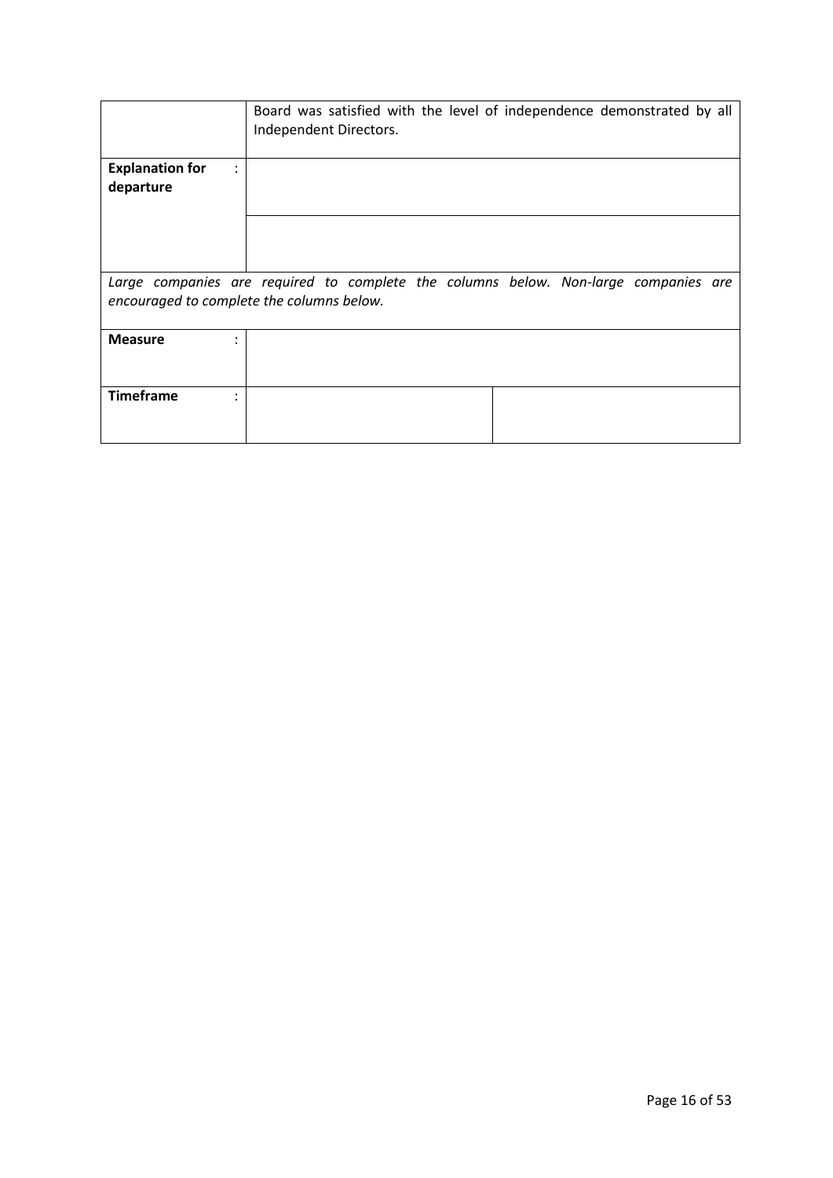|                                                                                                                                  | Board was satisfied with the level of independence demonstrated by all<br>Independent Directors. |  |
|----------------------------------------------------------------------------------------------------------------------------------|--------------------------------------------------------------------------------------------------|--|
| <b>Explanation for</b><br>÷<br>departure                                                                                         |                                                                                                  |  |
|                                                                                                                                  |                                                                                                  |  |
| Large companies are required to complete the columns below. Non-large companies are<br>encouraged to complete the columns below. |                                                                                                  |  |
| <b>Measure</b>                                                                                                                   |                                                                                                  |  |
| <b>Timeframe</b>                                                                                                                 |                                                                                                  |  |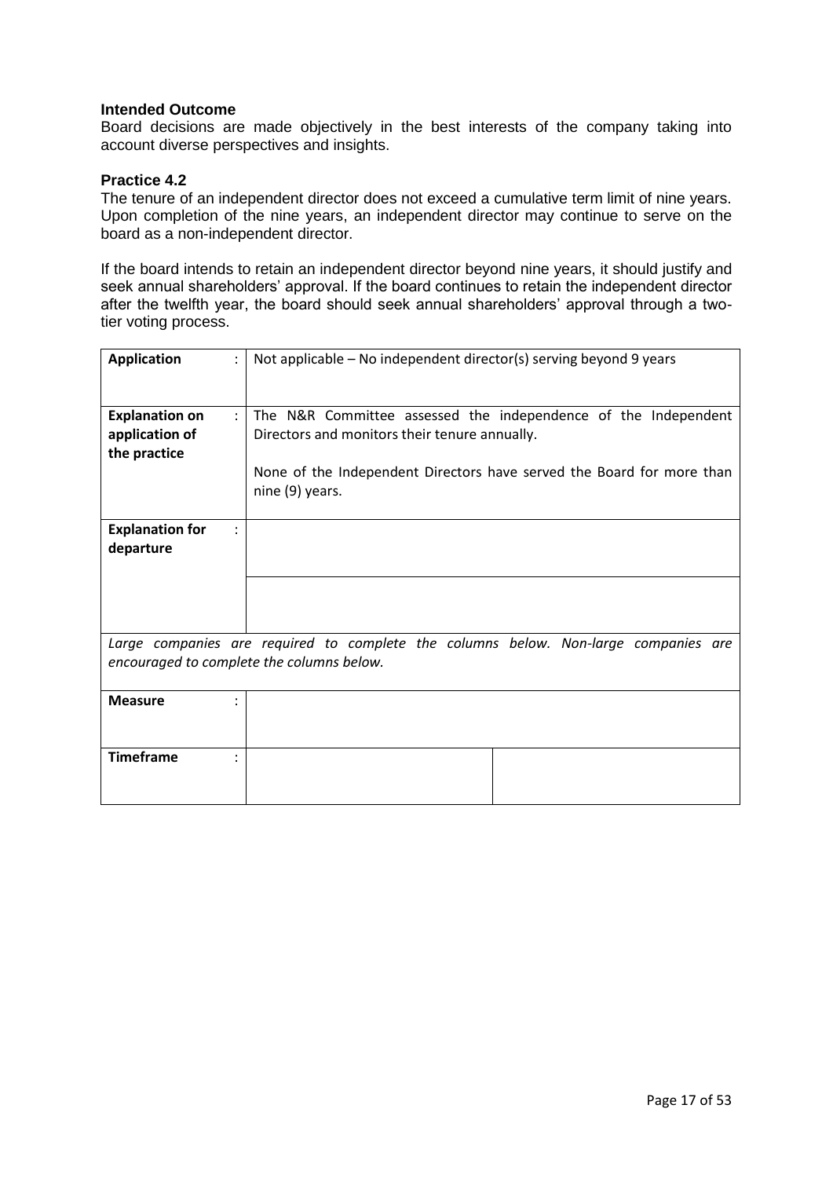Board decisions are made objectively in the best interests of the company taking into account diverse perspectives and insights.

### **Practice 4.2**

The tenure of an independent director does not exceed a cumulative term limit of nine years. Upon completion of the nine years, an independent director may continue to serve on the board as a non-independent director.

If the board intends to retain an independent director beyond nine years, it should justify and seek annual shareholders' approval. If the board continues to retain the independent director after the twelfth year, the board should seek annual shareholders' approval through a twotier voting process.

| <b>Application</b>                        | Not applicable - No independent director(s) serving beyond 9 years                       |
|-------------------------------------------|------------------------------------------------------------------------------------------|
| <b>Explanation on</b>                     | The N&R Committee assessed the independence of the Independent                           |
| application of                            | Directors and monitors their tenure annually.                                            |
| the practice                              |                                                                                          |
|                                           | None of the Independent Directors have served the Board for more than<br>nine (9) years. |
| <b>Explanation for</b>                    |                                                                                          |
| departure                                 |                                                                                          |
|                                           |                                                                                          |
|                                           |                                                                                          |
|                                           | Large companies are required to complete the columns below. Non-large companies are      |
| encouraged to complete the columns below. |                                                                                          |
| <b>Measure</b>                            |                                                                                          |
|                                           |                                                                                          |
| <b>Timeframe</b>                          |                                                                                          |
|                                           |                                                                                          |
|                                           |                                                                                          |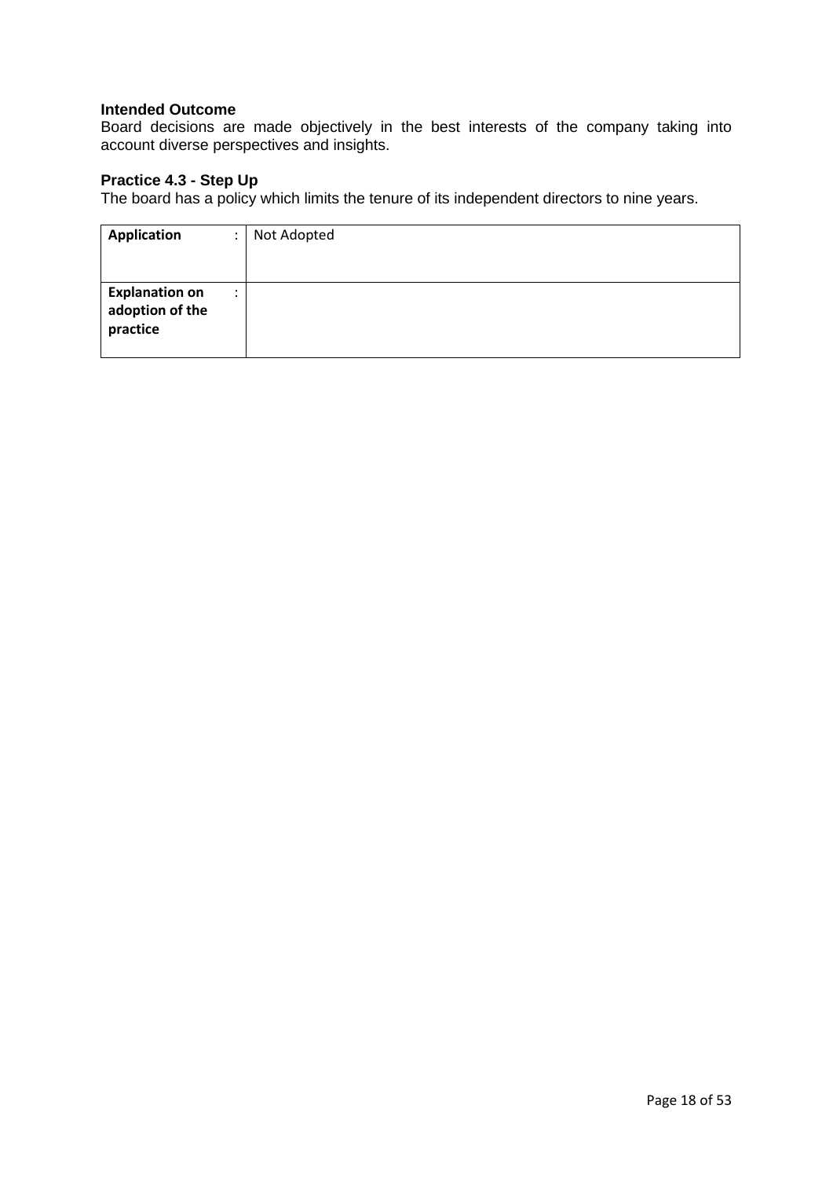Board decisions are made objectively in the best interests of the company taking into account diverse perspectives and insights.

# **Practice 4.3 - Step Up**

The board has a policy which limits the tenure of its independent directors to nine years.

| Application                                          | $\ddot{\phantom{a}}$ | Not Adopted |
|------------------------------------------------------|----------------------|-------------|
|                                                      |                      |             |
| <b>Explanation on</b><br>adoption of the<br>practice | $\cdot$              |             |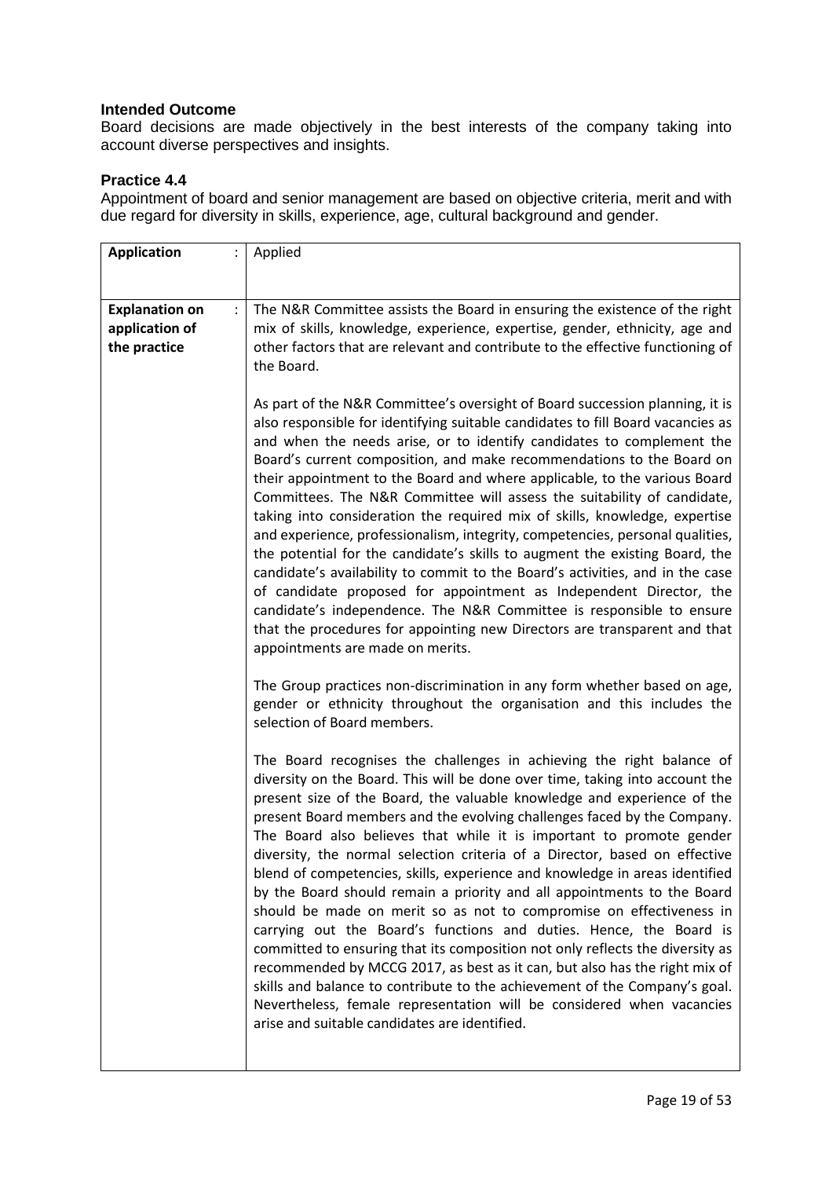Board decisions are made objectively in the best interests of the company taking into account diverse perspectives and insights.

## **Practice 4.4**

Appointment of board and senior management are based on objective criteria, merit and with due regard for diversity in skills, experience, age, cultural background and gender.

| <b>Application</b>                                      |                      | Applied                                                                                                                                                                                                                                                                                                                                                                                                                                                                                                                                                                                                                                                                                                                                                                                                                                                                                                                                                                                                                                                                                                                                         |
|---------------------------------------------------------|----------------------|-------------------------------------------------------------------------------------------------------------------------------------------------------------------------------------------------------------------------------------------------------------------------------------------------------------------------------------------------------------------------------------------------------------------------------------------------------------------------------------------------------------------------------------------------------------------------------------------------------------------------------------------------------------------------------------------------------------------------------------------------------------------------------------------------------------------------------------------------------------------------------------------------------------------------------------------------------------------------------------------------------------------------------------------------------------------------------------------------------------------------------------------------|
|                                                         |                      |                                                                                                                                                                                                                                                                                                                                                                                                                                                                                                                                                                                                                                                                                                                                                                                                                                                                                                                                                                                                                                                                                                                                                 |
| <b>Explanation on</b><br>application of<br>the practice | $\ddot{\phantom{a}}$ | The N&R Committee assists the Board in ensuring the existence of the right<br>mix of skills, knowledge, experience, expertise, gender, ethnicity, age and<br>other factors that are relevant and contribute to the effective functioning of<br>the Board.                                                                                                                                                                                                                                                                                                                                                                                                                                                                                                                                                                                                                                                                                                                                                                                                                                                                                       |
|                                                         |                      | As part of the N&R Committee's oversight of Board succession planning, it is<br>also responsible for identifying suitable candidates to fill Board vacancies as<br>and when the needs arise, or to identify candidates to complement the<br>Board's current composition, and make recommendations to the Board on<br>their appointment to the Board and where applicable, to the various Board<br>Committees. The N&R Committee will assess the suitability of candidate,<br>taking into consideration the required mix of skills, knowledge, expertise<br>and experience, professionalism, integrity, competencies, personal qualities,<br>the potential for the candidate's skills to augment the existing Board, the<br>candidate's availability to commit to the Board's activities, and in the case<br>of candidate proposed for appointment as Independent Director, the<br>candidate's independence. The N&R Committee is responsible to ensure<br>that the procedures for appointing new Directors are transparent and that<br>appointments are made on merits.                                                                         |
|                                                         |                      | The Group practices non-discrimination in any form whether based on age,<br>gender or ethnicity throughout the organisation and this includes the<br>selection of Board members.                                                                                                                                                                                                                                                                                                                                                                                                                                                                                                                                                                                                                                                                                                                                                                                                                                                                                                                                                                |
|                                                         |                      | The Board recognises the challenges in achieving the right balance of<br>diversity on the Board. This will be done over time, taking into account the<br>present size of the Board, the valuable knowledge and experience of the<br>present Board members and the evolving challenges faced by the Company.<br>The Board also believes that while it is important to promote gender<br>diversity, the normal selection criteria of a Director, based on effective<br>blend of competencies, skills, experience and knowledge in areas identified<br>by the Board should remain a priority and all appointments to the Board<br>should be made on merit so as not to compromise on effectiveness in<br>carrying out the Board's functions and duties. Hence, the Board is<br>committed to ensuring that its composition not only reflects the diversity as<br>recommended by MCCG 2017, as best as it can, but also has the right mix of<br>skills and balance to contribute to the achievement of the Company's goal.<br>Nevertheless, female representation will be considered when vacancies<br>arise and suitable candidates are identified. |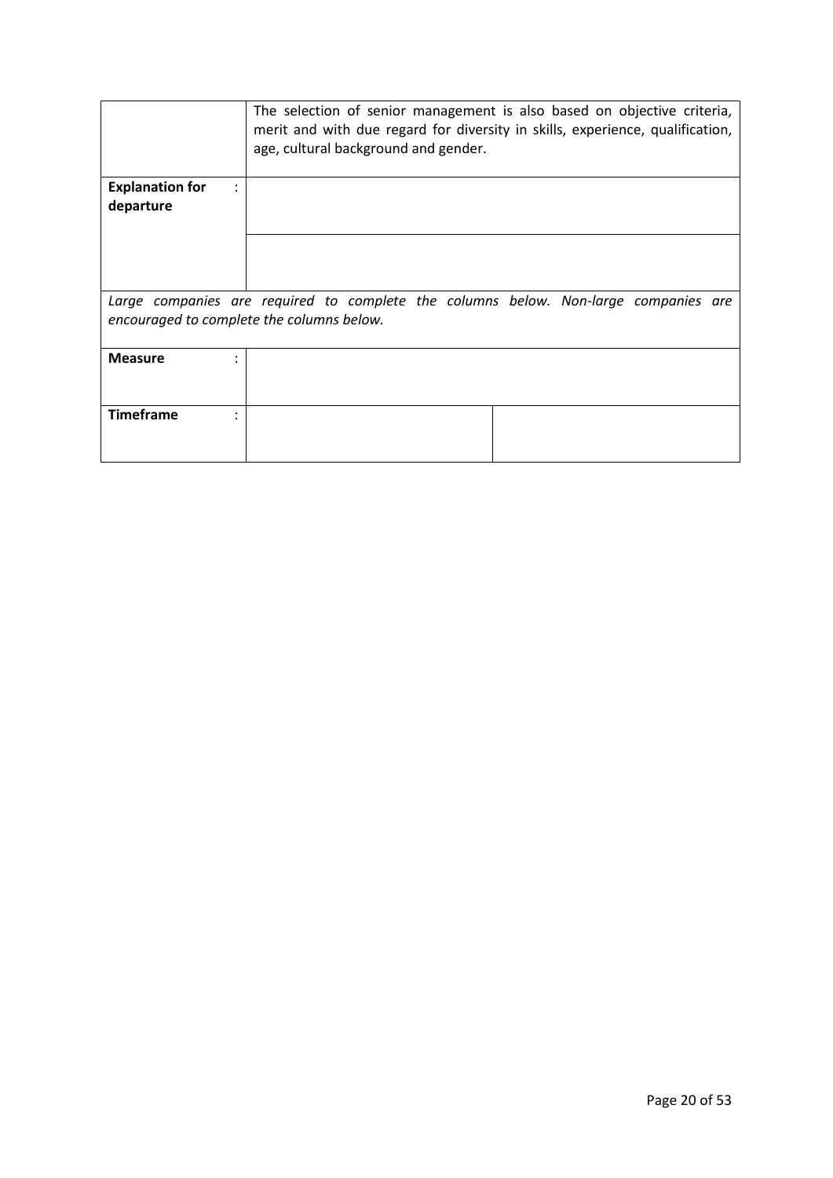|                                           | The selection of senior management is also based on objective criteria,<br>merit and with due regard for diversity in skills, experience, qualification,<br>age, cultural background and gender. |
|-------------------------------------------|--------------------------------------------------------------------------------------------------------------------------------------------------------------------------------------------------|
| <b>Explanation for</b>                    |                                                                                                                                                                                                  |
| departure                                 |                                                                                                                                                                                                  |
|                                           |                                                                                                                                                                                                  |
|                                           |                                                                                                                                                                                                  |
|                                           |                                                                                                                                                                                                  |
|                                           |                                                                                                                                                                                                  |
|                                           | Large companies are required to complete the columns below. Non-large companies are                                                                                                              |
| encouraged to complete the columns below. |                                                                                                                                                                                                  |
|                                           |                                                                                                                                                                                                  |
| <b>Measure</b>                            |                                                                                                                                                                                                  |
|                                           |                                                                                                                                                                                                  |
|                                           |                                                                                                                                                                                                  |
| <b>Timeframe</b>                          |                                                                                                                                                                                                  |
|                                           |                                                                                                                                                                                                  |
|                                           |                                                                                                                                                                                                  |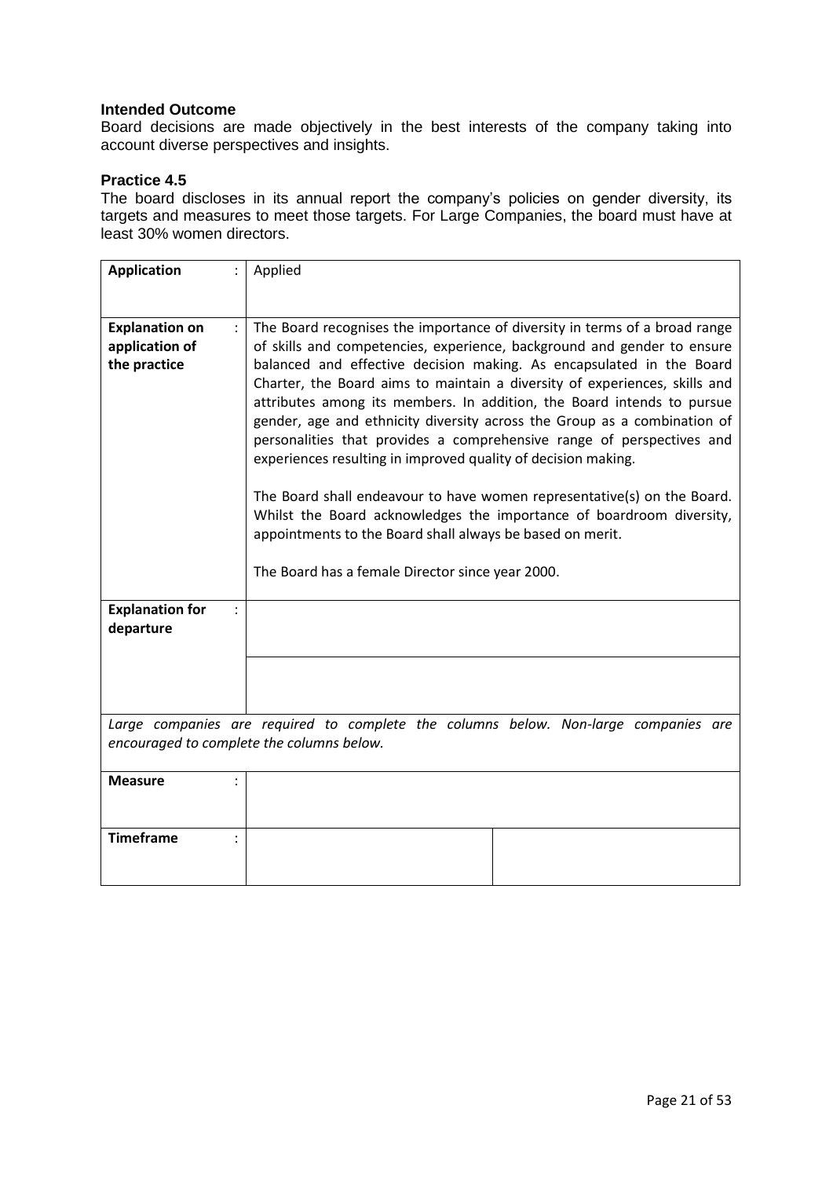Board decisions are made objectively in the best interests of the company taking into account diverse perspectives and insights.

### **Practice 4.5**

The board discloses in its annual report the company's policies on gender diversity, its targets and measures to meet those targets. For Large Companies, the board must have at least 30% women directors.

| <b>Application</b>                                                                                                               | Applied                                                                                                                                                                                                                                                                                                                                                                                                                                                                                                                                                                                                                                                                                                                                                                                                                                                                         |
|----------------------------------------------------------------------------------------------------------------------------------|---------------------------------------------------------------------------------------------------------------------------------------------------------------------------------------------------------------------------------------------------------------------------------------------------------------------------------------------------------------------------------------------------------------------------------------------------------------------------------------------------------------------------------------------------------------------------------------------------------------------------------------------------------------------------------------------------------------------------------------------------------------------------------------------------------------------------------------------------------------------------------|
| <b>Explanation on</b><br>application of<br>the practice                                                                          | The Board recognises the importance of diversity in terms of a broad range<br>of skills and competencies, experience, background and gender to ensure<br>balanced and effective decision making. As encapsulated in the Board<br>Charter, the Board aims to maintain a diversity of experiences, skills and<br>attributes among its members. In addition, the Board intends to pursue<br>gender, age and ethnicity diversity across the Group as a combination of<br>personalities that provides a comprehensive range of perspectives and<br>experiences resulting in improved quality of decision making.<br>The Board shall endeavour to have women representative(s) on the Board.<br>Whilst the Board acknowledges the importance of boardroom diversity,<br>appointments to the Board shall always be based on merit.<br>The Board has a female Director since year 2000. |
| <b>Explanation for</b><br>departure                                                                                              |                                                                                                                                                                                                                                                                                                                                                                                                                                                                                                                                                                                                                                                                                                                                                                                                                                                                                 |
|                                                                                                                                  |                                                                                                                                                                                                                                                                                                                                                                                                                                                                                                                                                                                                                                                                                                                                                                                                                                                                                 |
| Large companies are required to complete the columns below. Non-large companies are<br>encouraged to complete the columns below. |                                                                                                                                                                                                                                                                                                                                                                                                                                                                                                                                                                                                                                                                                                                                                                                                                                                                                 |
| <b>Measure</b>                                                                                                                   |                                                                                                                                                                                                                                                                                                                                                                                                                                                                                                                                                                                                                                                                                                                                                                                                                                                                                 |
| <b>Timeframe</b>                                                                                                                 |                                                                                                                                                                                                                                                                                                                                                                                                                                                                                                                                                                                                                                                                                                                                                                                                                                                                                 |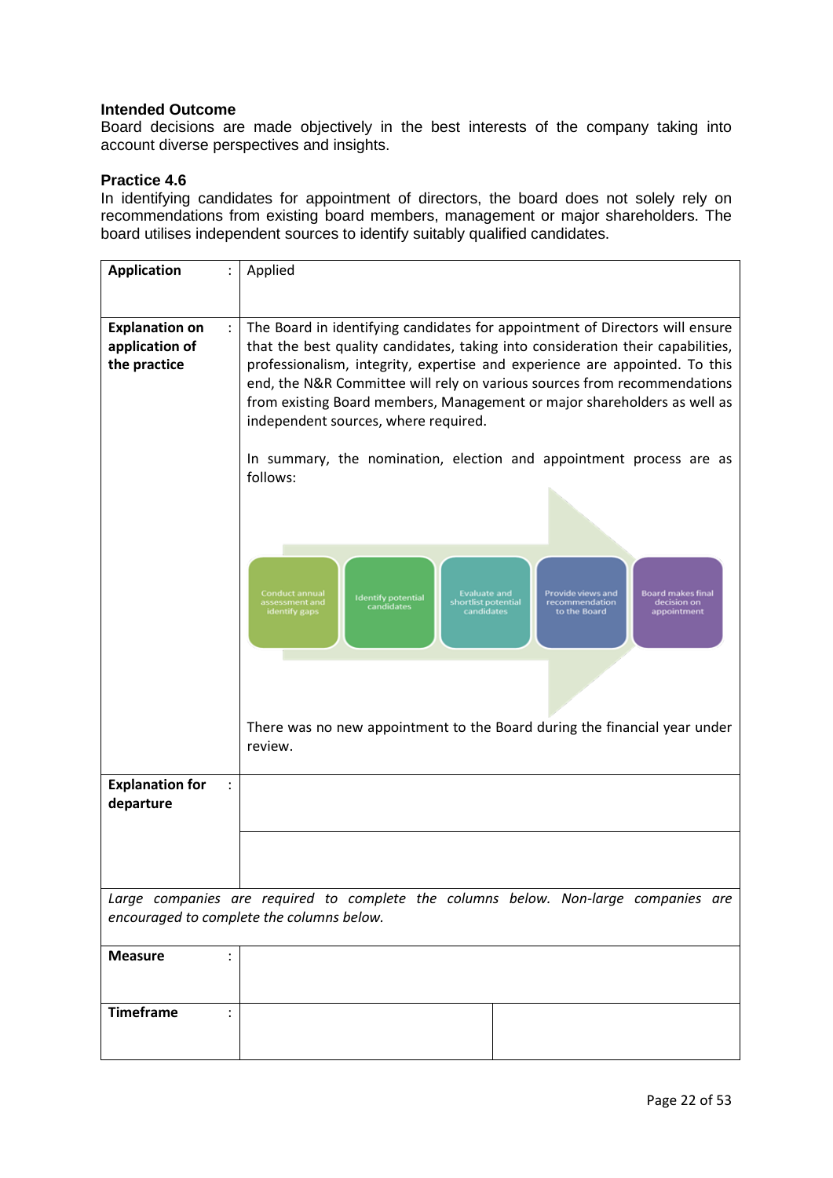Board decisions are made objectively in the best interests of the company taking into account diverse perspectives and insights.

## **Practice 4.6**

In identifying candidates for appointment of directors, the board does not solely rely on recommendations from existing board members, management or major shareholders. The board utilises independent sources to identify suitably qualified candidates.

| <b>Application</b><br>$\ddot{\phantom{a}}$ | Applied                                                                                                                                                                                                     |
|--------------------------------------------|-------------------------------------------------------------------------------------------------------------------------------------------------------------------------------------------------------------|
|                                            |                                                                                                                                                                                                             |
|                                            |                                                                                                                                                                                                             |
| <b>Explanation on</b><br>$\ddot{\cdot}$    | The Board in identifying candidates for appointment of Directors will ensure                                                                                                                                |
| application of                             | that the best quality candidates, taking into consideration their capabilities,                                                                                                                             |
| the practice                               | professionalism, integrity, expertise and experience are appointed. To this                                                                                                                                 |
|                                            | end, the N&R Committee will rely on various sources from recommendations                                                                                                                                    |
|                                            | from existing Board members, Management or major shareholders as well as                                                                                                                                    |
|                                            |                                                                                                                                                                                                             |
|                                            | independent sources, where required.                                                                                                                                                                        |
|                                            |                                                                                                                                                                                                             |
|                                            | In summary, the nomination, election and appointment process are as                                                                                                                                         |
|                                            | follows:                                                                                                                                                                                                    |
|                                            |                                                                                                                                                                                                             |
|                                            |                                                                                                                                                                                                             |
|                                            |                                                                                                                                                                                                             |
|                                            |                                                                                                                                                                                                             |
|                                            |                                                                                                                                                                                                             |
|                                            |                                                                                                                                                                                                             |
|                                            | Conduct annual<br><b>Evaluate and</b><br>Provide views and<br><b>Board makes final</b><br><b>Identify potential</b><br>shortlist potential<br>recommendation<br>decision on<br>assessment and<br>candidates |
|                                            | identify gaps<br>candidates<br>to the Board<br>appointment                                                                                                                                                  |
|                                            |                                                                                                                                                                                                             |
|                                            |                                                                                                                                                                                                             |
|                                            |                                                                                                                                                                                                             |
|                                            |                                                                                                                                                                                                             |
|                                            |                                                                                                                                                                                                             |
|                                            | There was no new appointment to the Board during the financial year under                                                                                                                                   |
|                                            | review.                                                                                                                                                                                                     |
|                                            |                                                                                                                                                                                                             |
|                                            |                                                                                                                                                                                                             |
| <b>Explanation for</b>                     |                                                                                                                                                                                                             |
| departure                                  |                                                                                                                                                                                                             |
|                                            |                                                                                                                                                                                                             |
|                                            |                                                                                                                                                                                                             |
|                                            |                                                                                                                                                                                                             |
|                                            |                                                                                                                                                                                                             |
|                                            | Large companies are required to complete the columns below. Non-large companies are                                                                                                                         |
|                                            | encouraged to complete the columns below.                                                                                                                                                                   |
|                                            |                                                                                                                                                                                                             |
| <b>Measure</b><br>:                        |                                                                                                                                                                                                             |
|                                            |                                                                                                                                                                                                             |
|                                            |                                                                                                                                                                                                             |
|                                            |                                                                                                                                                                                                             |
| <b>Timeframe</b>                           |                                                                                                                                                                                                             |
|                                            |                                                                                                                                                                                                             |
|                                            |                                                                                                                                                                                                             |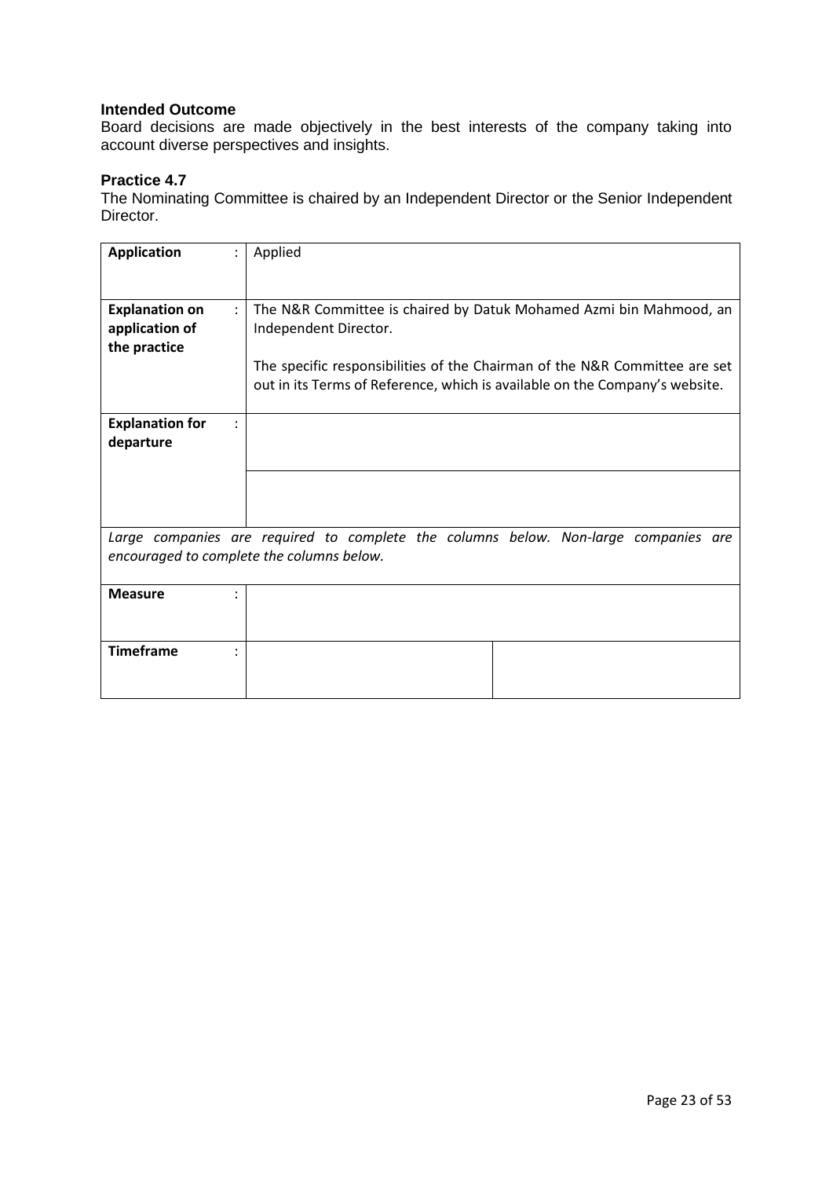Board decisions are made objectively in the best interests of the company taking into account diverse perspectives and insights.

## **Practice 4.7**

The Nominating Committee is chaired by an Independent Director or the Senior Independent Director.

| <b>Application</b>                                                                                                               | Applied                                                                                                                                                                                                                                                  |
|----------------------------------------------------------------------------------------------------------------------------------|----------------------------------------------------------------------------------------------------------------------------------------------------------------------------------------------------------------------------------------------------------|
| <b>Explanation on</b><br>$\mathcal{L}$<br>application of<br>the practice                                                         | The N&R Committee is chaired by Datuk Mohamed Azmi bin Mahmood, an<br>Independent Director.<br>The specific responsibilities of the Chairman of the N&R Committee are set<br>out in its Terms of Reference, which is available on the Company's website. |
| <b>Explanation for</b><br>departure                                                                                              |                                                                                                                                                                                                                                                          |
| Large companies are required to complete the columns below. Non-large companies are<br>encouraged to complete the columns below. |                                                                                                                                                                                                                                                          |
| <b>Measure</b>                                                                                                                   |                                                                                                                                                                                                                                                          |
| <b>Timeframe</b>                                                                                                                 |                                                                                                                                                                                                                                                          |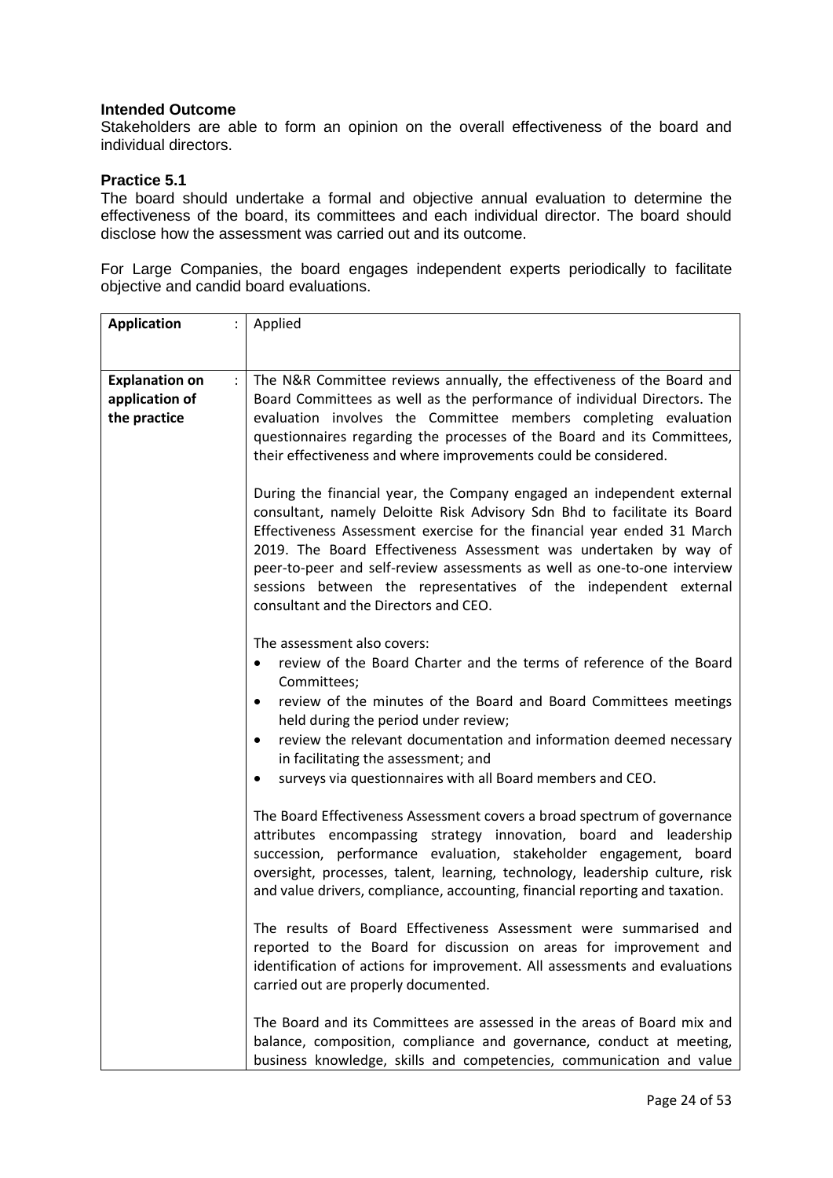Stakeholders are able to form an opinion on the overall effectiveness of the board and individual directors.

### **Practice 5.1**

The board should undertake a formal and objective annual evaluation to determine the effectiveness of the board, its committees and each individual director. The board should disclose how the assessment was carried out and its outcome.

For Large Companies, the board engages independent experts periodically to facilitate objective and candid board evaluations.

| <b>Application</b><br>÷.                                                        | Applied                                                                                                                                                                                                                                                                                                                                                                                                                                                                                      |
|---------------------------------------------------------------------------------|----------------------------------------------------------------------------------------------------------------------------------------------------------------------------------------------------------------------------------------------------------------------------------------------------------------------------------------------------------------------------------------------------------------------------------------------------------------------------------------------|
|                                                                                 |                                                                                                                                                                                                                                                                                                                                                                                                                                                                                              |
| <b>Explanation on</b><br>$\ddot{\phantom{a}}$<br>application of<br>the practice | The N&R Committee reviews annually, the effectiveness of the Board and<br>Board Committees as well as the performance of individual Directors. The<br>evaluation involves the Committee members completing evaluation<br>questionnaires regarding the processes of the Board and its Committees,<br>their effectiveness and where improvements could be considered.                                                                                                                          |
|                                                                                 | During the financial year, the Company engaged an independent external<br>consultant, namely Deloitte Risk Advisory Sdn Bhd to facilitate its Board<br>Effectiveness Assessment exercise for the financial year ended 31 March<br>2019. The Board Effectiveness Assessment was undertaken by way of<br>peer-to-peer and self-review assessments as well as one-to-one interview<br>sessions between the representatives of the independent external<br>consultant and the Directors and CEO. |
|                                                                                 | The assessment also covers:<br>review of the Board Charter and the terms of reference of the Board<br>$\bullet$<br>Committees;<br>review of the minutes of the Board and Board Committees meetings<br>$\bullet$<br>held during the period under review;<br>review the relevant documentation and information deemed necessary<br>$\bullet$<br>in facilitating the assessment; and<br>surveys via questionnaires with all Board members and CEO.<br>$\bullet$                                 |
|                                                                                 | The Board Effectiveness Assessment covers a broad spectrum of governance<br>attributes encompassing strategy innovation, board and leadership<br>succession, performance evaluation, stakeholder engagement, board<br>oversight, processes, talent, learning, technology, leadership culture, risk<br>and value drivers, compliance, accounting, financial reporting and taxation.                                                                                                           |
|                                                                                 | The results of Board Effectiveness Assessment were summarised and<br>reported to the Board for discussion on areas for improvement and<br>identification of actions for improvement. All assessments and evaluations<br>carried out are properly documented.                                                                                                                                                                                                                                 |
|                                                                                 | The Board and its Committees are assessed in the areas of Board mix and<br>balance, composition, compliance and governance, conduct at meeting,<br>business knowledge, skills and competencies, communication and value                                                                                                                                                                                                                                                                      |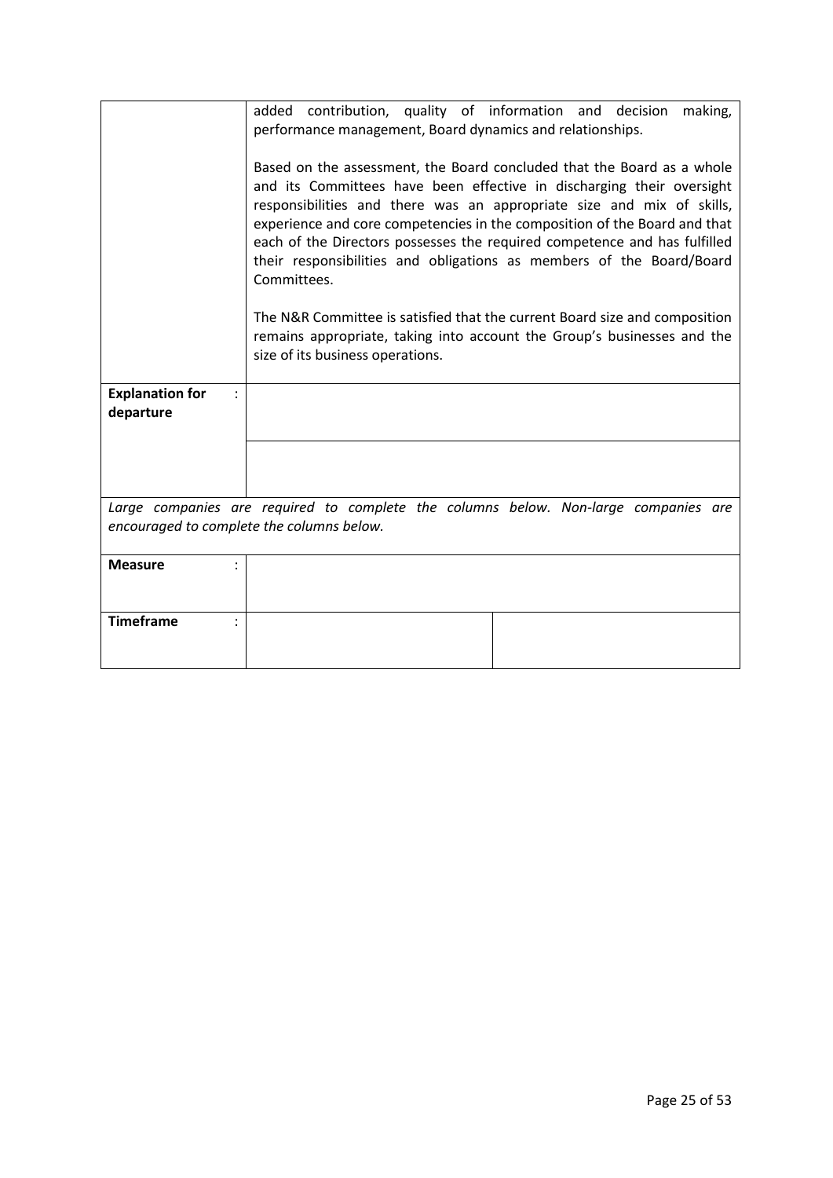|                                                                                                                                  | added contribution, quality of information and decision making,<br>performance management, Board dynamics and relationships.<br>Based on the assessment, the Board concluded that the Board as a whole<br>and its Committees have been effective in discharging their oversight<br>responsibilities and there was an appropriate size and mix of skills,<br>experience and core competencies in the composition of the Board and that<br>each of the Directors possesses the required competence and has fulfilled<br>their responsibilities and obligations as members of the Board/Board<br>Committees.<br>The N&R Committee is satisfied that the current Board size and composition<br>remains appropriate, taking into account the Group's businesses and the<br>size of its business operations. |  |
|----------------------------------------------------------------------------------------------------------------------------------|--------------------------------------------------------------------------------------------------------------------------------------------------------------------------------------------------------------------------------------------------------------------------------------------------------------------------------------------------------------------------------------------------------------------------------------------------------------------------------------------------------------------------------------------------------------------------------------------------------------------------------------------------------------------------------------------------------------------------------------------------------------------------------------------------------|--|
| <b>Explanation for</b><br>departure                                                                                              |                                                                                                                                                                                                                                                                                                                                                                                                                                                                                                                                                                                                                                                                                                                                                                                                        |  |
|                                                                                                                                  |                                                                                                                                                                                                                                                                                                                                                                                                                                                                                                                                                                                                                                                                                                                                                                                                        |  |
|                                                                                                                                  |                                                                                                                                                                                                                                                                                                                                                                                                                                                                                                                                                                                                                                                                                                                                                                                                        |  |
| Large companies are required to complete the columns below. Non-large companies are<br>encouraged to complete the columns below. |                                                                                                                                                                                                                                                                                                                                                                                                                                                                                                                                                                                                                                                                                                                                                                                                        |  |
| <b>Measure</b>                                                                                                                   |                                                                                                                                                                                                                                                                                                                                                                                                                                                                                                                                                                                                                                                                                                                                                                                                        |  |
| <b>Timeframe</b>                                                                                                                 |                                                                                                                                                                                                                                                                                                                                                                                                                                                                                                                                                                                                                                                                                                                                                                                                        |  |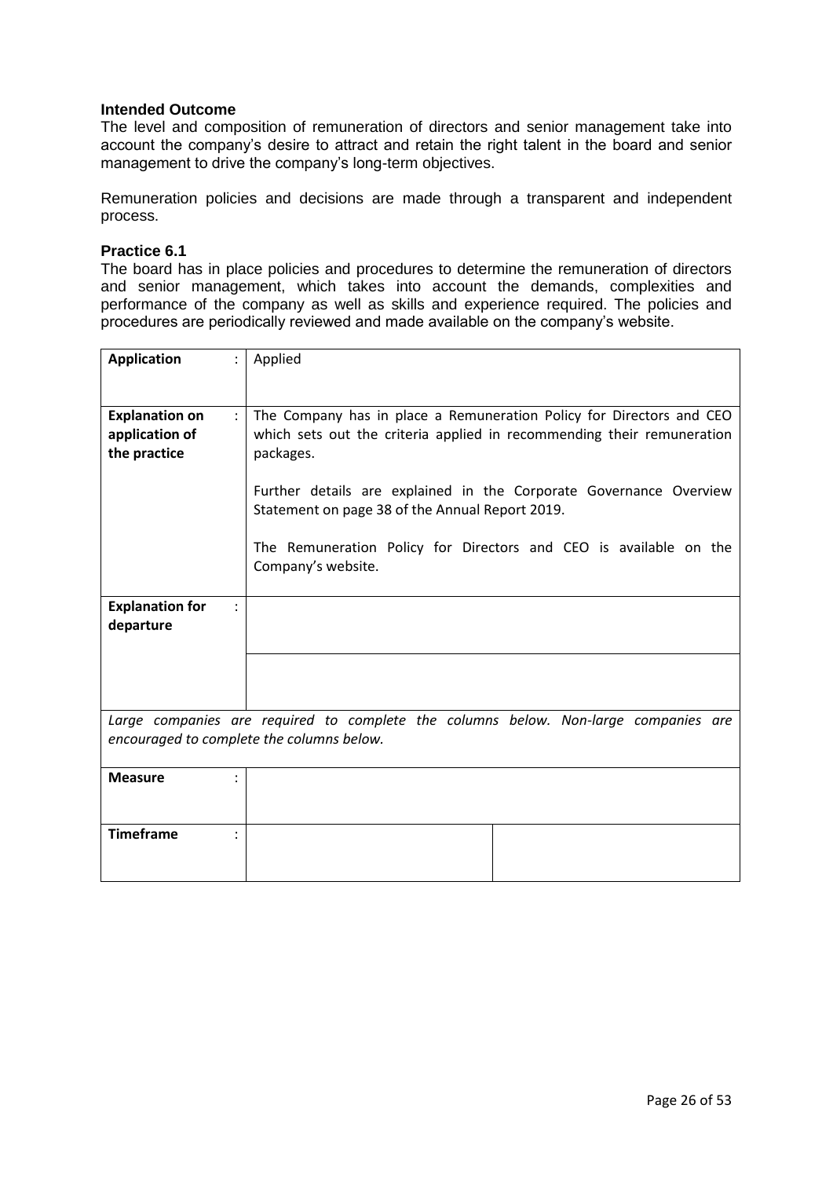The level and composition of remuneration of directors and senior management take into account the company's desire to attract and retain the right talent in the board and senior management to drive the company's long-term objectives.

Remuneration policies and decisions are made through a transparent and independent process.

#### **Practice 6.1**

The board has in place policies and procedures to determine the remuneration of directors and senior management, which takes into account the demands, complexities and performance of the company as well as skills and experience required. The policies and procedures are periodically reviewed and made available on the company's website.

| <b>Application</b>                    | Applied                                                                                                               |
|---------------------------------------|-----------------------------------------------------------------------------------------------------------------------|
|                                       |                                                                                                                       |
|                                       |                                                                                                                       |
| <b>Explanation on</b><br>$\mathbf{.}$ | The Company has in place a Remuneration Policy for Directors and CEO                                                  |
| application of                        | which sets out the criteria applied in recommending their remuneration                                                |
| the practice                          | packages.                                                                                                             |
|                                       | Further details are explained in the Corporate Governance Overview<br>Statement on page 38 of the Annual Report 2019. |
|                                       | The Remuneration Policy for Directors and CEO is available on the<br>Company's website.                               |
| <b>Explanation for</b>                |                                                                                                                       |
| departure                             |                                                                                                                       |
|                                       |                                                                                                                       |
|                                       |                                                                                                                       |
|                                       |                                                                                                                       |
|                                       |                                                                                                                       |
|                                       | Large companies are required to complete the columns below. Non-large companies are                                   |
|                                       | encouraged to complete the columns below.                                                                             |
| <b>Measure</b>                        |                                                                                                                       |
|                                       |                                                                                                                       |
|                                       |                                                                                                                       |
| <b>Timeframe</b>                      |                                                                                                                       |
|                                       |                                                                                                                       |
|                                       |                                                                                                                       |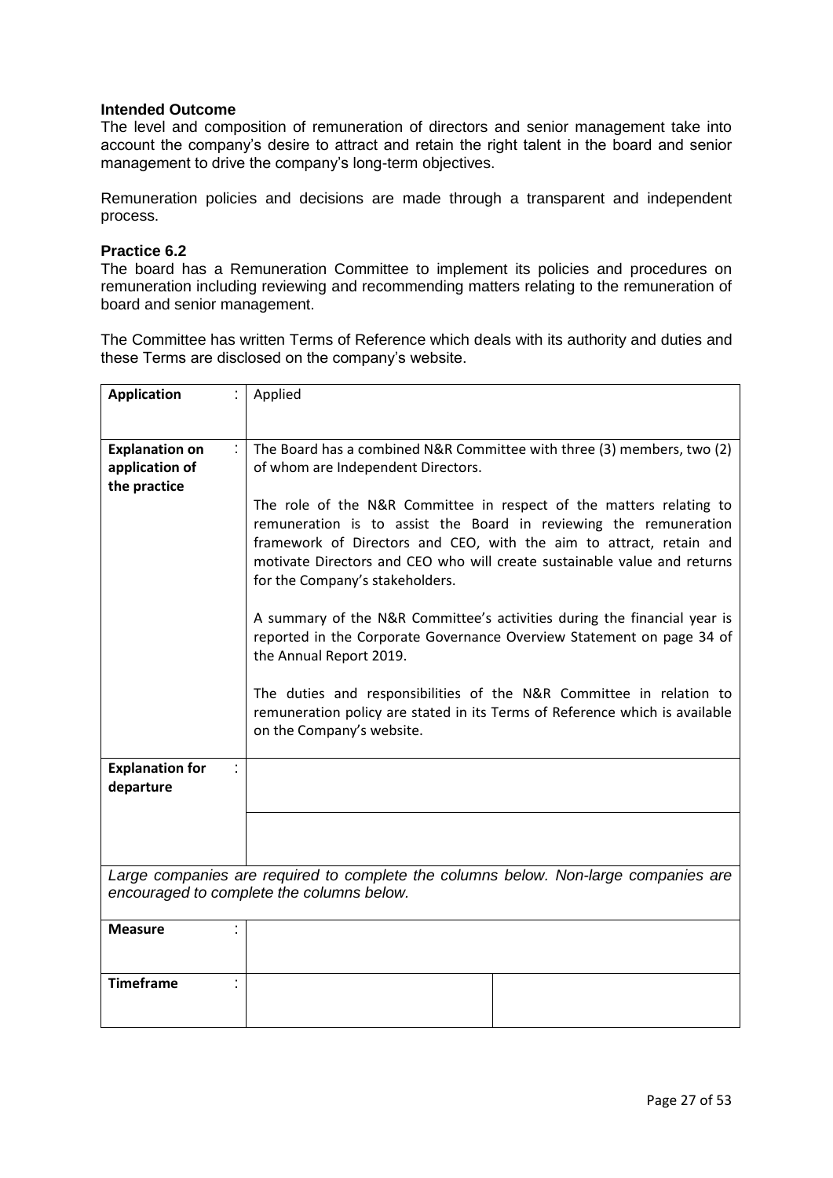The level and composition of remuneration of directors and senior management take into account the company's desire to attract and retain the right talent in the board and senior management to drive the company's long-term objectives.

Remuneration policies and decisions are made through a transparent and independent process.

#### **Practice 6.2**

The board has a Remuneration Committee to implement its policies and procedures on remuneration including reviewing and recommending matters relating to the remuneration of board and senior management.

The Committee has written Terms of Reference which deals with its authority and duties and these Terms are disclosed on the company's website.

| <b>Application</b>                                      | Applied                                                                                                                                                                                                                                                                                                                        |
|---------------------------------------------------------|--------------------------------------------------------------------------------------------------------------------------------------------------------------------------------------------------------------------------------------------------------------------------------------------------------------------------------|
|                                                         |                                                                                                                                                                                                                                                                                                                                |
| <b>Explanation on</b><br>application of<br>the practice | The Board has a combined N&R Committee with three (3) members, two (2)<br>of whom are Independent Directors.                                                                                                                                                                                                                   |
|                                                         | The role of the N&R Committee in respect of the matters relating to<br>remuneration is to assist the Board in reviewing the remuneration<br>framework of Directors and CEO, with the aim to attract, retain and<br>motivate Directors and CEO who will create sustainable value and returns<br>for the Company's stakeholders. |
|                                                         | A summary of the N&R Committee's activities during the financial year is<br>reported in the Corporate Governance Overview Statement on page 34 of<br>the Annual Report 2019.                                                                                                                                                   |
|                                                         | The duties and responsibilities of the N&R Committee in relation to<br>remuneration policy are stated in its Terms of Reference which is available<br>on the Company's website.                                                                                                                                                |
| <b>Explanation for</b><br>departure                     |                                                                                                                                                                                                                                                                                                                                |
|                                                         |                                                                                                                                                                                                                                                                                                                                |
|                                                         | Large companies are required to complete the columns below. Non-large companies are<br>encouraged to complete the columns below.                                                                                                                                                                                               |
| <b>Measure</b>                                          |                                                                                                                                                                                                                                                                                                                                |
| <b>Timeframe</b>                                        |                                                                                                                                                                                                                                                                                                                                |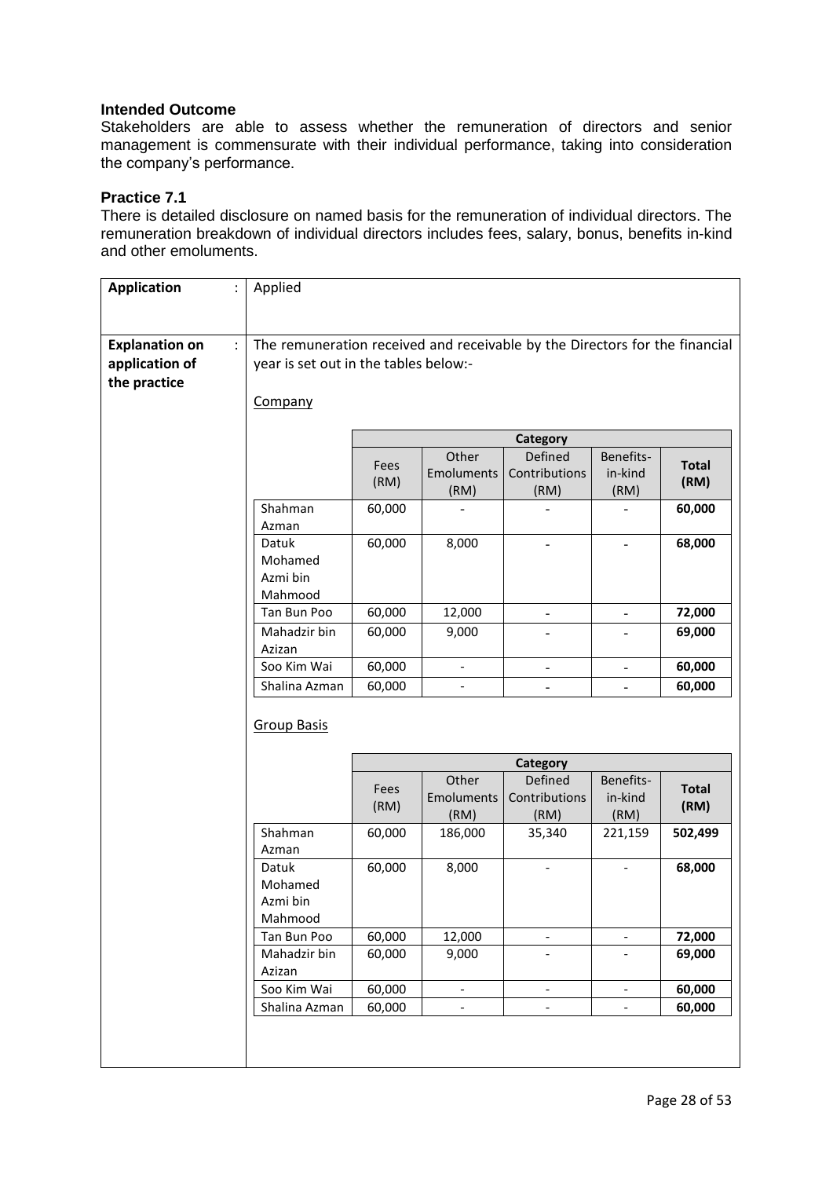Stakeholders are able to assess whether the remuneration of directors and senior management is commensurate with their individual performance, taking into consideration the company's performance.

### **Practice 7.1**

There is detailed disclosure on named basis for the remuneration of individual directors. The remuneration breakdown of individual directors includes fees, salary, bonus, benefits in-kind and other emoluments.

| <b>Application</b><br>$\ddot{\cdot}$                    | Applied                                 |                                                                                                                      |                             |                                         |                              |                      |
|---------------------------------------------------------|-----------------------------------------|----------------------------------------------------------------------------------------------------------------------|-----------------------------|-----------------------------------------|------------------------------|----------------------|
|                                                         |                                         |                                                                                                                      |                             |                                         |                              |                      |
| <b>Explanation on</b><br>application of<br>the practice |                                         | The remuneration received and receivable by the Directors for the financial<br>year is set out in the tables below:- |                             |                                         |                              |                      |
|                                                         | Company                                 |                                                                                                                      |                             |                                         |                              |                      |
|                                                         |                                         |                                                                                                                      |                             | <b>Category</b>                         |                              |                      |
|                                                         |                                         | Fees<br>(RM)                                                                                                         | Other<br>Emoluments<br>(RM) | <b>Defined</b><br>Contributions<br>(RM) | Benefits-<br>in-kind<br>(RM) | <b>Total</b><br>(RM) |
|                                                         | Shahman<br>Azman                        | 60,000                                                                                                               |                             |                                         |                              | 60,000               |
|                                                         | Datuk<br>Mohamed<br>Azmi bin<br>Mahmood | 60,000                                                                                                               | 8,000                       |                                         |                              | 68,000               |
|                                                         | Tan Bun Poo                             | 60,000                                                                                                               | 12,000                      | $\overline{\phantom{0}}$                | $\overline{\phantom{0}}$     | 72,000               |
|                                                         | Mahadzir bin<br>Azizan                  | 60,000                                                                                                               | 9,000                       | $\overline{\phantom{0}}$                | $\overline{\phantom{0}}$     | 69,000               |
|                                                         | Soo Kim Wai                             | 60,000                                                                                                               | $\blacksquare$              | $\overline{\phantom{0}}$                | $\overline{\phantom{a}}$     | 60,000               |
|                                                         | Shalina Azman                           | 60,000                                                                                                               |                             |                                         | $\overline{a}$               | 60,000               |
|                                                         | <b>Group Basis</b>                      |                                                                                                                      |                             |                                         |                              |                      |
|                                                         |                                         |                                                                                                                      |                             | Category                                |                              |                      |
|                                                         |                                         | Fees<br>(RM)                                                                                                         | Other<br>Emoluments<br>(RM) | Defined<br>Contributions<br>(RM)        | Benefits-<br>in-kind<br>(RM) | <b>Total</b><br>(RM) |
|                                                         | Shahman<br>Azman                        | 60,000                                                                                                               | 186,000                     | 35,340                                  | 221,159                      | 502,499              |
|                                                         | Datuk<br>Mohamed<br>Azmi bin<br>Mahmood | 60,000                                                                                                               | 8,000                       |                                         | $\overline{\phantom{a}}$     | 68,000               |
|                                                         | Tan Bun Poo                             | 60,000                                                                                                               | 12,000                      | $\qquad \qquad -$                       | $\overline{\phantom{a}}$     | 72,000               |
|                                                         | Mahadzir bin<br>Azizan                  | 60,000                                                                                                               | 9,000                       | $\overline{\phantom{0}}$                |                              | 69,000               |
|                                                         | Soo Kim Wai                             | 60,000                                                                                                               | $\qquad \qquad -$           | $\overline{\phantom{0}}$                | $\qquad \qquad \blacksquare$ | 60,000               |
|                                                         | Shalina Azman                           | 60,000                                                                                                               | $\overline{\phantom{0}}$    | $\qquad \qquad \blacksquare$            | $\qquad \qquad -$            | 60,000               |
|                                                         |                                         |                                                                                                                      |                             |                                         |                              |                      |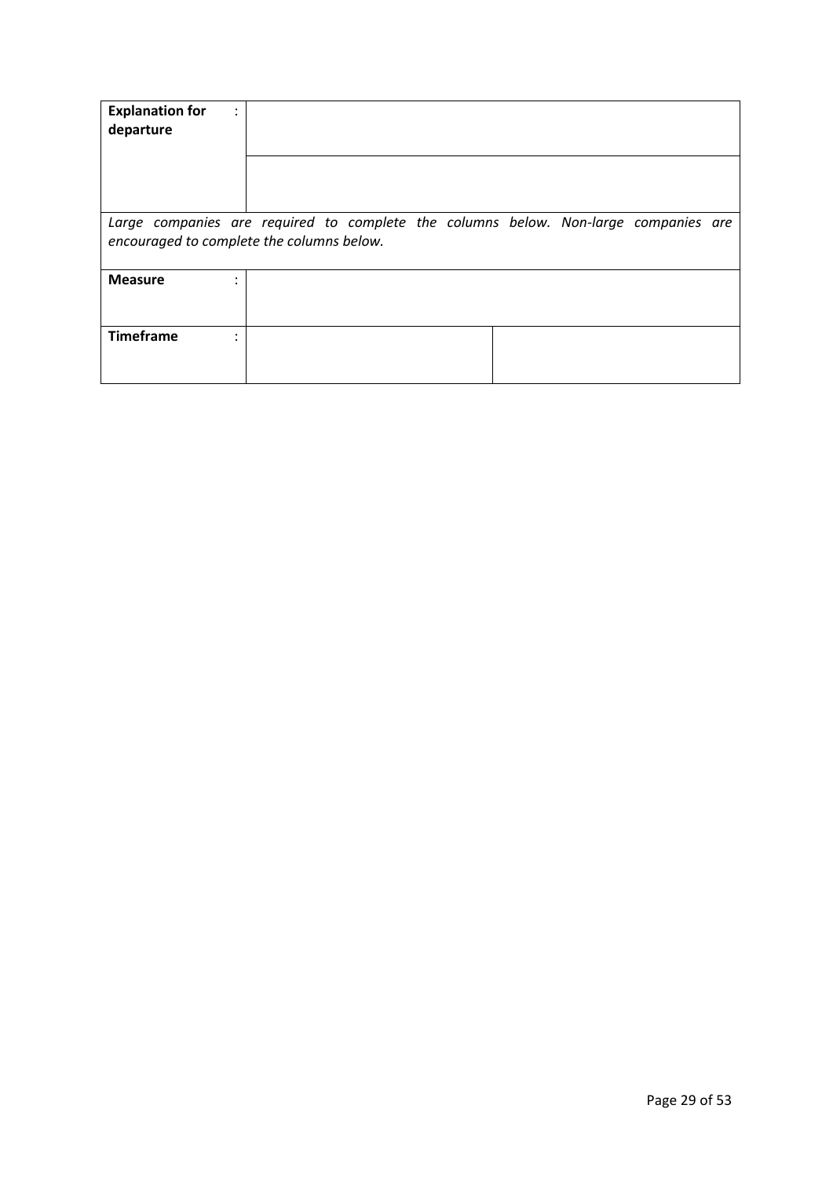| <b>Explanation for</b><br>٠<br>$\cdot$<br>departure                                                                              |  |  |  |  |
|----------------------------------------------------------------------------------------------------------------------------------|--|--|--|--|
| Large companies are required to complete the columns below. Non-large companies are<br>encouraged to complete the columns below. |  |  |  |  |
| <b>Measure</b>                                                                                                                   |  |  |  |  |
| <b>Timeframe</b>                                                                                                                 |  |  |  |  |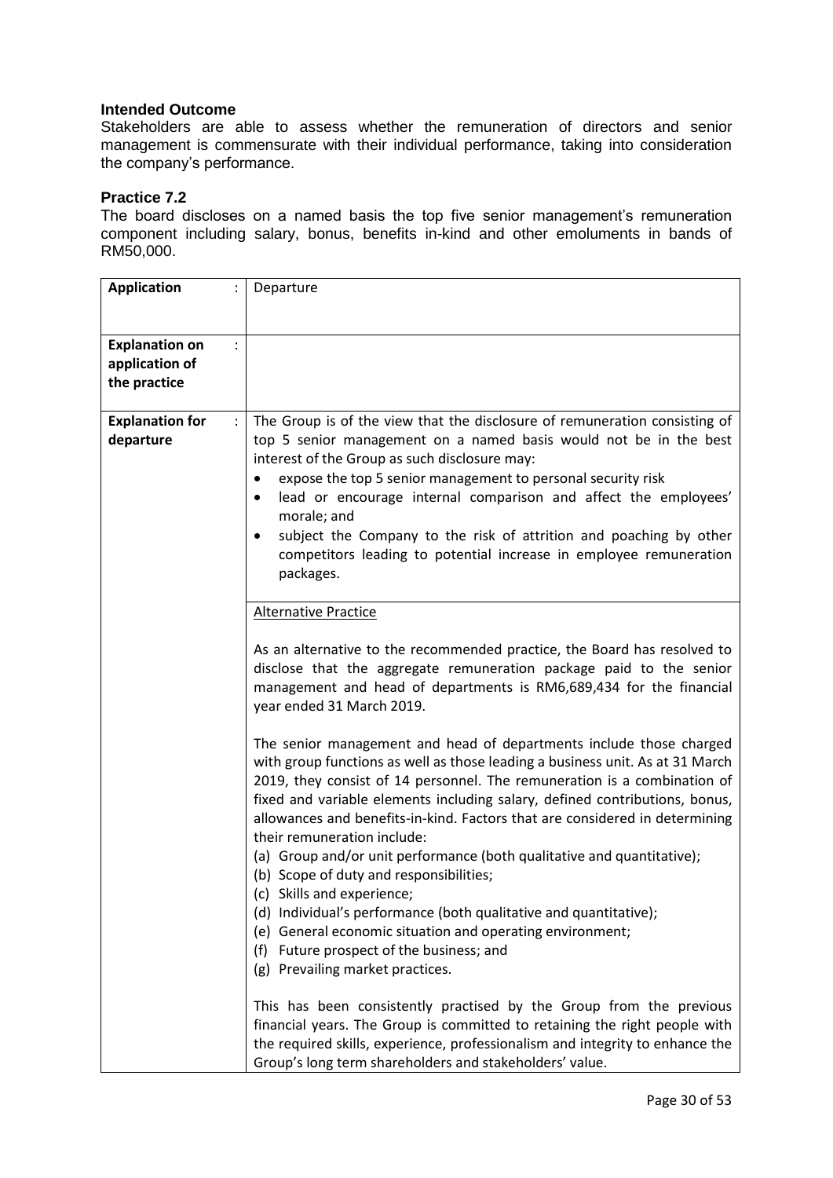Stakeholders are able to assess whether the remuneration of directors and senior management is commensurate with their individual performance, taking into consideration the company's performance.

### **Practice 7.2**

The board discloses on a named basis the top five senior management's remuneration component including salary, bonus, benefits in-kind and other emoluments in bands of RM50,000.

| <b>Application</b>                      | Departure                                                                                                                                                                                                                                                                                                                                                                                                                                                                                                                                          |
|-----------------------------------------|----------------------------------------------------------------------------------------------------------------------------------------------------------------------------------------------------------------------------------------------------------------------------------------------------------------------------------------------------------------------------------------------------------------------------------------------------------------------------------------------------------------------------------------------------|
|                                         |                                                                                                                                                                                                                                                                                                                                                                                                                                                                                                                                                    |
|                                         |                                                                                                                                                                                                                                                                                                                                                                                                                                                                                                                                                    |
| <b>Explanation on</b><br>application of |                                                                                                                                                                                                                                                                                                                                                                                                                                                                                                                                                    |
| the practice                            |                                                                                                                                                                                                                                                                                                                                                                                                                                                                                                                                                    |
|                                         |                                                                                                                                                                                                                                                                                                                                                                                                                                                                                                                                                    |
| <b>Explanation for</b><br>departure     | The Group is of the view that the disclosure of remuneration consisting of<br>top 5 senior management on a named basis would not be in the best<br>interest of the Group as such disclosure may:<br>expose the top 5 senior management to personal security risk<br>٠<br>lead or encourage internal comparison and affect the employees'<br>٠<br>morale; and<br>subject the Company to the risk of attrition and poaching by other<br>$\bullet$<br>competitors leading to potential increase in employee remuneration<br>packages.                 |
|                                         | <b>Alternative Practice</b>                                                                                                                                                                                                                                                                                                                                                                                                                                                                                                                        |
|                                         | As an alternative to the recommended practice, the Board has resolved to<br>disclose that the aggregate remuneration package paid to the senior<br>management and head of departments is RM6,689,434 for the financial<br>year ended 31 March 2019.                                                                                                                                                                                                                                                                                                |
|                                         | The senior management and head of departments include those charged<br>with group functions as well as those leading a business unit. As at 31 March<br>2019, they consist of 14 personnel. The remuneration is a combination of<br>fixed and variable elements including salary, defined contributions, bonus,<br>allowances and benefits-in-kind. Factors that are considered in determining<br>their remuneration include:<br>(a) Group and/or unit performance (both qualitative and quantitative);<br>(b) Scope of duty and responsibilities; |
|                                         | (c) Skills and experience;<br>(d) Individual's performance (both qualitative and quantitative);<br>General economic situation and operating environment;<br>(e)<br>(f)<br>Future prospect of the business; and<br>Prevailing market practices.<br>(g)                                                                                                                                                                                                                                                                                              |
|                                         | This has been consistently practised by the Group from the previous<br>financial years. The Group is committed to retaining the right people with<br>the required skills, experience, professionalism and integrity to enhance the<br>Group's long term shareholders and stakeholders' value.                                                                                                                                                                                                                                                      |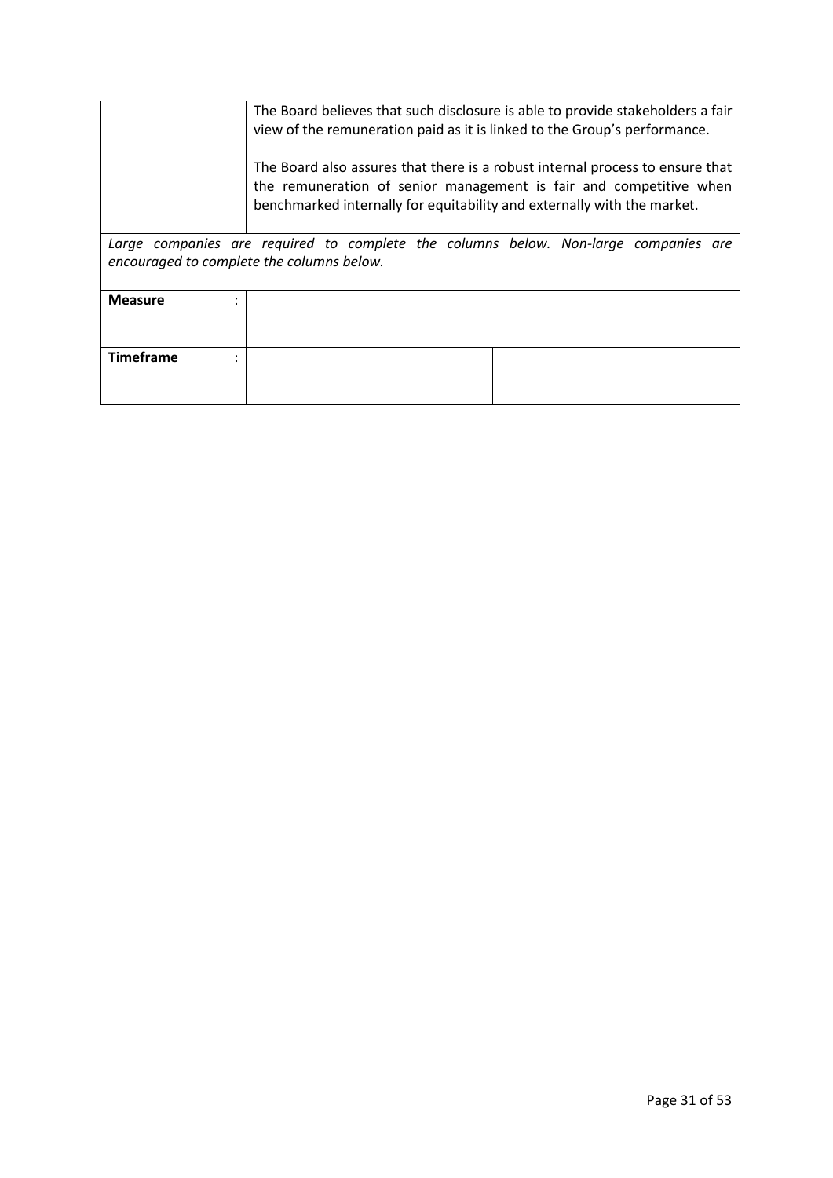|                  | The Board believes that such disclosure is able to provide stakeholders a fair<br>view of the remuneration paid as it is linked to the Group's performance.<br>The Board also assures that there is a robust internal process to ensure that<br>the remuneration of senior management is fair and competitive when<br>benchmarked internally for equitability and externally with the market. |  |  |
|------------------|-----------------------------------------------------------------------------------------------------------------------------------------------------------------------------------------------------------------------------------------------------------------------------------------------------------------------------------------------------------------------------------------------|--|--|
|                  | Large companies are required to complete the columns below. Non-large companies are                                                                                                                                                                                                                                                                                                           |  |  |
|                  | encouraged to complete the columns below.                                                                                                                                                                                                                                                                                                                                                     |  |  |
|                  |                                                                                                                                                                                                                                                                                                                                                                                               |  |  |
| <b>Measure</b>   |                                                                                                                                                                                                                                                                                                                                                                                               |  |  |
|                  |                                                                                                                                                                                                                                                                                                                                                                                               |  |  |
|                  |                                                                                                                                                                                                                                                                                                                                                                                               |  |  |
| <b>Timeframe</b> |                                                                                                                                                                                                                                                                                                                                                                                               |  |  |
|                  |                                                                                                                                                                                                                                                                                                                                                                                               |  |  |
|                  |                                                                                                                                                                                                                                                                                                                                                                                               |  |  |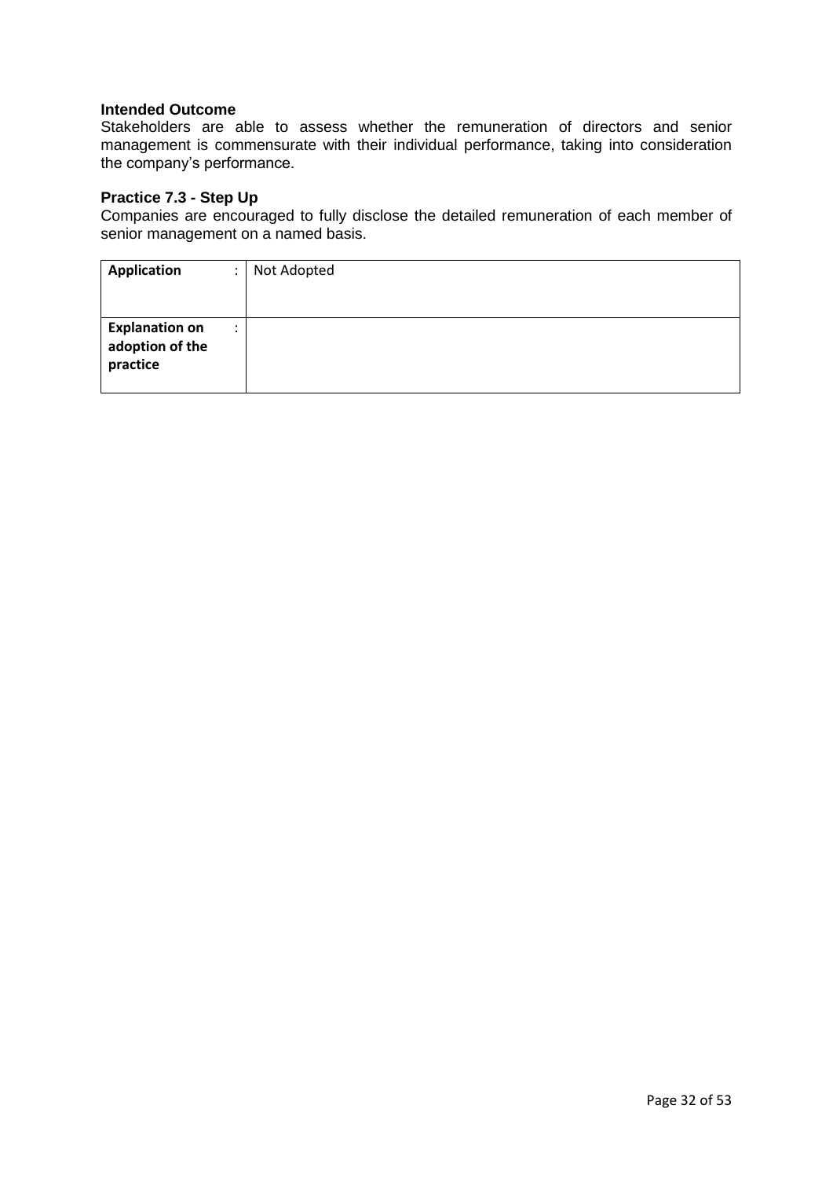Stakeholders are able to assess whether the remuneration of directors and senior management is commensurate with their individual performance, taking into consideration the company's performance.

#### **Practice 7.3 - Step Up**

Companies are encouraged to fully disclose the detailed remuneration of each member of senior management on a named basis.

| <b>Application</b>                                   | Not Adopted |
|------------------------------------------------------|-------------|
|                                                      |             |
| <b>Explanation on</b><br>adoption of the<br>practice |             |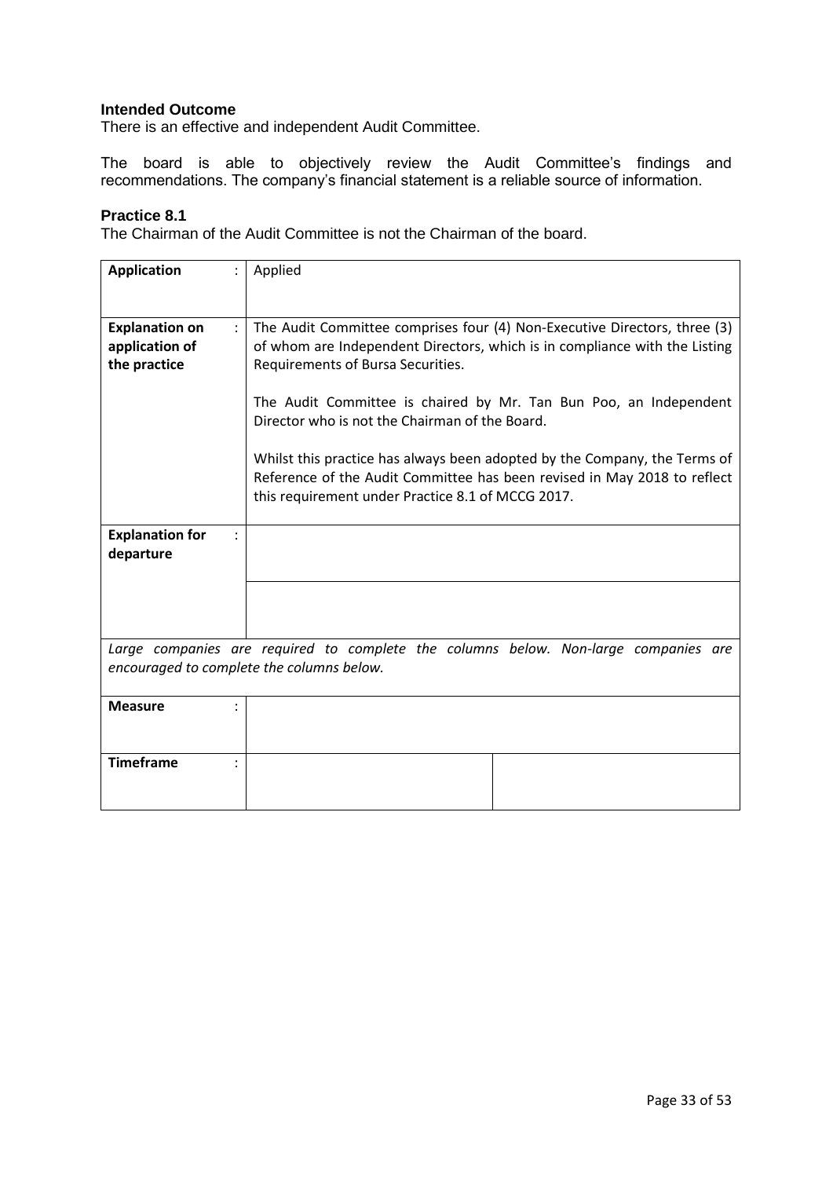There is an effective and independent Audit Committee.

The board is able to objectively review the Audit Committee's findings and recommendations. The company's financial statement is a reliable source of information.

#### **Practice 8.1**

The Chairman of the Audit Committee is not the Chairman of the board.

| <b>Application</b>                                                              | Applied                                                                                                                                                                                                    |  |  |
|---------------------------------------------------------------------------------|------------------------------------------------------------------------------------------------------------------------------------------------------------------------------------------------------------|--|--|
| <b>Explanation on</b><br>$\ddot{\phantom{a}}$<br>application of<br>the practice | The Audit Committee comprises four (4) Non-Executive Directors, three (3)<br>of whom are Independent Directors, which is in compliance with the Listing<br>Requirements of Bursa Securities.               |  |  |
|                                                                                 | The Audit Committee is chaired by Mr. Tan Bun Poo, an Independent<br>Director who is not the Chairman of the Board.                                                                                        |  |  |
|                                                                                 | Whilst this practice has always been adopted by the Company, the Terms of<br>Reference of the Audit Committee has been revised in May 2018 to reflect<br>this requirement under Practice 8.1 of MCCG 2017. |  |  |
| <b>Explanation for</b><br>departure                                             |                                                                                                                                                                                                            |  |  |
|                                                                                 |                                                                                                                                                                                                            |  |  |
|                                                                                 | Large companies are required to complete the columns below. Non-large companies are<br>encouraged to complete the columns below.                                                                           |  |  |
| <b>Measure</b>                                                                  |                                                                                                                                                                                                            |  |  |
| <b>Timeframe</b>                                                                |                                                                                                                                                                                                            |  |  |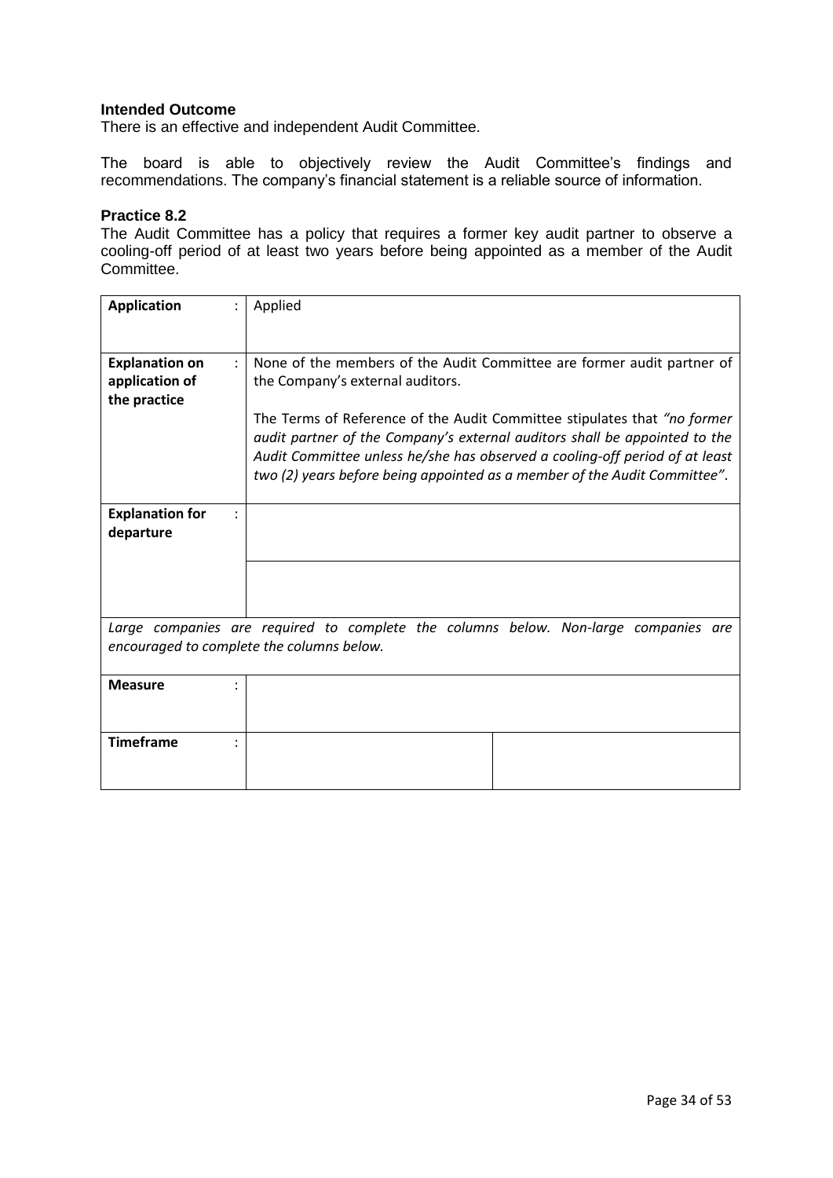There is an effective and independent Audit Committee.

The board is able to objectively review the Audit Committee's findings and recommendations. The company's financial statement is a reliable source of information.

#### **Practice 8.2**

The Audit Committee has a policy that requires a former key audit partner to observe a cooling-off period of at least two years before being appointed as a member of the Audit Committee.

| <b>Application</b>                                      | Applied                                                                                                                                                                                                                                                                                                                                                                                                                           |
|---------------------------------------------------------|-----------------------------------------------------------------------------------------------------------------------------------------------------------------------------------------------------------------------------------------------------------------------------------------------------------------------------------------------------------------------------------------------------------------------------------|
| <b>Explanation on</b><br>application of<br>the practice | None of the members of the Audit Committee are former audit partner of<br>the Company's external auditors.<br>The Terms of Reference of the Audit Committee stipulates that "no former"<br>audit partner of the Company's external auditors shall be appointed to the<br>Audit Committee unless he/she has observed a cooling-off period of at least<br>two (2) years before being appointed as a member of the Audit Committee". |
| <b>Explanation for</b><br>departure                     |                                                                                                                                                                                                                                                                                                                                                                                                                                   |
|                                                         | Large companies are required to complete the columns below. Non-large companies are<br>encouraged to complete the columns below.                                                                                                                                                                                                                                                                                                  |
| <b>Measure</b>                                          |                                                                                                                                                                                                                                                                                                                                                                                                                                   |
| <b>Timeframe</b>                                        |                                                                                                                                                                                                                                                                                                                                                                                                                                   |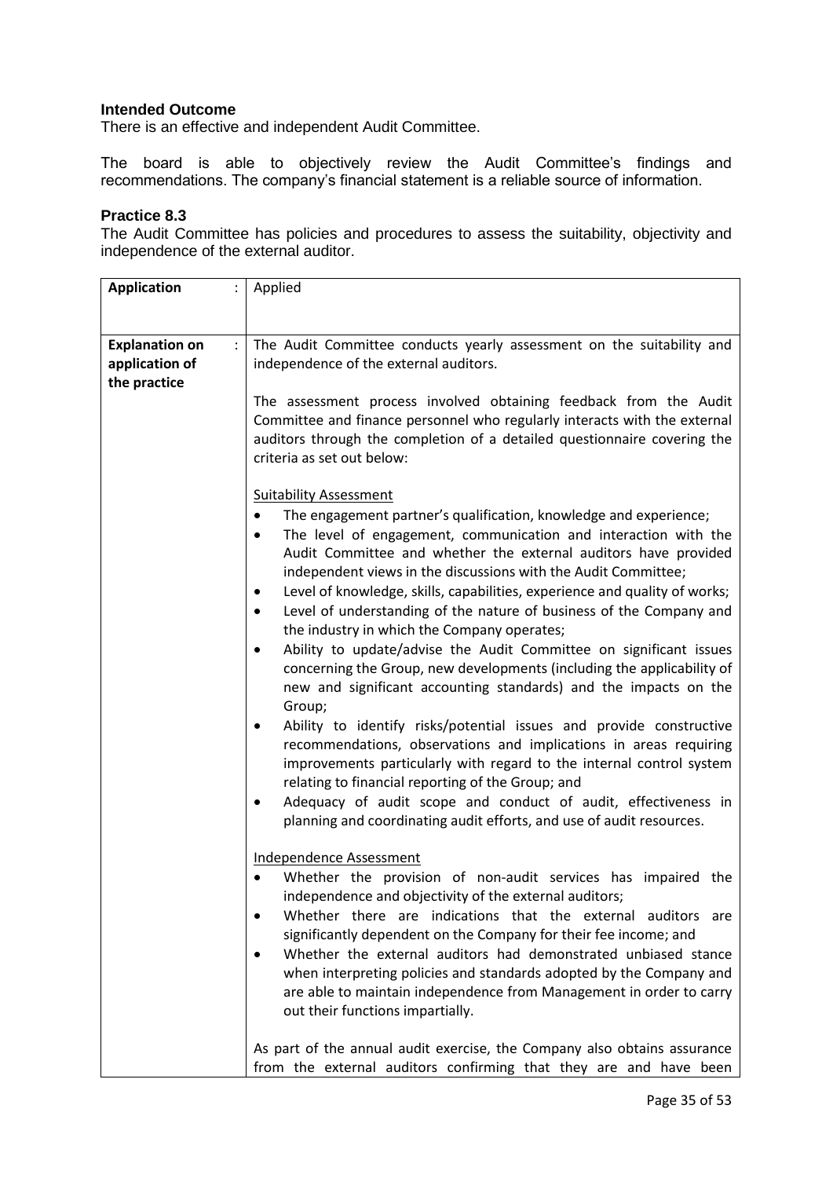There is an effective and independent Audit Committee.

The board is able to objectively review the Audit Committee's findings and recommendations. The company's financial statement is a reliable source of information.

#### **Practice 8.3**

The Audit Committee has policies and procedures to assess the suitability, objectivity and independence of the external auditor.

| <b>Application</b>                      | Applied                                                                                                                                                                                                                                                                                                                                                                                                                                                                                                                                                                                                                                                                                                                                                                                                                                                                                                                                                                                                                                                                                                                                                                                                                                                                                                                                                                                                                                                                                                                                                                                                                                                  |
|-----------------------------------------|----------------------------------------------------------------------------------------------------------------------------------------------------------------------------------------------------------------------------------------------------------------------------------------------------------------------------------------------------------------------------------------------------------------------------------------------------------------------------------------------------------------------------------------------------------------------------------------------------------------------------------------------------------------------------------------------------------------------------------------------------------------------------------------------------------------------------------------------------------------------------------------------------------------------------------------------------------------------------------------------------------------------------------------------------------------------------------------------------------------------------------------------------------------------------------------------------------------------------------------------------------------------------------------------------------------------------------------------------------------------------------------------------------------------------------------------------------------------------------------------------------------------------------------------------------------------------------------------------------------------------------------------------------|
|                                         |                                                                                                                                                                                                                                                                                                                                                                                                                                                                                                                                                                                                                                                                                                                                                                                                                                                                                                                                                                                                                                                                                                                                                                                                                                                                                                                                                                                                                                                                                                                                                                                                                                                          |
|                                         |                                                                                                                                                                                                                                                                                                                                                                                                                                                                                                                                                                                                                                                                                                                                                                                                                                                                                                                                                                                                                                                                                                                                                                                                                                                                                                                                                                                                                                                                                                                                                                                                                                                          |
| <b>Explanation on</b><br>application of | The Audit Committee conducts yearly assessment on the suitability and<br>independence of the external auditors.                                                                                                                                                                                                                                                                                                                                                                                                                                                                                                                                                                                                                                                                                                                                                                                                                                                                                                                                                                                                                                                                                                                                                                                                                                                                                                                                                                                                                                                                                                                                          |
| the practice                            |                                                                                                                                                                                                                                                                                                                                                                                                                                                                                                                                                                                                                                                                                                                                                                                                                                                                                                                                                                                                                                                                                                                                                                                                                                                                                                                                                                                                                                                                                                                                                                                                                                                          |
|                                         | The assessment process involved obtaining feedback from the Audit<br>Committee and finance personnel who regularly interacts with the external<br>auditors through the completion of a detailed questionnaire covering the<br>criteria as set out below:<br><b>Suitability Assessment</b>                                                                                                                                                                                                                                                                                                                                                                                                                                                                                                                                                                                                                                                                                                                                                                                                                                                                                                                                                                                                                                                                                                                                                                                                                                                                                                                                                                |
|                                         | The engagement partner's qualification, knowledge and experience;<br>The level of engagement, communication and interaction with the<br>٠<br>Audit Committee and whether the external auditors have provided<br>independent views in the discussions with the Audit Committee;<br>Level of knowledge, skills, capabilities, experience and quality of works;<br>Level of understanding of the nature of business of the Company and<br>the industry in which the Company operates;<br>Ability to update/advise the Audit Committee on significant issues<br>٠<br>concerning the Group, new developments (including the applicability of<br>new and significant accounting standards) and the impacts on the<br>Group;<br>Ability to identify risks/potential issues and provide constructive<br>recommendations, observations and implications in areas requiring<br>improvements particularly with regard to the internal control system<br>relating to financial reporting of the Group; and<br>Adequacy of audit scope and conduct of audit, effectiveness in<br>planning and coordinating audit efforts, and use of audit resources.<br><b>Independence Assessment</b><br>Whether the provision of non-audit services has impaired the<br>independence and objectivity of the external auditors;<br>Whether there are indications that the external auditors are<br>significantly dependent on the Company for their fee income; and<br>Whether the external auditors had demonstrated unbiased stance<br>when interpreting policies and standards adopted by the Company and<br>are able to maintain independence from Management in order to carry |
|                                         | out their functions impartially.                                                                                                                                                                                                                                                                                                                                                                                                                                                                                                                                                                                                                                                                                                                                                                                                                                                                                                                                                                                                                                                                                                                                                                                                                                                                                                                                                                                                                                                                                                                                                                                                                         |
|                                         | As part of the annual audit exercise, the Company also obtains assurance<br>from the external auditors confirming that they are and have been                                                                                                                                                                                                                                                                                                                                                                                                                                                                                                                                                                                                                                                                                                                                                                                                                                                                                                                                                                                                                                                                                                                                                                                                                                                                                                                                                                                                                                                                                                            |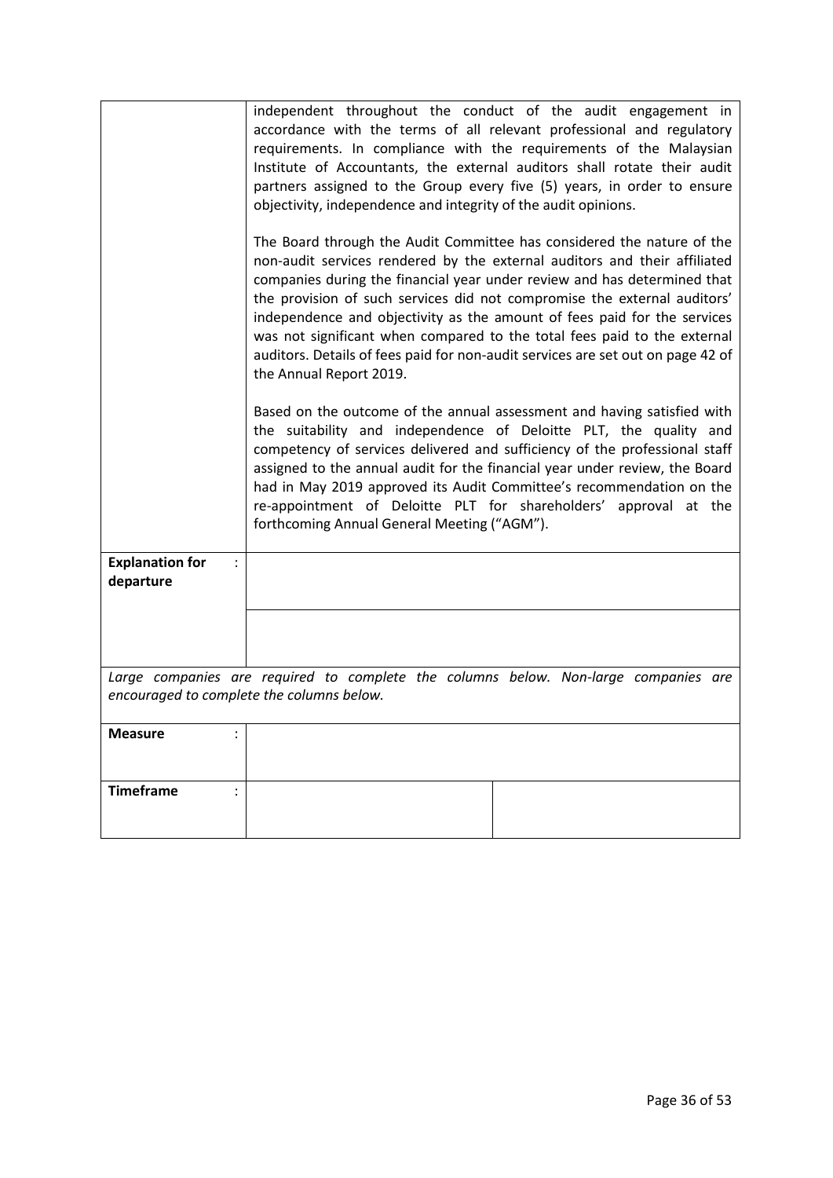|                                                       | independent throughout the conduct of the audit engagement in<br>accordance with the terms of all relevant professional and regulatory<br>requirements. In compliance with the requirements of the Malaysian<br>Institute of Accountants, the external auditors shall rotate their audit<br>partners assigned to the Group every five (5) years, in order to ensure<br>objectivity, independence and integrity of the audit opinions.                                                                                                                                             |
|-------------------------------------------------------|-----------------------------------------------------------------------------------------------------------------------------------------------------------------------------------------------------------------------------------------------------------------------------------------------------------------------------------------------------------------------------------------------------------------------------------------------------------------------------------------------------------------------------------------------------------------------------------|
|                                                       | The Board through the Audit Committee has considered the nature of the<br>non-audit services rendered by the external auditors and their affiliated<br>companies during the financial year under review and has determined that<br>the provision of such services did not compromise the external auditors'<br>independence and objectivity as the amount of fees paid for the services<br>was not significant when compared to the total fees paid to the external<br>auditors. Details of fees paid for non-audit services are set out on page 42 of<br>the Annual Report 2019. |
|                                                       | Based on the outcome of the annual assessment and having satisfied with<br>the suitability and independence of Deloitte PLT, the quality and<br>competency of services delivered and sufficiency of the professional staff<br>assigned to the annual audit for the financial year under review, the Board<br>had in May 2019 approved its Audit Committee's recommendation on the<br>re-appointment of Deloitte PLT for shareholders' approval at the<br>forthcoming Annual General Meeting ("AGM").                                                                              |
| <b>Explanation for</b><br>$\ddot{\cdot}$<br>departure |                                                                                                                                                                                                                                                                                                                                                                                                                                                                                                                                                                                   |
|                                                       |                                                                                                                                                                                                                                                                                                                                                                                                                                                                                                                                                                                   |
|                                                       | Large companies are required to complete the columns below. Non-large companies are<br>encouraged to complete the columns below.                                                                                                                                                                                                                                                                                                                                                                                                                                                  |
| <b>Measure</b>                                        |                                                                                                                                                                                                                                                                                                                                                                                                                                                                                                                                                                                   |
| <b>Timeframe</b>                                      |                                                                                                                                                                                                                                                                                                                                                                                                                                                                                                                                                                                   |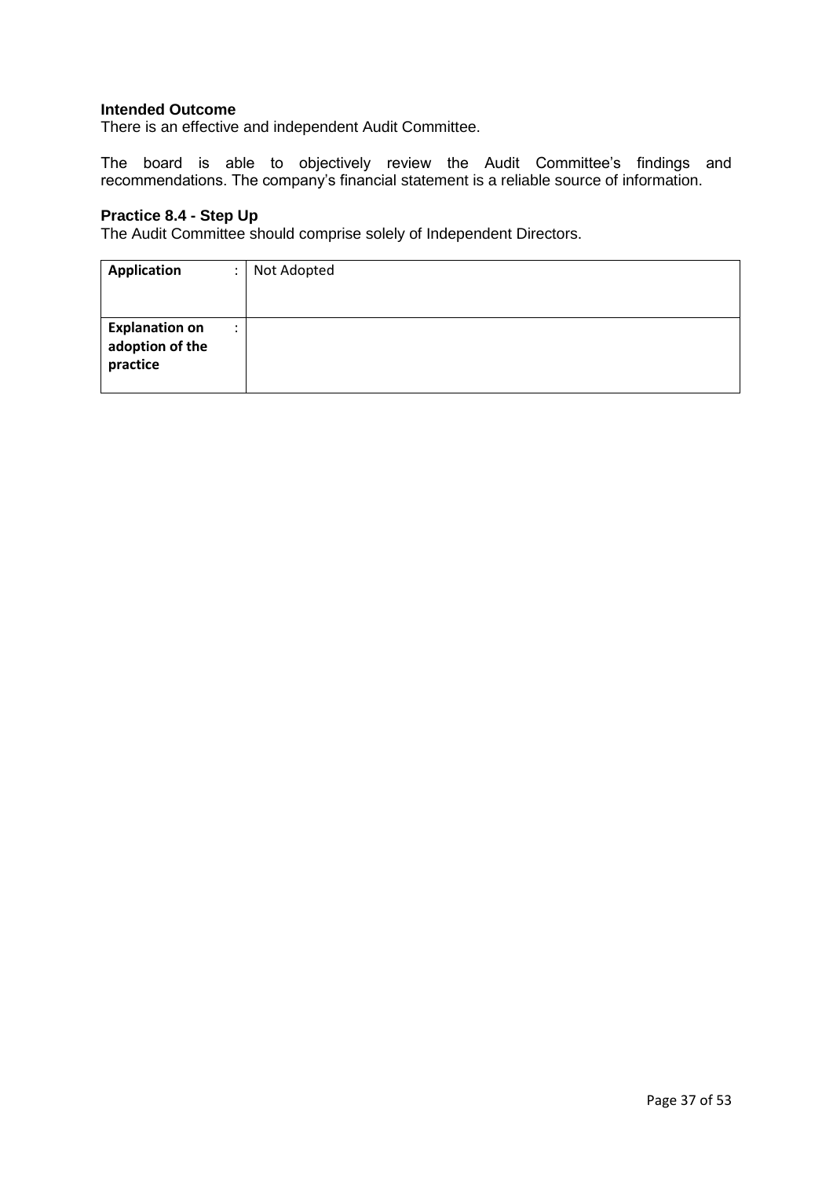There is an effective and independent Audit Committee.

The board is able to objectively review the Audit Committee's findings and recommendations. The company's financial statement is a reliable source of information.

## **Practice 8.4 - Step Up**

The Audit Committee should comprise solely of Independent Directors.

| Application<br>٠                                     | Not Adopted |
|------------------------------------------------------|-------------|
|                                                      |             |
| <b>Explanation on</b><br>adoption of the<br>practice |             |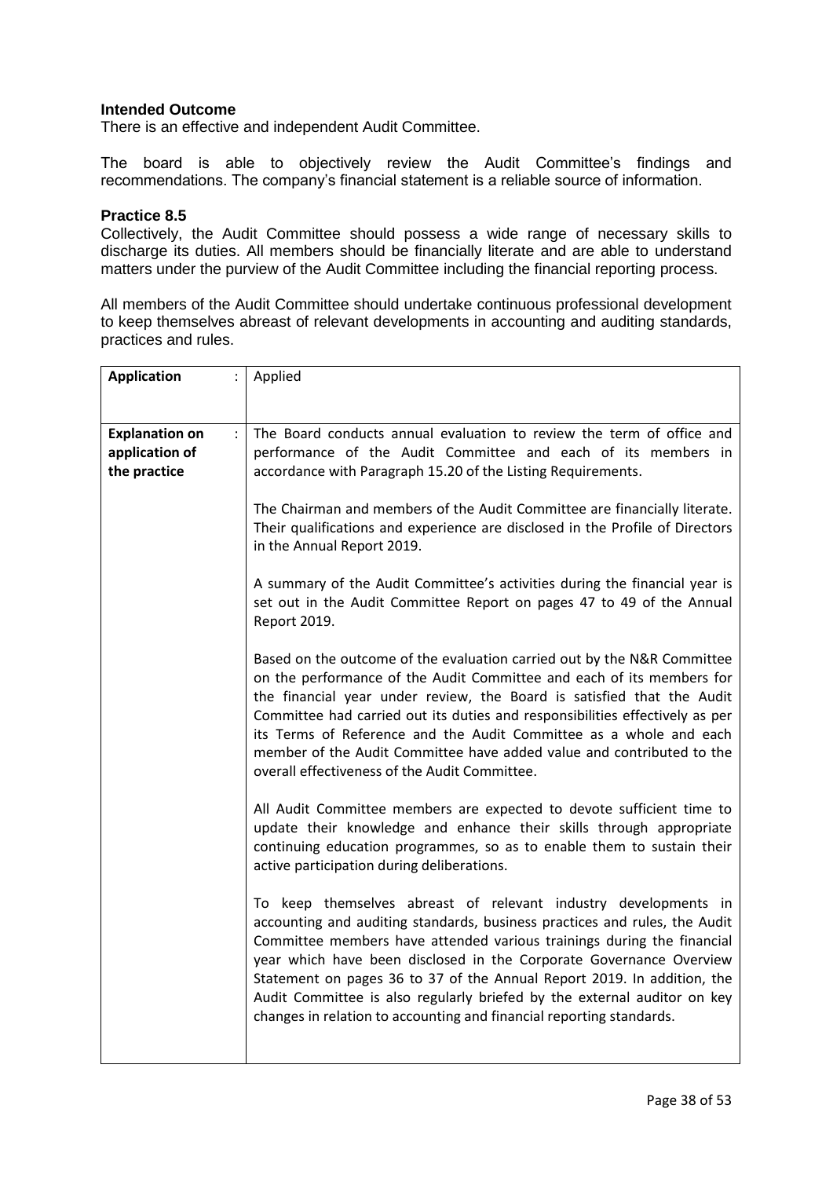There is an effective and independent Audit Committee.

The board is able to objectively review the Audit Committee's findings and recommendations. The company's financial statement is a reliable source of information.

#### **Practice 8.5**

Collectively, the Audit Committee should possess a wide range of necessary skills to discharge its duties. All members should be financially literate and are able to understand matters under the purview of the Audit Committee including the financial reporting process.

All members of the Audit Committee should undertake continuous professional development to keep themselves abreast of relevant developments in accounting and auditing standards, practices and rules.

| <b>Application</b>                            | Applied                                                                                                                                                                                                                                                                                                                                                                                                                                                                                                                       |
|-----------------------------------------------|-------------------------------------------------------------------------------------------------------------------------------------------------------------------------------------------------------------------------------------------------------------------------------------------------------------------------------------------------------------------------------------------------------------------------------------------------------------------------------------------------------------------------------|
|                                               |                                                                                                                                                                                                                                                                                                                                                                                                                                                                                                                               |
|                                               |                                                                                                                                                                                                                                                                                                                                                                                                                                                                                                                               |
| <b>Explanation on</b><br>$\ddot{\phantom{0}}$ | The Board conducts annual evaluation to review the term of office and                                                                                                                                                                                                                                                                                                                                                                                                                                                         |
| application of                                | performance of the Audit Committee and each of its members in                                                                                                                                                                                                                                                                                                                                                                                                                                                                 |
| the practice                                  | accordance with Paragraph 15.20 of the Listing Requirements.                                                                                                                                                                                                                                                                                                                                                                                                                                                                  |
|                                               | The Chairman and members of the Audit Committee are financially literate.<br>Their qualifications and experience are disclosed in the Profile of Directors<br>in the Annual Report 2019.<br>A summary of the Audit Committee's activities during the financial year is<br>set out in the Audit Committee Report on pages 47 to 49 of the Annual<br>Report 2019.                                                                                                                                                               |
|                                               |                                                                                                                                                                                                                                                                                                                                                                                                                                                                                                                               |
|                                               | Based on the outcome of the evaluation carried out by the N&R Committee<br>on the performance of the Audit Committee and each of its members for<br>the financial year under review, the Board is satisfied that the Audit<br>Committee had carried out its duties and responsibilities effectively as per<br>its Terms of Reference and the Audit Committee as a whole and each<br>member of the Audit Committee have added value and contributed to the<br>overall effectiveness of the Audit Committee.                    |
|                                               | All Audit Committee members are expected to devote sufficient time to<br>update their knowledge and enhance their skills through appropriate<br>continuing education programmes, so as to enable them to sustain their<br>active participation during deliberations.                                                                                                                                                                                                                                                          |
|                                               | To keep themselves abreast of relevant industry developments in<br>accounting and auditing standards, business practices and rules, the Audit<br>Committee members have attended various trainings during the financial<br>year which have been disclosed in the Corporate Governance Overview<br>Statement on pages 36 to 37 of the Annual Report 2019. In addition, the<br>Audit Committee is also regularly briefed by the external auditor on key<br>changes in relation to accounting and financial reporting standards. |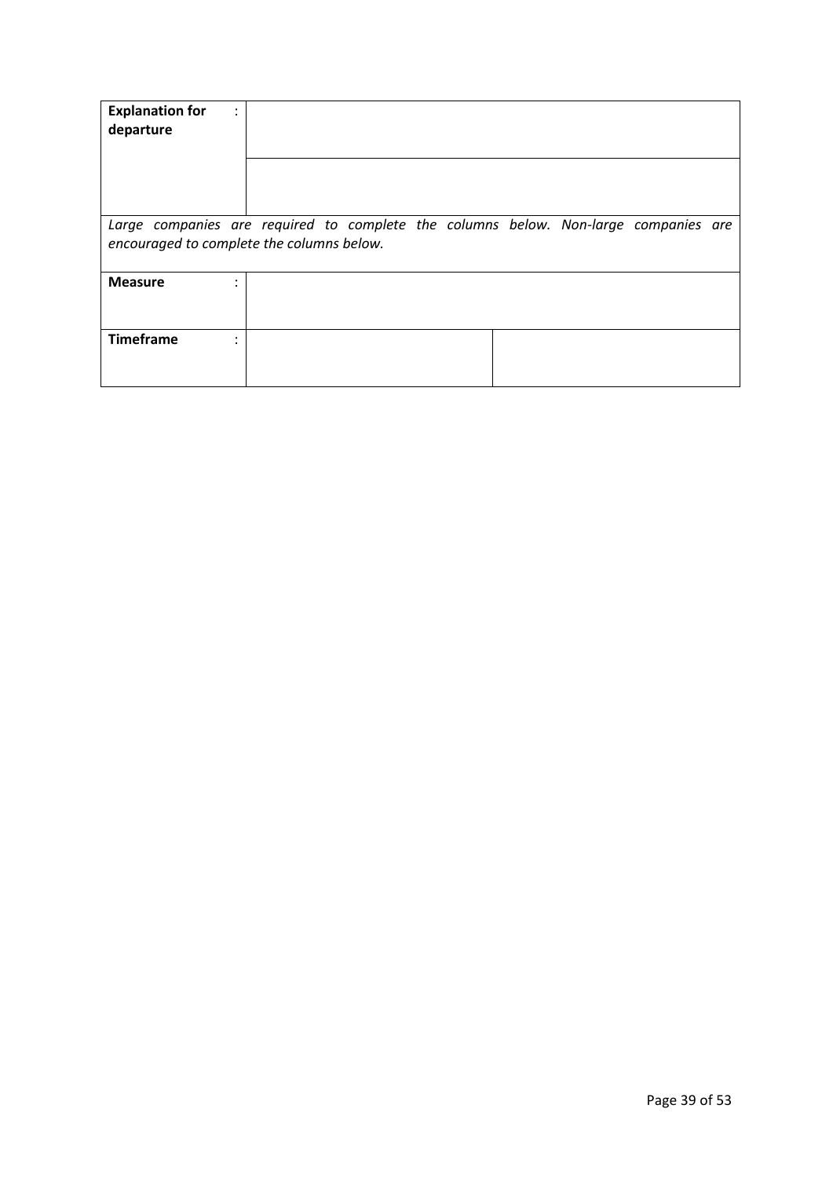| <b>Explanation for</b><br>departure                                                                                              | $\bullet$ |  |  |  |  |  |
|----------------------------------------------------------------------------------------------------------------------------------|-----------|--|--|--|--|--|
|                                                                                                                                  |           |  |  |  |  |  |
| Large companies are required to complete the columns below. Non-large companies are<br>encouraged to complete the columns below. |           |  |  |  |  |  |
| <b>Measure</b>                                                                                                                   |           |  |  |  |  |  |
| <b>Timeframe</b>                                                                                                                 |           |  |  |  |  |  |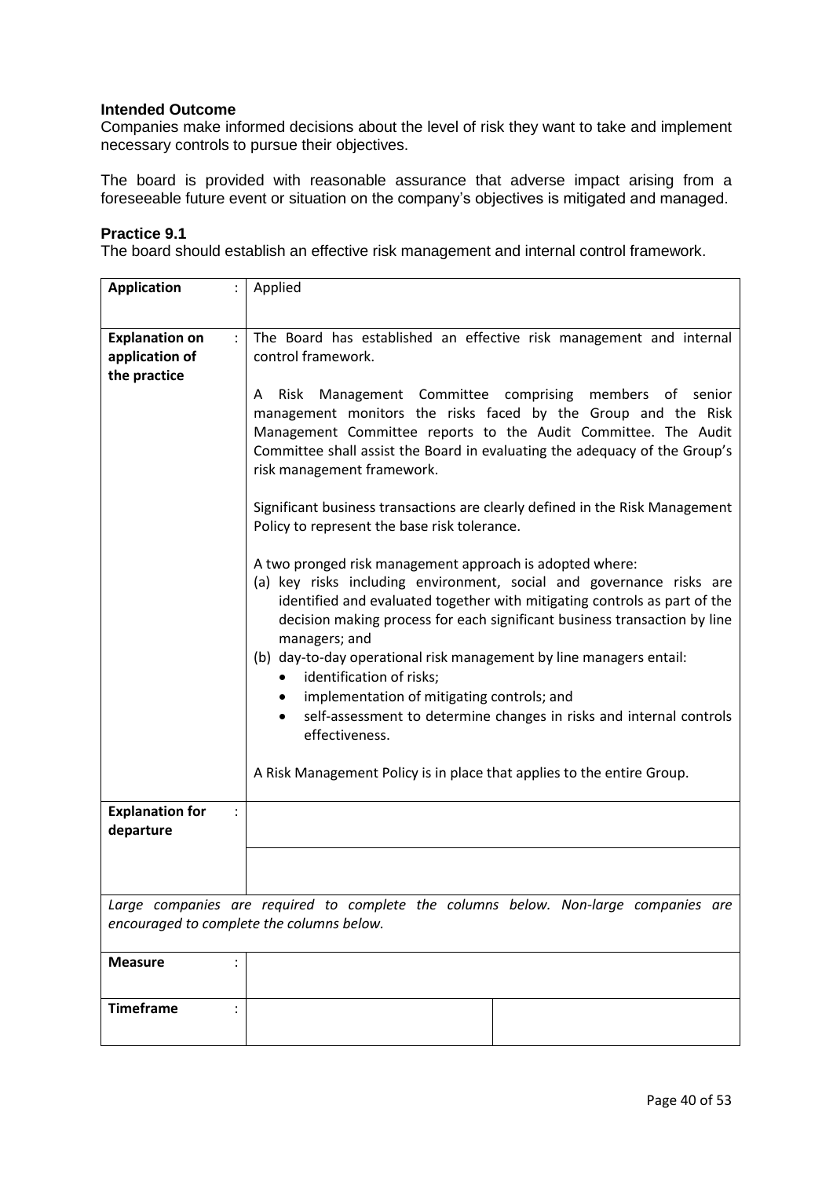Companies make informed decisions about the level of risk they want to take and implement necessary controls to pursue their objectives.

The board is provided with reasonable assurance that adverse impact arising from a foreseeable future event or situation on the company's objectives is mitigated and managed.

#### **Practice 9.1**

The board should establish an effective risk management and internal control framework.

| <b>Application</b>                  | Applied                                                                                                                                                                                                                                                                                                                                                                                                                                                                                                                                                                         |
|-------------------------------------|---------------------------------------------------------------------------------------------------------------------------------------------------------------------------------------------------------------------------------------------------------------------------------------------------------------------------------------------------------------------------------------------------------------------------------------------------------------------------------------------------------------------------------------------------------------------------------|
| <b>Explanation on</b><br>÷          | The Board has established an effective risk management and internal                                                                                                                                                                                                                                                                                                                                                                                                                                                                                                             |
| application of<br>the practice      | control framework.                                                                                                                                                                                                                                                                                                                                                                                                                                                                                                                                                              |
|                                     | Management Committee comprising members of senior<br>Risk<br>A<br>management monitors the risks faced by the Group and the Risk<br>Management Committee reports to the Audit Committee. The Audit<br>Committee shall assist the Board in evaluating the adequacy of the Group's<br>risk management framework.                                                                                                                                                                                                                                                                   |
|                                     | Significant business transactions are clearly defined in the Risk Management<br>Policy to represent the base risk tolerance.                                                                                                                                                                                                                                                                                                                                                                                                                                                    |
|                                     | A two pronged risk management approach is adopted where:<br>(a) key risks including environment, social and governance risks are<br>identified and evaluated together with mitigating controls as part of the<br>decision making process for each significant business transaction by line<br>managers; and<br>(b) day-to-day operational risk management by line managers entail:<br>identification of risks;<br>$\bullet$<br>implementation of mitigating controls; and<br>$\bullet$<br>self-assessment to determine changes in risks and internal controls<br>effectiveness. |
|                                     | A Risk Management Policy is in place that applies to the entire Group.                                                                                                                                                                                                                                                                                                                                                                                                                                                                                                          |
| <b>Explanation for</b><br>departure |                                                                                                                                                                                                                                                                                                                                                                                                                                                                                                                                                                                 |
|                                     |                                                                                                                                                                                                                                                                                                                                                                                                                                                                                                                                                                                 |
|                                     | Large companies are required to complete the columns below. Non-large companies are<br>encouraged to complete the columns below.                                                                                                                                                                                                                                                                                                                                                                                                                                                |
| <b>Measure</b>                      |                                                                                                                                                                                                                                                                                                                                                                                                                                                                                                                                                                                 |
| <b>Timeframe</b>                    |                                                                                                                                                                                                                                                                                                                                                                                                                                                                                                                                                                                 |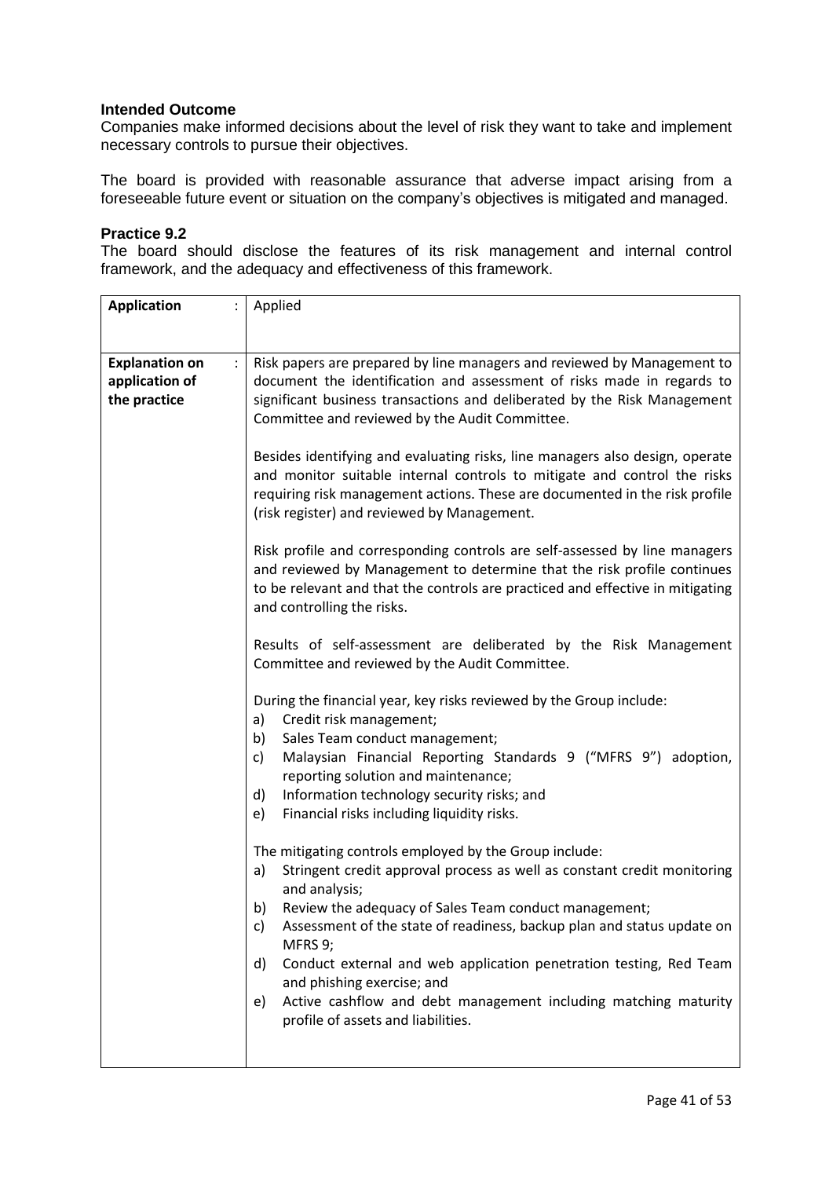Companies make informed decisions about the level of risk they want to take and implement necessary controls to pursue their objectives.

The board is provided with reasonable assurance that adverse impact arising from a foreseeable future event or situation on the company's objectives is mitigated and managed.

#### **Practice 9.2**

The board should disclose the features of its risk management and internal control framework, and the adequacy and effectiveness of this framework.

| <b>Application</b><br>$\ddot{\phantom{0}}$                                      | Applied                                                                                                                                                                                                                                                                                                                                                                                                                                                                                                                                     |
|---------------------------------------------------------------------------------|---------------------------------------------------------------------------------------------------------------------------------------------------------------------------------------------------------------------------------------------------------------------------------------------------------------------------------------------------------------------------------------------------------------------------------------------------------------------------------------------------------------------------------------------|
|                                                                                 |                                                                                                                                                                                                                                                                                                                                                                                                                                                                                                                                             |
| <b>Explanation on</b><br>$\ddot{\phantom{a}}$<br>application of<br>the practice | Risk papers are prepared by line managers and reviewed by Management to<br>document the identification and assessment of risks made in regards to<br>significant business transactions and deliberated by the Risk Management<br>Committee and reviewed by the Audit Committee.                                                                                                                                                                                                                                                             |
|                                                                                 | Besides identifying and evaluating risks, line managers also design, operate<br>and monitor suitable internal controls to mitigate and control the risks<br>requiring risk management actions. These are documented in the risk profile<br>(risk register) and reviewed by Management.                                                                                                                                                                                                                                                      |
|                                                                                 | Risk profile and corresponding controls are self-assessed by line managers<br>and reviewed by Management to determine that the risk profile continues<br>to be relevant and that the controls are practiced and effective in mitigating<br>and controlling the risks.                                                                                                                                                                                                                                                                       |
|                                                                                 | Results of self-assessment are deliberated by the Risk Management<br>Committee and reviewed by the Audit Committee.                                                                                                                                                                                                                                                                                                                                                                                                                         |
|                                                                                 | During the financial year, key risks reviewed by the Group include:<br>Credit risk management;<br>a)<br>Sales Team conduct management;<br>b)<br>Malaysian Financial Reporting Standards 9 ("MFRS 9") adoption,<br>c)<br>reporting solution and maintenance;<br>Information technology security risks; and<br>d)<br>Financial risks including liquidity risks.<br>e)                                                                                                                                                                         |
|                                                                                 | The mitigating controls employed by the Group include:<br>Stringent credit approval process as well as constant credit monitoring<br>a)<br>and analysis;<br>Review the adequacy of Sales Team conduct management;<br>b)<br>Assessment of the state of readiness, backup plan and status update on<br>c)<br>MFRS 9;<br>Conduct external and web application penetration testing, Red Team<br>d)<br>and phishing exercise; and<br>Active cashflow and debt management including matching maturity<br>e)<br>profile of assets and liabilities. |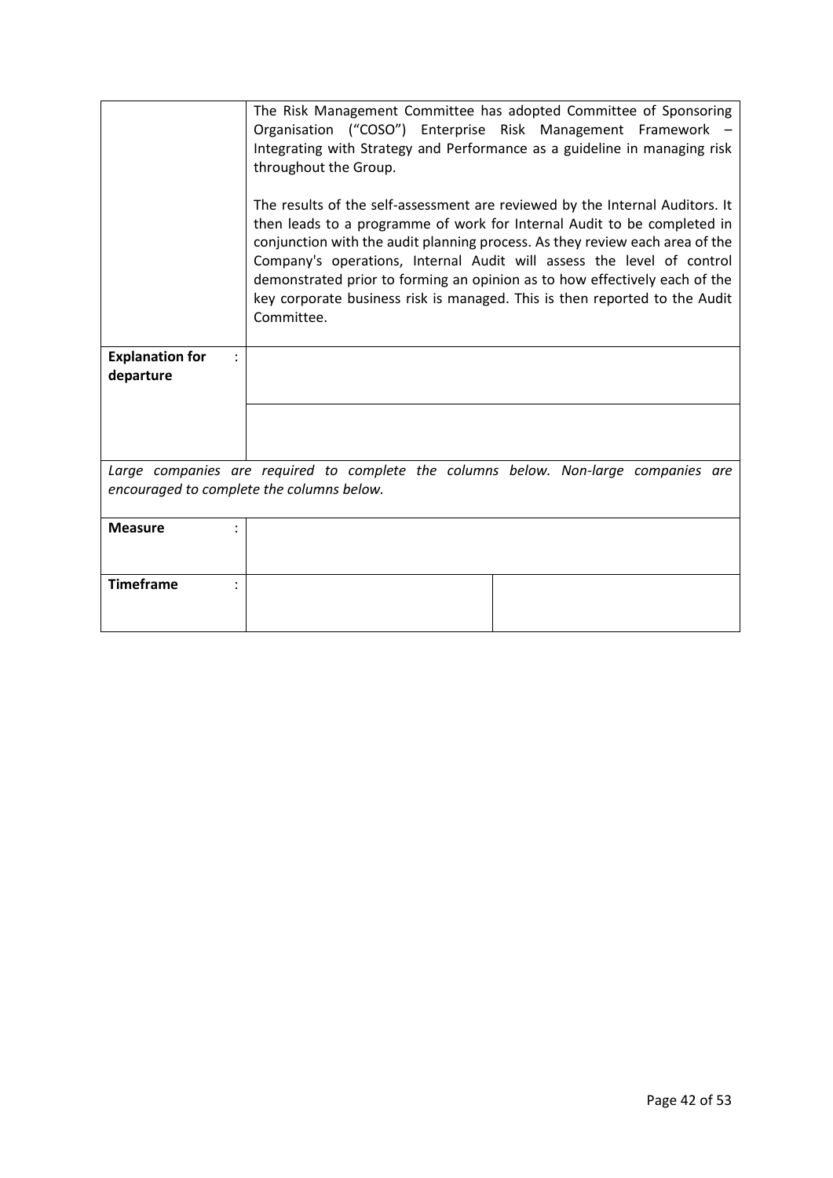|                                           | The Risk Management Committee has adopted Committee of Sponsoring<br>Organisation ("COSO") Enterprise Risk Management Framework -<br>Integrating with Strategy and Performance as a guideline in managing risk<br>throughout the Group.<br>The results of the self-assessment are reviewed by the Internal Auditors. It<br>then leads to a programme of work for Internal Audit to be completed in<br>conjunction with the audit planning process. As they review each area of the<br>Company's operations, Internal Audit will assess the level of control<br>demonstrated prior to forming an opinion as to how effectively each of the<br>key corporate business risk is managed. This is then reported to the Audit<br>Committee. |
|-------------------------------------------|---------------------------------------------------------------------------------------------------------------------------------------------------------------------------------------------------------------------------------------------------------------------------------------------------------------------------------------------------------------------------------------------------------------------------------------------------------------------------------------------------------------------------------------------------------------------------------------------------------------------------------------------------------------------------------------------------------------------------------------|
| <b>Explanation for</b><br>departure       |                                                                                                                                                                                                                                                                                                                                                                                                                                                                                                                                                                                                                                                                                                                                       |
|                                           |                                                                                                                                                                                                                                                                                                                                                                                                                                                                                                                                                                                                                                                                                                                                       |
| encouraged to complete the columns below. | Large companies are required to complete the columns below. Non-large companies are                                                                                                                                                                                                                                                                                                                                                                                                                                                                                                                                                                                                                                                   |
| <b>Measure</b>                            |                                                                                                                                                                                                                                                                                                                                                                                                                                                                                                                                                                                                                                                                                                                                       |
| <b>Timeframe</b>                          |                                                                                                                                                                                                                                                                                                                                                                                                                                                                                                                                                                                                                                                                                                                                       |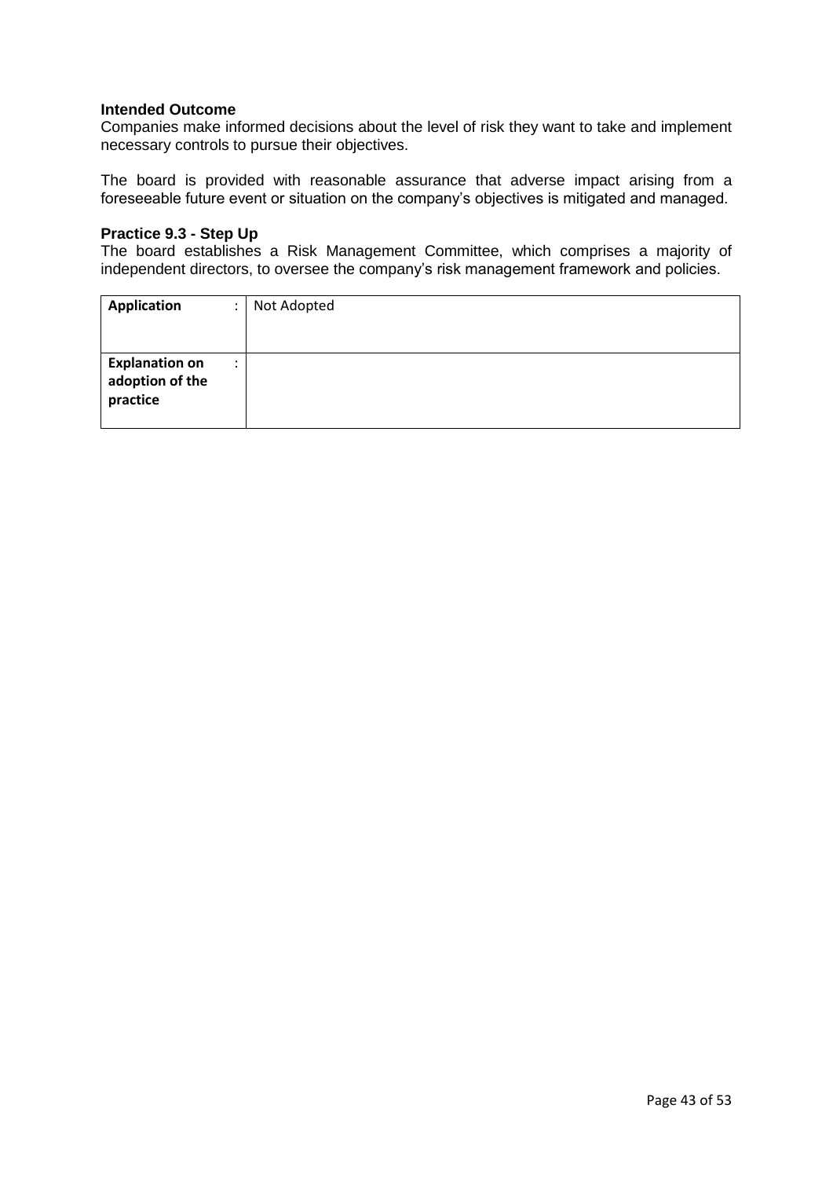Companies make informed decisions about the level of risk they want to take and implement necessary controls to pursue their objectives.

The board is provided with reasonable assurance that adverse impact arising from a foreseeable future event or situation on the company's objectives is mitigated and managed.

#### **Practice 9.3 - Step Up**

The board establishes a Risk Management Committee, which comprises a majority of independent directors, to oversee the company's risk management framework and policies.

| <b>Application</b><br>٠                                           | Not Adopted |
|-------------------------------------------------------------------|-------------|
| <b>Explanation on</b><br>$\bullet$<br>adoption of the<br>practice |             |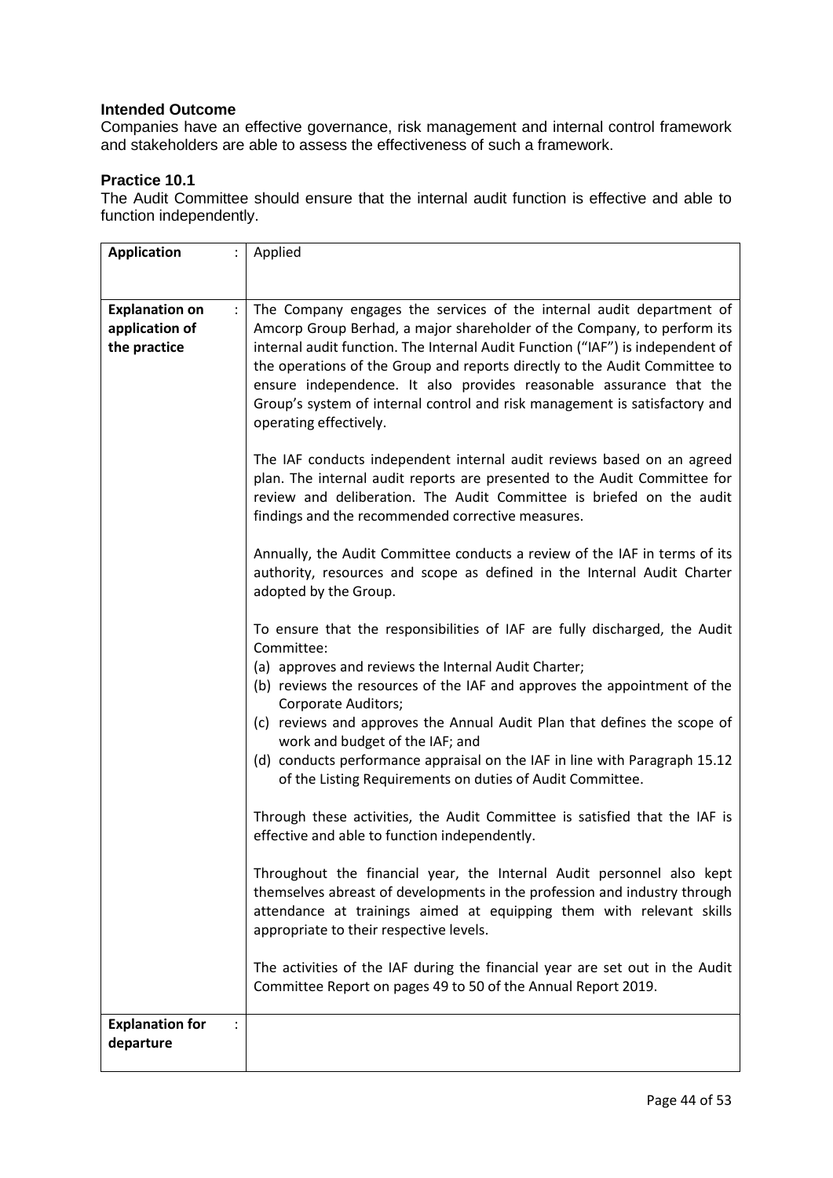Companies have an effective governance, risk management and internal control framework and stakeholders are able to assess the effectiveness of such a framework.

## **Practice 10.1**

The Audit Committee should ensure that the internal audit function is effective and able to function independently.

| <b>Application</b>                                      | Applied                                                                                                                                                                                                                                                                                                                                                                                                                                                                                        |
|---------------------------------------------------------|------------------------------------------------------------------------------------------------------------------------------------------------------------------------------------------------------------------------------------------------------------------------------------------------------------------------------------------------------------------------------------------------------------------------------------------------------------------------------------------------|
|                                                         |                                                                                                                                                                                                                                                                                                                                                                                                                                                                                                |
| <b>Explanation on</b><br>application of<br>the practice | The Company engages the services of the internal audit department of<br>Amcorp Group Berhad, a major shareholder of the Company, to perform its<br>internal audit function. The Internal Audit Function ("IAF") is independent of<br>the operations of the Group and reports directly to the Audit Committee to<br>ensure independence. It also provides reasonable assurance that the<br>Group's system of internal control and risk management is satisfactory and<br>operating effectively. |
|                                                         | The IAF conducts independent internal audit reviews based on an agreed<br>plan. The internal audit reports are presented to the Audit Committee for<br>review and deliberation. The Audit Committee is briefed on the audit<br>findings and the recommended corrective measures.                                                                                                                                                                                                               |
|                                                         | Annually, the Audit Committee conducts a review of the IAF in terms of its<br>authority, resources and scope as defined in the Internal Audit Charter<br>adopted by the Group.                                                                                                                                                                                                                                                                                                                 |
|                                                         | To ensure that the responsibilities of IAF are fully discharged, the Audit<br>Committee:                                                                                                                                                                                                                                                                                                                                                                                                       |
|                                                         | (a) approves and reviews the Internal Audit Charter;<br>(b) reviews the resources of the IAF and approves the appointment of the<br>Corporate Auditors;                                                                                                                                                                                                                                                                                                                                        |
|                                                         | (c) reviews and approves the Annual Audit Plan that defines the scope of<br>work and budget of the IAF; and                                                                                                                                                                                                                                                                                                                                                                                    |
|                                                         | (d) conducts performance appraisal on the IAF in line with Paragraph 15.12<br>of the Listing Requirements on duties of Audit Committee.                                                                                                                                                                                                                                                                                                                                                        |
|                                                         | Through these activities, the Audit Committee is satisfied that the IAF is<br>effective and able to function independently.                                                                                                                                                                                                                                                                                                                                                                    |
|                                                         | Throughout the financial year, the Internal Audit personnel also kept<br>themselves abreast of developments in the profession and industry through<br>attendance at trainings aimed at equipping them with relevant skills<br>appropriate to their respective levels.                                                                                                                                                                                                                          |
|                                                         | The activities of the IAF during the financial year are set out in the Audit<br>Committee Report on pages 49 to 50 of the Annual Report 2019.                                                                                                                                                                                                                                                                                                                                                  |
| <b>Explanation for</b><br>departure                     |                                                                                                                                                                                                                                                                                                                                                                                                                                                                                                |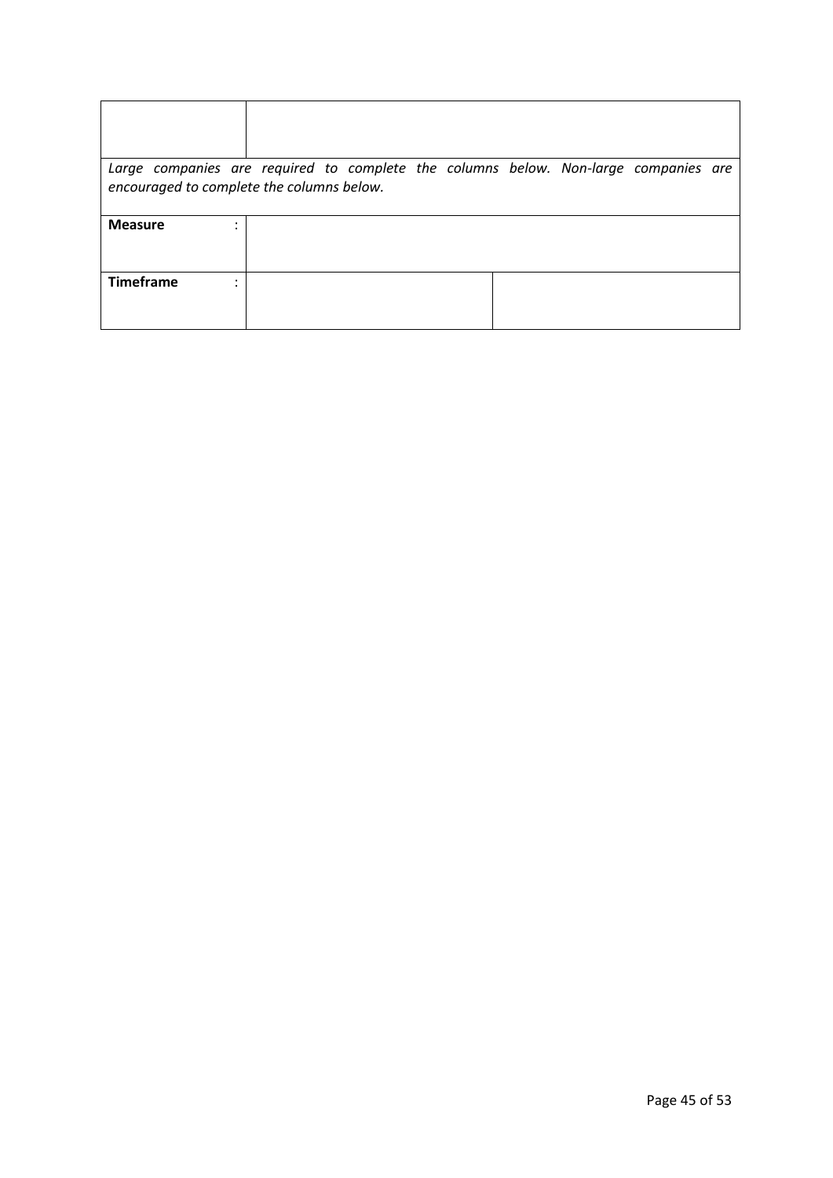| Large companies are required to complete the columns below. Non-large companies are<br>encouraged to complete the columns below. |  |  |  |  |
|----------------------------------------------------------------------------------------------------------------------------------|--|--|--|--|
| <b>Measure</b>                                                                                                                   |  |  |  |  |
| <b>Timeframe</b>                                                                                                                 |  |  |  |  |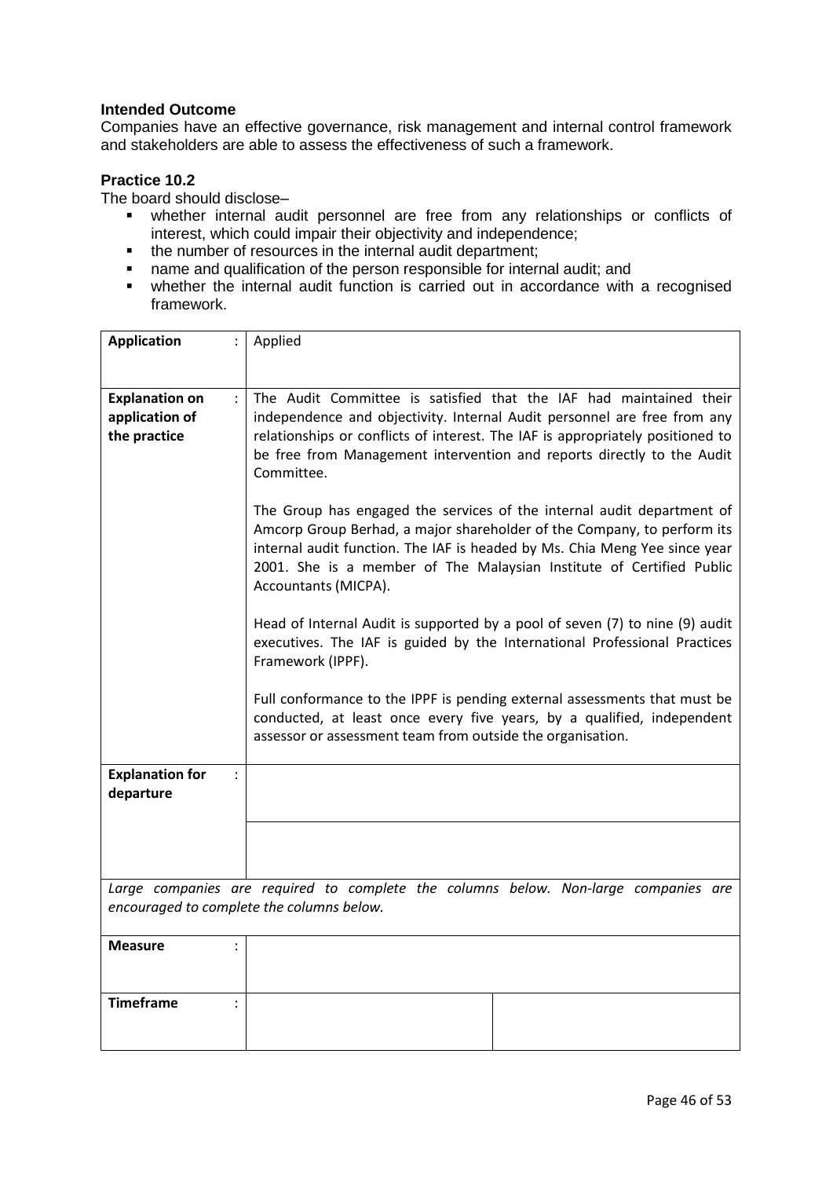Companies have an effective governance, risk management and internal control framework and stakeholders are able to assess the effectiveness of such a framework.

### **Practice 10.2**

The board should disclose–

- whether internal audit personnel are free from any relationships or conflicts of interest, which could impair their objectivity and independence;
- the number of resources in the internal audit department;
- name and qualification of the person responsible for internal audit; and
- whether the internal audit function is carried out in accordance with a recognised framework.

| <b>Application</b>                                      | Applied                                                                                                                                                                                                                                                                                                                         |
|---------------------------------------------------------|---------------------------------------------------------------------------------------------------------------------------------------------------------------------------------------------------------------------------------------------------------------------------------------------------------------------------------|
| <b>Explanation on</b><br>application of<br>the practice | The Audit Committee is satisfied that the IAF had maintained their<br>independence and objectivity. Internal Audit personnel are free from any<br>relationships or conflicts of interest. The IAF is appropriately positioned to<br>be free from Management intervention and reports directly to the Audit<br>Committee.        |
|                                                         | The Group has engaged the services of the internal audit department of<br>Amcorp Group Berhad, a major shareholder of the Company, to perform its<br>internal audit function. The IAF is headed by Ms. Chia Meng Yee since year<br>2001. She is a member of The Malaysian Institute of Certified Public<br>Accountants (MICPA). |
|                                                         | Head of Internal Audit is supported by a pool of seven (7) to nine (9) audit<br>executives. The IAF is guided by the International Professional Practices<br>Framework (IPPF).                                                                                                                                                  |
|                                                         | Full conformance to the IPPF is pending external assessments that must be<br>conducted, at least once every five years, by a qualified, independent<br>assessor or assessment team from outside the organisation.                                                                                                               |
| <b>Explanation for</b><br>departure                     |                                                                                                                                                                                                                                                                                                                                 |
|                                                         |                                                                                                                                                                                                                                                                                                                                 |
|                                                         | Large companies are required to complete the columns below. Non-large companies are<br>encouraged to complete the columns below.                                                                                                                                                                                                |
| <b>Measure</b>                                          |                                                                                                                                                                                                                                                                                                                                 |
| <b>Timeframe</b>                                        |                                                                                                                                                                                                                                                                                                                                 |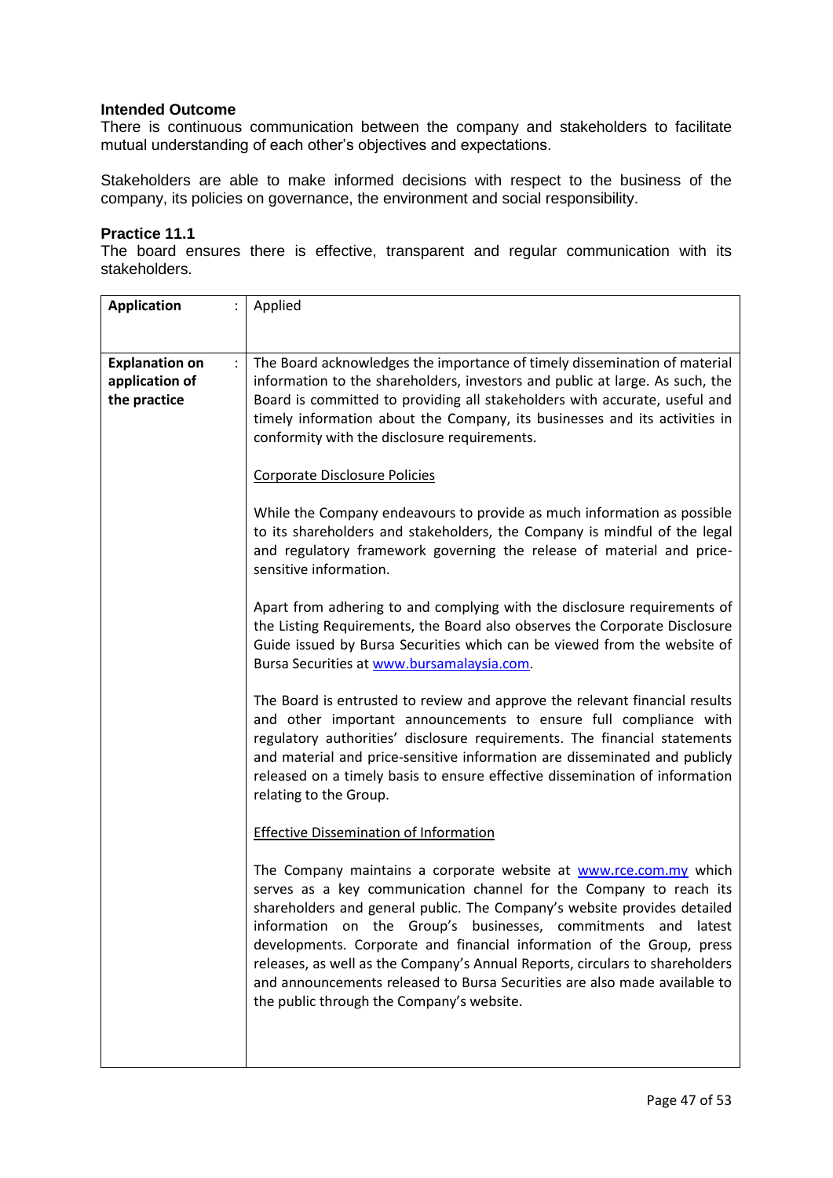There is continuous communication between the company and stakeholders to facilitate mutual understanding of each other's objectives and expectations.

Stakeholders are able to make informed decisions with respect to the business of the company, its policies on governance, the environment and social responsibility.

#### **Practice 11.1**

The board ensures there is effective, transparent and regular communication with its stakeholders.

| <b>Application</b><br>$\ddot{\phantom{a}}$              | Applied                                                                                                                                                                                                                                                                                                                                                                                                                                                                                                                                                                    |
|---------------------------------------------------------|----------------------------------------------------------------------------------------------------------------------------------------------------------------------------------------------------------------------------------------------------------------------------------------------------------------------------------------------------------------------------------------------------------------------------------------------------------------------------------------------------------------------------------------------------------------------------|
|                                                         |                                                                                                                                                                                                                                                                                                                                                                                                                                                                                                                                                                            |
| <b>Explanation on</b><br>application of<br>the practice | The Board acknowledges the importance of timely dissemination of material<br>information to the shareholders, investors and public at large. As such, the<br>Board is committed to providing all stakeholders with accurate, useful and<br>timely information about the Company, its businesses and its activities in<br>conformity with the disclosure requirements.                                                                                                                                                                                                      |
|                                                         | Corporate Disclosure Policies                                                                                                                                                                                                                                                                                                                                                                                                                                                                                                                                              |
|                                                         | While the Company endeavours to provide as much information as possible<br>to its shareholders and stakeholders, the Company is mindful of the legal<br>and regulatory framework governing the release of material and price-<br>sensitive information.                                                                                                                                                                                                                                                                                                                    |
|                                                         | Apart from adhering to and complying with the disclosure requirements of<br>the Listing Requirements, the Board also observes the Corporate Disclosure<br>Guide issued by Bursa Securities which can be viewed from the website of<br>Bursa Securities at www.bursamalaysia.com.                                                                                                                                                                                                                                                                                           |
|                                                         | The Board is entrusted to review and approve the relevant financial results<br>and other important announcements to ensure full compliance with<br>regulatory authorities' disclosure requirements. The financial statements<br>and material and price-sensitive information are disseminated and publicly<br>released on a timely basis to ensure effective dissemination of information<br>relating to the Group.                                                                                                                                                        |
|                                                         | <b>Effective Dissemination of Information</b>                                                                                                                                                                                                                                                                                                                                                                                                                                                                                                                              |
|                                                         | The Company maintains a corporate website at www.rce.com.my which<br>serves as a key communication channel for the Company to reach its<br>shareholders and general public. The Company's website provides detailed<br>information on the Group's businesses, commitments and<br>latest<br>developments. Corporate and financial information of the Group, press<br>releases, as well as the Company's Annual Reports, circulars to shareholders<br>and announcements released to Bursa Securities are also made available to<br>the public through the Company's website. |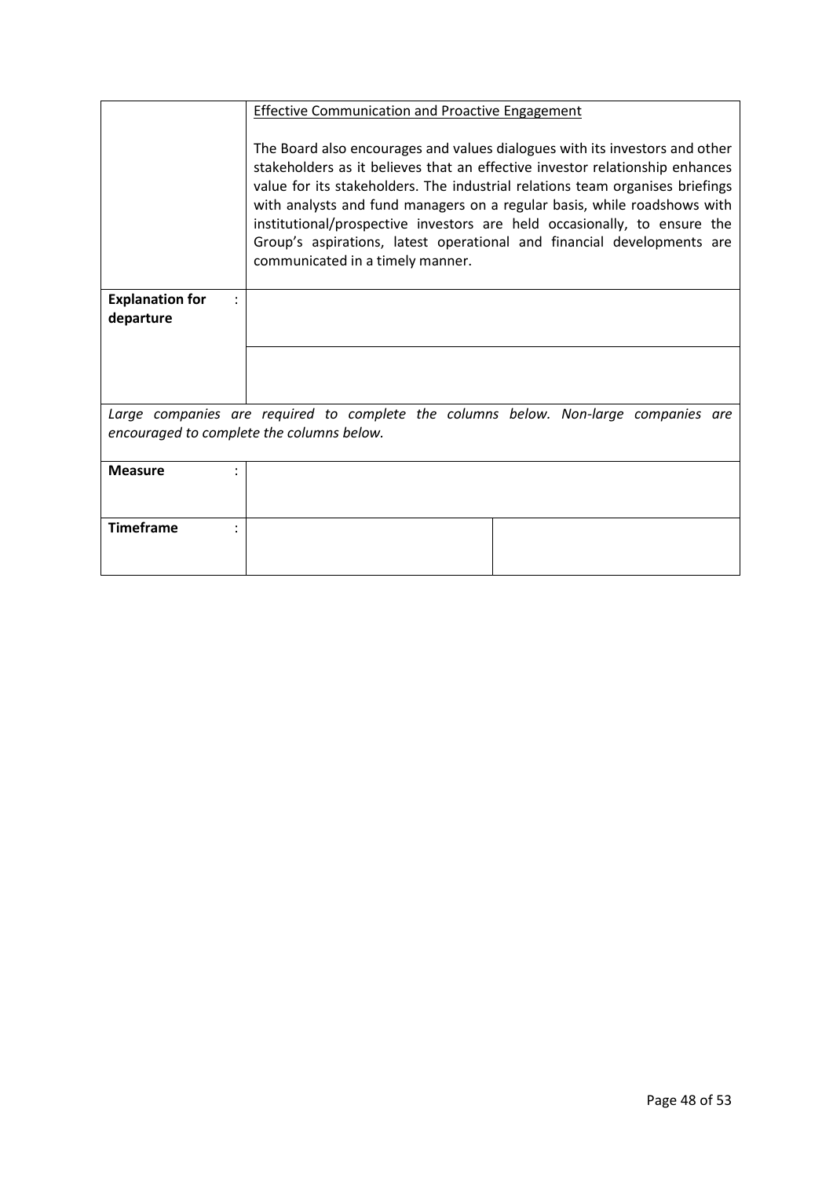|                                     | <b>Effective Communication and Proactive Engagement</b>                                                                                                                                                                                                                                                                                                                                                                                                                                                            |
|-------------------------------------|--------------------------------------------------------------------------------------------------------------------------------------------------------------------------------------------------------------------------------------------------------------------------------------------------------------------------------------------------------------------------------------------------------------------------------------------------------------------------------------------------------------------|
|                                     | The Board also encourages and values dialogues with its investors and other<br>stakeholders as it believes that an effective investor relationship enhances<br>value for its stakeholders. The industrial relations team organises briefings<br>with analysts and fund managers on a regular basis, while roadshows with<br>institutional/prospective investors are held occasionally, to ensure the<br>Group's aspirations, latest operational and financial developments are<br>communicated in a timely manner. |
| <b>Explanation for</b><br>departure |                                                                                                                                                                                                                                                                                                                                                                                                                                                                                                                    |
|                                     |                                                                                                                                                                                                                                                                                                                                                                                                                                                                                                                    |
|                                     |                                                                                                                                                                                                                                                                                                                                                                                                                                                                                                                    |
|                                     | Large companies are required to complete the columns below. Non-large companies are                                                                                                                                                                                                                                                                                                                                                                                                                                |
|                                     | encouraged to complete the columns below.                                                                                                                                                                                                                                                                                                                                                                                                                                                                          |
| <b>Measure</b>                      |                                                                                                                                                                                                                                                                                                                                                                                                                                                                                                                    |
|                                     |                                                                                                                                                                                                                                                                                                                                                                                                                                                                                                                    |
| <b>Timeframe</b>                    |                                                                                                                                                                                                                                                                                                                                                                                                                                                                                                                    |
|                                     |                                                                                                                                                                                                                                                                                                                                                                                                                                                                                                                    |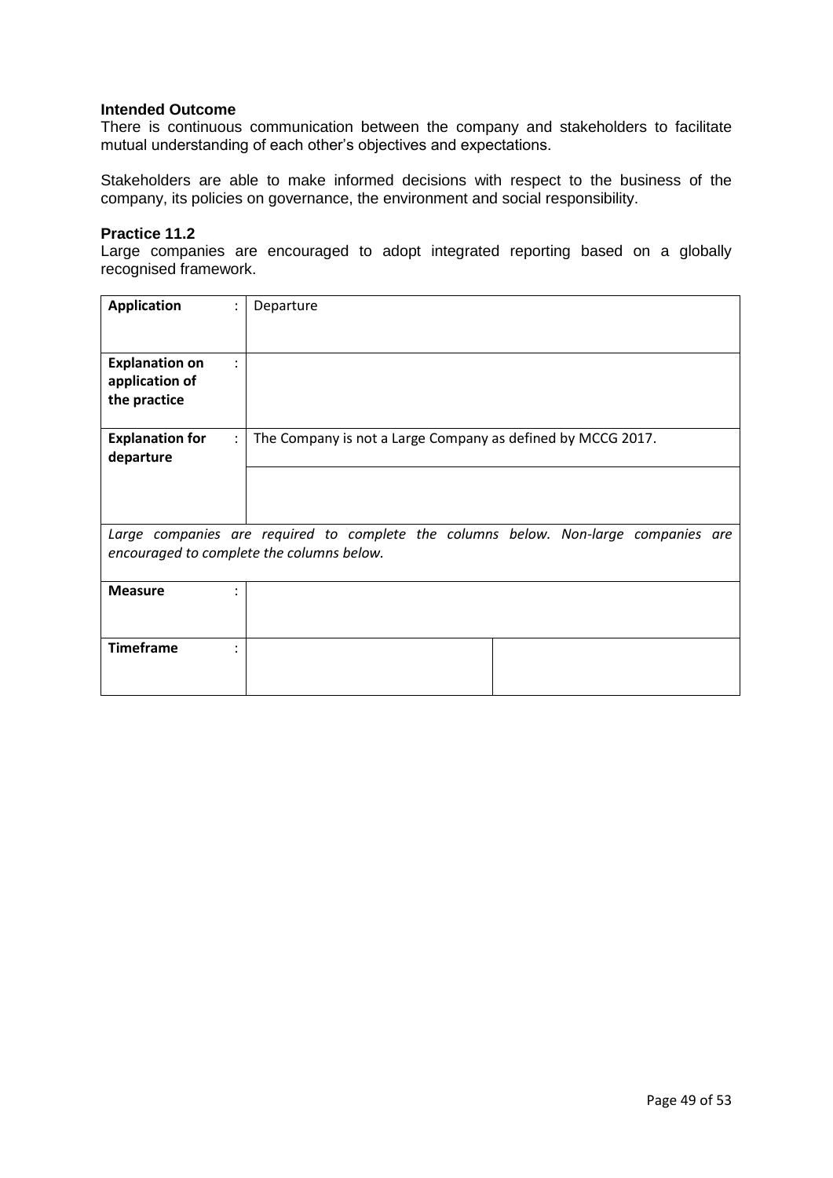There is continuous communication between the company and stakeholders to facilitate mutual understanding of each other's objectives and expectations.

Stakeholders are able to make informed decisions with respect to the business of the company, its policies on governance, the environment and social responsibility.

#### **Practice 11.2**

Large companies are encouraged to adopt integrated reporting based on a globally recognised framework.

| <b>Application</b>                                                              | Departure                                                                                                                        |
|---------------------------------------------------------------------------------|----------------------------------------------------------------------------------------------------------------------------------|
| <b>Explanation on</b><br>$\ddot{\phantom{a}}$<br>application of<br>the practice |                                                                                                                                  |
| <b>Explanation for</b><br>departure                                             | The Company is not a Large Company as defined by MCCG 2017.                                                                      |
|                                                                                 |                                                                                                                                  |
|                                                                                 | Large companies are required to complete the columns below. Non-large companies are<br>encouraged to complete the columns below. |
| <b>Measure</b>                                                                  |                                                                                                                                  |
| <b>Timeframe</b>                                                                |                                                                                                                                  |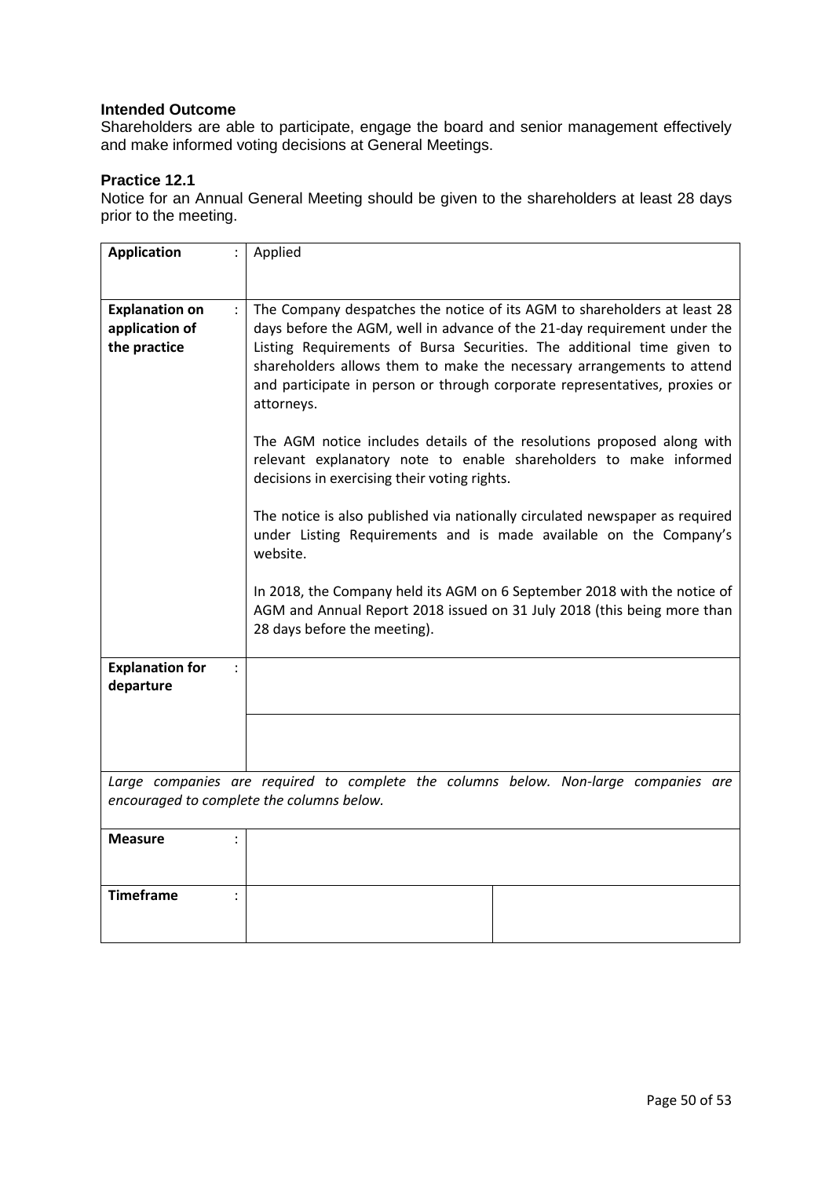Shareholders are able to participate, engage the board and senior management effectively and make informed voting decisions at General Meetings.

## **Practice 12.1**

Notice for an Annual General Meeting should be given to the shareholders at least 28 days prior to the meeting.

| <b>Application</b>                                                                                                               | Applied                                                                                                                                                                                                                                                                                                                                                                                                                                                                                                                                                                                                                                                                                                                                                                                                                                                                                                                    |
|----------------------------------------------------------------------------------------------------------------------------------|----------------------------------------------------------------------------------------------------------------------------------------------------------------------------------------------------------------------------------------------------------------------------------------------------------------------------------------------------------------------------------------------------------------------------------------------------------------------------------------------------------------------------------------------------------------------------------------------------------------------------------------------------------------------------------------------------------------------------------------------------------------------------------------------------------------------------------------------------------------------------------------------------------------------------|
|                                                                                                                                  |                                                                                                                                                                                                                                                                                                                                                                                                                                                                                                                                                                                                                                                                                                                                                                                                                                                                                                                            |
| <b>Explanation on</b><br>$\ddot{\phantom{a}}$<br>application of<br>the practice                                                  | The Company despatches the notice of its AGM to shareholders at least 28<br>days before the AGM, well in advance of the 21-day requirement under the<br>Listing Requirements of Bursa Securities. The additional time given to<br>shareholders allows them to make the necessary arrangements to attend<br>and participate in person or through corporate representatives, proxies or<br>attorneys.<br>The AGM notice includes details of the resolutions proposed along with<br>relevant explanatory note to enable shareholders to make informed<br>decisions in exercising their voting rights.<br>The notice is also published via nationally circulated newspaper as required<br>under Listing Requirements and is made available on the Company's<br>website.<br>In 2018, the Company held its AGM on 6 September 2018 with the notice of<br>AGM and Annual Report 2018 issued on 31 July 2018 (this being more than |
|                                                                                                                                  | 28 days before the meeting).                                                                                                                                                                                                                                                                                                                                                                                                                                                                                                                                                                                                                                                                                                                                                                                                                                                                                               |
| <b>Explanation for</b><br>departure                                                                                              |                                                                                                                                                                                                                                                                                                                                                                                                                                                                                                                                                                                                                                                                                                                                                                                                                                                                                                                            |
|                                                                                                                                  |                                                                                                                                                                                                                                                                                                                                                                                                                                                                                                                                                                                                                                                                                                                                                                                                                                                                                                                            |
| Large companies are required to complete the columns below. Non-large companies are<br>encouraged to complete the columns below. |                                                                                                                                                                                                                                                                                                                                                                                                                                                                                                                                                                                                                                                                                                                                                                                                                                                                                                                            |
| <b>Measure</b>                                                                                                                   |                                                                                                                                                                                                                                                                                                                                                                                                                                                                                                                                                                                                                                                                                                                                                                                                                                                                                                                            |
| <b>Timeframe</b><br>$\ddot{\cdot}$                                                                                               |                                                                                                                                                                                                                                                                                                                                                                                                                                                                                                                                                                                                                                                                                                                                                                                                                                                                                                                            |
|                                                                                                                                  |                                                                                                                                                                                                                                                                                                                                                                                                                                                                                                                                                                                                                                                                                                                                                                                                                                                                                                                            |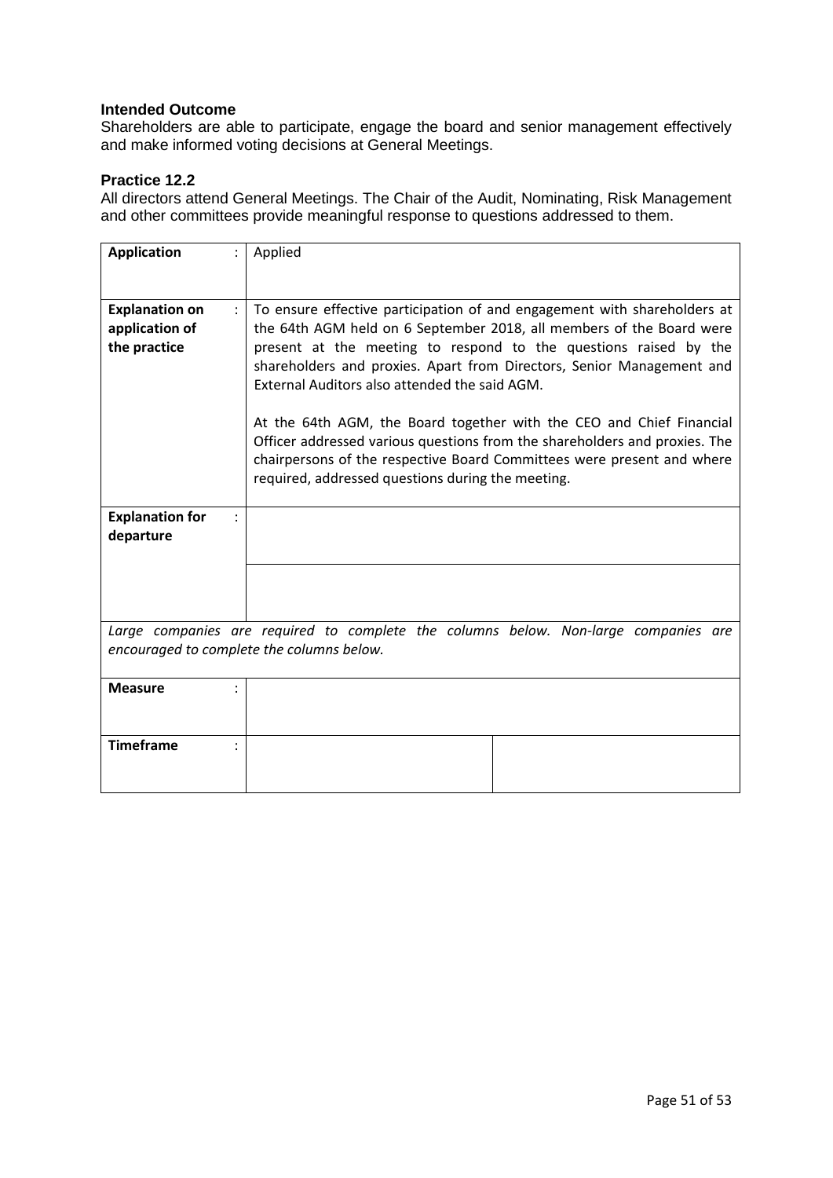Shareholders are able to participate, engage the board and senior management effectively and make informed voting decisions at General Meetings.

## **Practice 12.2**

All directors attend General Meetings. The Chair of the Audit, Nominating, Risk Management and other committees provide meaningful response to questions addressed to them.

| <b>Application</b>                                                                                                               | Applied                                                                                                                                                                                                                                                                                                                                                                                                                                                                                                                                                                                                                             |
|----------------------------------------------------------------------------------------------------------------------------------|-------------------------------------------------------------------------------------------------------------------------------------------------------------------------------------------------------------------------------------------------------------------------------------------------------------------------------------------------------------------------------------------------------------------------------------------------------------------------------------------------------------------------------------------------------------------------------------------------------------------------------------|
| <b>Explanation on</b><br>$\ddot{\phantom{a}}$<br>application of<br>the practice                                                  | To ensure effective participation of and engagement with shareholders at<br>the 64th AGM held on 6 September 2018, all members of the Board were<br>present at the meeting to respond to the questions raised by the<br>shareholders and proxies. Apart from Directors, Senior Management and<br>External Auditors also attended the said AGM.<br>At the 64th AGM, the Board together with the CEO and Chief Financial<br>Officer addressed various questions from the shareholders and proxies. The<br>chairpersons of the respective Board Committees were present and where<br>required, addressed questions during the meeting. |
| <b>Explanation for</b><br>departure                                                                                              |                                                                                                                                                                                                                                                                                                                                                                                                                                                                                                                                                                                                                                     |
|                                                                                                                                  |                                                                                                                                                                                                                                                                                                                                                                                                                                                                                                                                                                                                                                     |
| Large companies are required to complete the columns below. Non-large companies are<br>encouraged to complete the columns below. |                                                                                                                                                                                                                                                                                                                                                                                                                                                                                                                                                                                                                                     |
| <b>Measure</b>                                                                                                                   |                                                                                                                                                                                                                                                                                                                                                                                                                                                                                                                                                                                                                                     |
| <b>Timeframe</b>                                                                                                                 |                                                                                                                                                                                                                                                                                                                                                                                                                                                                                                                                                                                                                                     |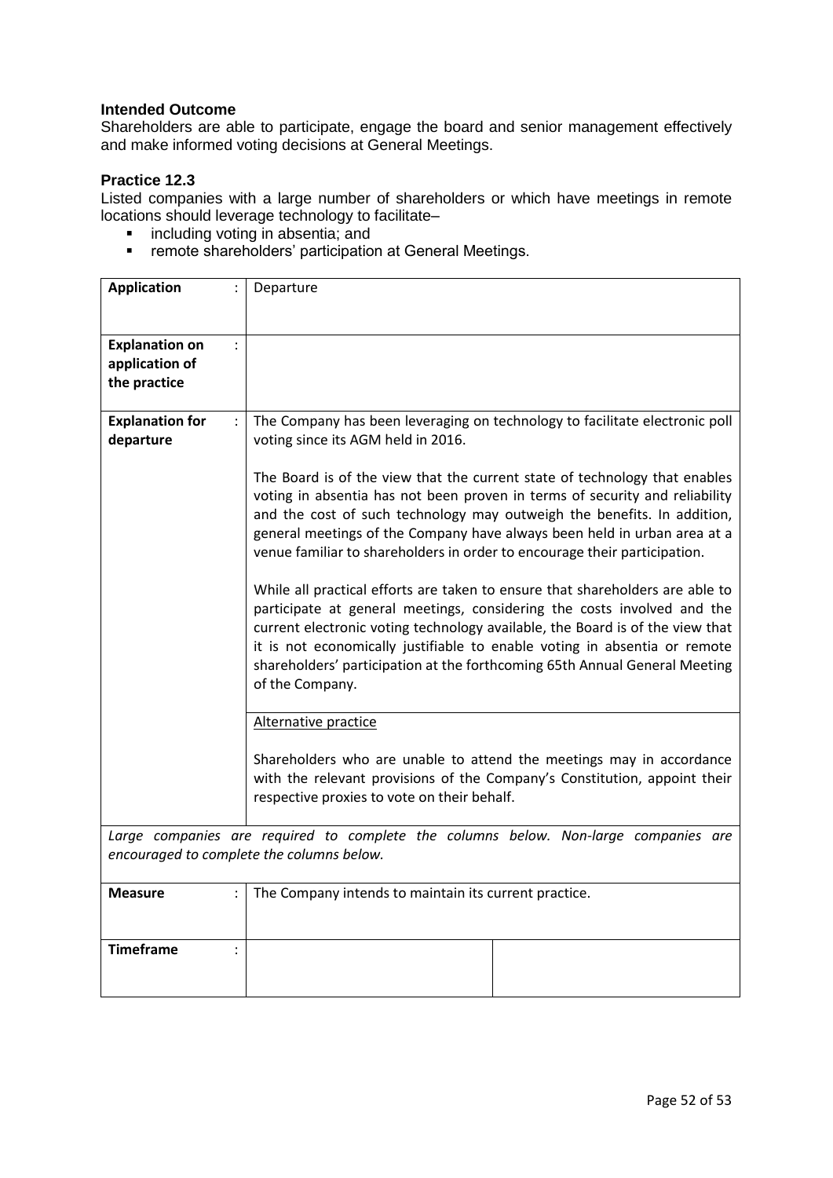Shareholders are able to participate, engage the board and senior management effectively and make informed voting decisions at General Meetings.

## **Practice 12.3**

Listed companies with a large number of shareholders or which have meetings in remote locations should leverage technology to facilitate–

- **i** including voting in absentia; and
- **F** remote shareholders' participation at General Meetings.

| <b>Application</b>                                                        | Departure                                                                                                                                                                                                                                                                                                                                                                                                               |
|---------------------------------------------------------------------------|-------------------------------------------------------------------------------------------------------------------------------------------------------------------------------------------------------------------------------------------------------------------------------------------------------------------------------------------------------------------------------------------------------------------------|
| <b>Explanation on</b><br>$\ddot{\cdot}$<br>application of<br>the practice |                                                                                                                                                                                                                                                                                                                                                                                                                         |
| <b>Explanation for</b><br>$\ddot{\phantom{a}}$<br>departure               | The Company has been leveraging on technology to facilitate electronic poll<br>voting since its AGM held in 2016.                                                                                                                                                                                                                                                                                                       |
|                                                                           | The Board is of the view that the current state of technology that enables<br>voting in absentia has not been proven in terms of security and reliability<br>and the cost of such technology may outweigh the benefits. In addition,<br>general meetings of the Company have always been held in urban area at a<br>venue familiar to shareholders in order to encourage their participation.                           |
|                                                                           | While all practical efforts are taken to ensure that shareholders are able to<br>participate at general meetings, considering the costs involved and the<br>current electronic voting technology available, the Board is of the view that<br>it is not economically justifiable to enable voting in absentia or remote<br>shareholders' participation at the forthcoming 65th Annual General Meeting<br>of the Company. |
|                                                                           | Alternative practice                                                                                                                                                                                                                                                                                                                                                                                                    |
|                                                                           | Shareholders who are unable to attend the meetings may in accordance<br>with the relevant provisions of the Company's Constitution, appoint their<br>respective proxies to vote on their behalf.                                                                                                                                                                                                                        |
|                                                                           | Large companies are required to complete the columns below. Non-large companies are<br>encouraged to complete the columns below.                                                                                                                                                                                                                                                                                        |
|                                                                           |                                                                                                                                                                                                                                                                                                                                                                                                                         |
| <b>Measure</b>                                                            | The Company intends to maintain its current practice.                                                                                                                                                                                                                                                                                                                                                                   |
| <b>Timeframe</b>                                                          |                                                                                                                                                                                                                                                                                                                                                                                                                         |